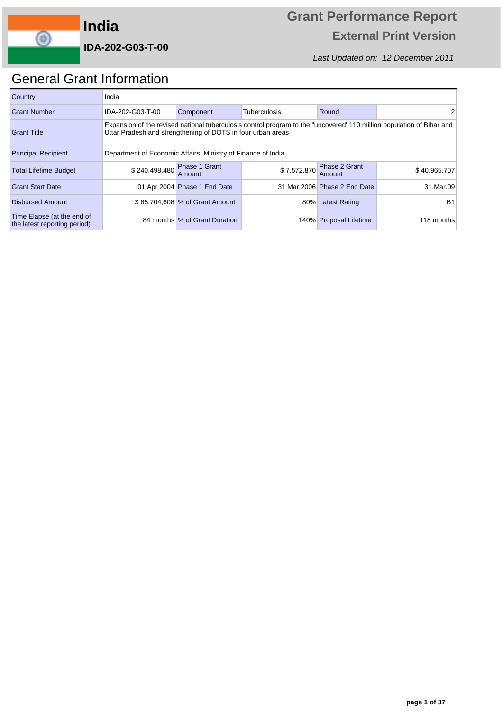

Last Updated on: 12 December 2011

### General Grant Information

| Country                                                    | India            |                                                                                                                                                                                      |                     |                                     |              |  |  |  |  |  |  |  |
|------------------------------------------------------------|------------------|--------------------------------------------------------------------------------------------------------------------------------------------------------------------------------------|---------------------|-------------------------------------|--------------|--|--|--|--|--|--|--|
| <b>Grant Number</b>                                        | IDA-202-G03-T-00 | Component                                                                                                                                                                            | <b>Tuberculosis</b> | Round                               |              |  |  |  |  |  |  |  |
| <b>Grant Title</b>                                         |                  | Expansion of the revised national tuberculosis control program to the "uncovered" 110 million population of Bihar and<br>Uttar Pradesh and strengthening of DOTS in four urban areas |                     |                                     |              |  |  |  |  |  |  |  |
| <b>Principal Recipient</b>                                 |                  | Department of Economic Affairs, Ministry of Finance of India                                                                                                                         |                     |                                     |              |  |  |  |  |  |  |  |
| <b>Total Lifetime Budget</b>                               |                  | \$240,498,480 Phase 1 Grant<br>Amount                                                                                                                                                |                     | \$7,572,870 Phase 2 Grant<br>Amount | \$40,965,707 |  |  |  |  |  |  |  |
| <b>Grant Start Date</b>                                    |                  | 01 Apr 2004 Phase 1 End Date                                                                                                                                                         |                     | 31 Mar 2006 Phase 2 End Date        | 31.Mar.09    |  |  |  |  |  |  |  |
| <b>Disbursed Amount</b>                                    |                  | \$85,704,608 % of Grant Amount<br>B <sub>1</sub><br>80% Latest Rating                                                                                                                |                     |                                     |              |  |  |  |  |  |  |  |
| Time Elapse (at the end of<br>the latest reporting period) |                  | 84 months % of Grant Duration                                                                                                                                                        |                     | 140% Proposal Lifetime              | 118 months   |  |  |  |  |  |  |  |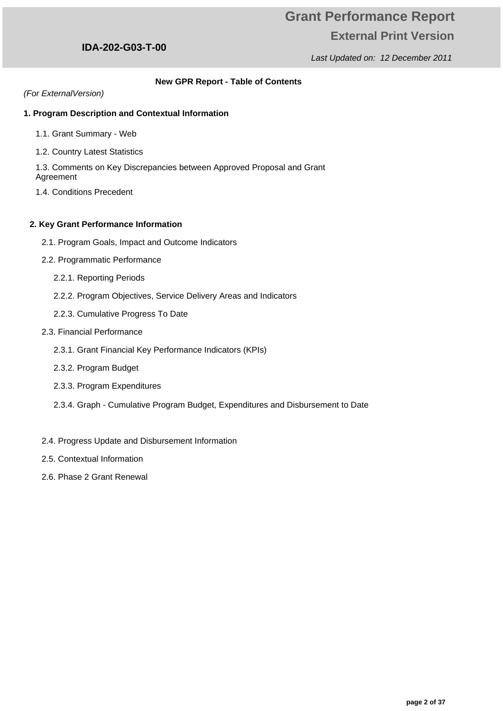Last Updated on: 12 December 2011

#### **New GPR Report - Table of Contents**

(For ExternalVersion)

#### **1. Program Description and Contextual Information**

- 1.1. Grant Summary Web
- 1.2. Country Latest Statistics

1.3. Comments on Key Discrepancies between Approved Proposal and Grant Agreement

1.4. Conditions Precedent

#### **2. Key Grant Performance Information**

- 2.1. Program Goals, Impact and Outcome Indicators
- 2.2. Programmatic Performance
	- 2.2.1. Reporting Periods
	- 2.2.2. Program Objectives, Service Delivery Areas and Indicators
	- 2.2.3. Cumulative Progress To Date
- 2.3. Financial Performance
	- 2.3.1. Grant Financial Key Performance Indicators (KPIs)
	- 2.3.2. Program Budget
	- 2.3.3. Program Expenditures
	- 2.3.4. Graph Cumulative Program Budget, Expenditures and Disbursement to Date
- 2.4. Progress Update and Disbursement Information
- 2.5. Contextual Information
- 2.6. Phase 2 Grant Renewal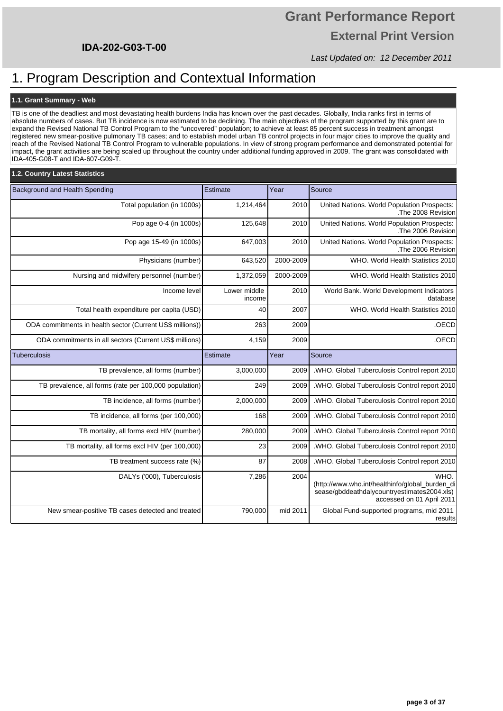# **Grant Performance Report External Print Version**

Last Updated on: 12 December 2011

### 1. Program Description and Contextual Information

#### **1.1. Grant Summary - Web**

TB is one of the deadliest and most devastating health burdens India has known over the past decades. Globally, India ranks first in terms of absolute numbers of cases. But TB incidence is now estimated to be declining. The main objectives of the program supported by this grant are to expand the Revised National TB Control Program to the "uncovered" population; to achieve at least 85 percent success in treatment amongst registered new smear-positive pulmonary TB cases; and to establish model urban TB control projects in four major cities to improve the quality and reach of the Revised National TB Control Program to vulnerable populations. In view of strong program performance and demonstrated potential for impact, the grant activities are being scaled up throughout the country under additional funding approved in 2009. The grant was consolidated with IDA-405-G08-T and IDA-607-G09-T.

### **1.2. Country Latest Statistics**

| Background and Health Spending                            | Estimate               | Year      | Source                                                                                                                              |
|-----------------------------------------------------------|------------------------|-----------|-------------------------------------------------------------------------------------------------------------------------------------|
| Total population (in 1000s)                               | 1,214,464              | 2010      | United Nations. World Population Prospects:<br>The 2008 Revision                                                                    |
| Pop age 0-4 (in 1000s)                                    | 125,648                | 2010      | United Nations. World Population Prospects:<br>The 2006 Revision                                                                    |
| Pop age 15-49 (in 1000s)                                  | 647,003                | 2010      | United Nations. World Population Prospects:<br>The 2006 Revision                                                                    |
| Physicians (number)                                       | 643,520                | 2000-2009 | WHO. World Health Statistics 2010                                                                                                   |
| Nursing and midwifery personnel (number)                  | 1,372,059              | 2000-2009 | WHO. World Health Statistics 2010                                                                                                   |
| Income level                                              | Lower middle<br>income | 2010      | World Bank. World Development Indicators<br>database                                                                                |
| Total health expenditure per capita (USD)                 | 40                     | 2007      | WHO. World Health Statistics 2010                                                                                                   |
| ODA commitments in health sector (Current US\$ millions)) | 263                    | 2009      | .OECD                                                                                                                               |
| ODA commitments in all sectors (Current US\$ millions)    | 4,159                  | 2009      | .OECD                                                                                                                               |
| <b>Tuberculosis</b>                                       | Estimate               | Year      | Source                                                                                                                              |
| TB prevalence, all forms (number)                         | 3,000,000              | 2009      | .WHO. Global Tuberculosis Control report 2010                                                                                       |
| TB prevalence, all forms (rate per 100,000 population)    | 249                    | 2009      | .WHO. Global Tuberculosis Control report 2010                                                                                       |
| TB incidence, all forms (number)                          | 2,000,000              | 2009      | .WHO. Global Tuberculosis Control report 2010                                                                                       |
| TB incidence, all forms (per 100,000)                     | 168                    | 2009      | .WHO. Global Tuberculosis Control report 2010                                                                                       |
| TB mortality, all forms excl HIV (number)                 | 280,000                | 2009      | .WHO. Global Tuberculosis Control report 2010                                                                                       |
| TB mortality, all forms excl HIV (per 100,000)            | 23                     | 2009      | .WHO. Global Tuberculosis Control report 2010                                                                                       |
| TB treatment success rate (%)                             | 87                     | 2008      | .WHO. Global Tuberculosis Control report 2010                                                                                       |
| DALYs ('000), Tuberculosis                                | 7,286                  | 2004      | WHO.<br>(http://www.who.int/healthinfo/global burden di<br>sease/gbddeathdalycountryestimates2004.xls)<br>accessed on 01 April 2011 |
| New smear-positive TB cases detected and treated          | 790,000                | mid 2011  | Global Fund-supported programs, mid 2011<br>results                                                                                 |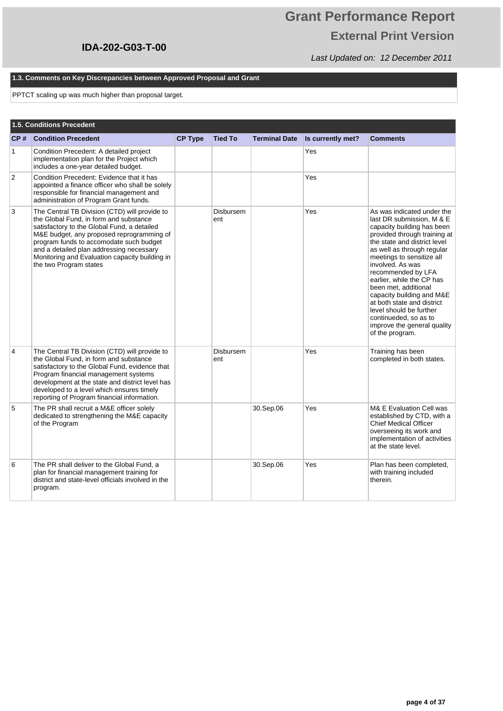# **Grant Performance Report External Print Version**

Last Updated on: 12 December 2011

#### **1.3. Comments on Key Discrepancies between Approved Proposal and Grant**

PPTCT scaling up was much higher than proposal target.

|                | 1.5. Conditions Precedent                                                                                                                                                                                                                                                                                                                              |                |                         |                      |                   |                                                                                                                                                                                                                                                                                                                                                                                                                                                                                  |
|----------------|--------------------------------------------------------------------------------------------------------------------------------------------------------------------------------------------------------------------------------------------------------------------------------------------------------------------------------------------------------|----------------|-------------------------|----------------------|-------------------|----------------------------------------------------------------------------------------------------------------------------------------------------------------------------------------------------------------------------------------------------------------------------------------------------------------------------------------------------------------------------------------------------------------------------------------------------------------------------------|
| CP#            | <b>Condition Precedent</b>                                                                                                                                                                                                                                                                                                                             | <b>CP Type</b> | <b>Tied To</b>          | <b>Terminal Date</b> | Is currently met? | <b>Comments</b>                                                                                                                                                                                                                                                                                                                                                                                                                                                                  |
| 1              | Condition Precedent: A detailed project<br>implementation plan for the Project which<br>includes a one-year detailed budget.                                                                                                                                                                                                                           |                |                         |                      | Yes               |                                                                                                                                                                                                                                                                                                                                                                                                                                                                                  |
| $\overline{2}$ | Condition Precedent: Evidence that it has<br>appointed a finance officer who shall be solely<br>responsible for financial management and<br>administration of Program Grant funds.                                                                                                                                                                     |                |                         |                      | Yes               |                                                                                                                                                                                                                                                                                                                                                                                                                                                                                  |
| 3              | The Central TB Division (CTD) will provide to<br>the Global Fund, in form and substance<br>satisfactory to the Global Fund, a detailed<br>M&E budget, any proposed reprogramming of<br>program funds to accomodate such budget<br>and a detailed plan addressing necessary<br>Monitoring and Evaluation capacity building in<br>the two Program states |                | <b>Disbursem</b><br>ent |                      | Yes               | As was indicated under the<br>last DR submission, M & E<br>capacity building has been<br>provided through training at<br>the state and district level<br>as well as through regular<br>meetings to sensitize all<br>involved. As was<br>recommended by LFA<br>earlier, while the CP has<br>been met, additional<br>capacity building and M&E<br>at both state and district<br>level should be further<br>continueded, so as to<br>improve the general quality<br>of the program. |
| 4              | The Central TB Division (CTD) will provide to<br>the Global Fund, in form and substance<br>satisfactory to the Global Fund, evidence that<br>Program financial management systems<br>development at the state and district level has<br>developed to a level which ensures timely<br>reporting of Program financial information.                       |                | <b>Disbursem</b><br>ent |                      | Yes               | Training has been<br>completed in both states.                                                                                                                                                                                                                                                                                                                                                                                                                                   |
| 5              | The PR shall recruit a M&E officer solely<br>dedicated to strengthening the M&E capacity<br>of the Program                                                                                                                                                                                                                                             |                |                         | 30.Sep.06            | Yes               | M& E Evaluation Cell was<br>established by CTD, with a<br><b>Chief Medical Officer</b><br>overseeing its work and<br>implementation of activities<br>at the state level.                                                                                                                                                                                                                                                                                                         |
| 6              | The PR shall deliver to the Global Fund, a<br>plan for financial management training for<br>district and state-level officials involved in the<br>program.                                                                                                                                                                                             |                |                         | 30.Sep.06            | Yes               | Plan has been completed,<br>with training included<br>therein.                                                                                                                                                                                                                                                                                                                                                                                                                   |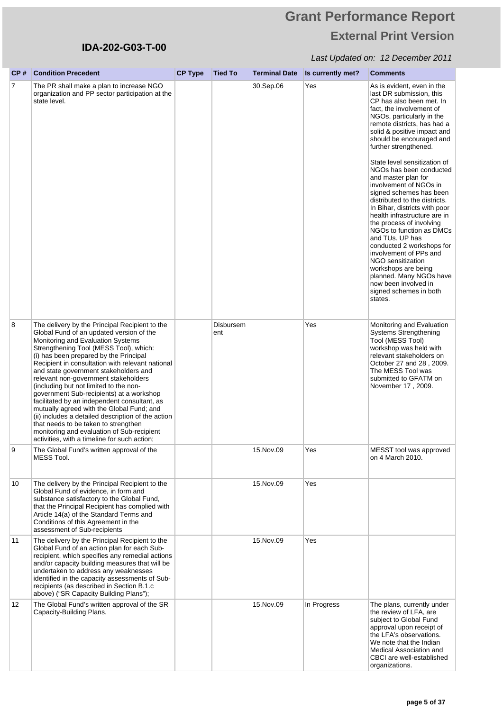# **Grant Performance Report External Print Version**

| CP# | <b>Condition Precedent</b>                                                                                                                                                                                                                                                                                                                                                                                                                                                                                                                                                                                                                                                                                                             | <b>CP Type</b> | <b>Tied To</b>   | <b>Terminal Date</b> | Is currently met? | <b>Comments</b>                                                                                                                                                                                                                                                                                                                                                                                                                                                                                                                                                                                                                                                                                                                                 |
|-----|----------------------------------------------------------------------------------------------------------------------------------------------------------------------------------------------------------------------------------------------------------------------------------------------------------------------------------------------------------------------------------------------------------------------------------------------------------------------------------------------------------------------------------------------------------------------------------------------------------------------------------------------------------------------------------------------------------------------------------------|----------------|------------------|----------------------|-------------------|-------------------------------------------------------------------------------------------------------------------------------------------------------------------------------------------------------------------------------------------------------------------------------------------------------------------------------------------------------------------------------------------------------------------------------------------------------------------------------------------------------------------------------------------------------------------------------------------------------------------------------------------------------------------------------------------------------------------------------------------------|
| 7   | The PR shall make a plan to increase NGO<br>organization and PP sector participation at the<br>state level.                                                                                                                                                                                                                                                                                                                                                                                                                                                                                                                                                                                                                            |                |                  | 30.Sep.06            | Yes               | As is evident, even in the<br>last DR submission, this<br>CP has also been met. In<br>fact, the involvement of<br>NGOs, particularly in the<br>remote districts, has had a<br>solid & positive impact and<br>should be encouraged and<br>further strengthened.<br>State level sensitization of<br>NGOs has been conducted<br>and master plan for<br>involvement of NGOs in<br>signed schemes has been<br>distributed to the districts.<br>In Bihar, districts with poor<br>health infrastructure are in<br>the process of involving<br>NGOs to function as DMCs<br>and TUs. UP has<br>conducted 2 workshops for<br>involvement of PPs and<br><b>NGO</b> sensitization<br>workshops are being<br>planned. Many NGOs have<br>now been involved in |
|     |                                                                                                                                                                                                                                                                                                                                                                                                                                                                                                                                                                                                                                                                                                                                        |                |                  |                      |                   | signed schemes in both<br>states.                                                                                                                                                                                                                                                                                                                                                                                                                                                                                                                                                                                                                                                                                                               |
| 8   | The delivery by the Principal Recipient to the<br>Global Fund of an updated version of the<br>Monitoring and Evaluation Systems<br>Strengthening Tool (MESS Tool), which:<br>(i) has been prepared by the Principal<br>Recipient in consultation with relevant national<br>and state government stakeholders and<br>relevant non-government stakeholders<br>including but not limited to the non-<br>government Sub-recipients) at a workshop<br>facilitated by an independent consultant, as<br>mutually agreed with the Global Fund; and<br>(ii) includes a detailed description of the action<br>that needs to be taken to strengthen<br>monitoring and evaluation of Sub-recipient<br>activities, with a timeline for such action; |                | Disbursem<br>ent |                      | Yes               | Monitoring and Evaluation<br><b>Systems Strengthening</b><br>Tool (MESS Tool)<br>workshop was held with<br>relevant stakeholders on<br>October 27 and 28, 2009.<br>The MESS Tool was<br>submitted to GFATM on<br>November 17, 2009.                                                                                                                                                                                                                                                                                                                                                                                                                                                                                                             |
|     | The Global Fund's written approval of the<br>MESS Tool.                                                                                                                                                                                                                                                                                                                                                                                                                                                                                                                                                                                                                                                                                |                |                  | 15.Nov.09            | Yes               | MESST tool was approved<br>on 4 March 2010.                                                                                                                                                                                                                                                                                                                                                                                                                                                                                                                                                                                                                                                                                                     |
| 10  | The delivery by the Principal Recipient to the<br>Global Fund of evidence, in form and<br>substance satisfactory to the Global Fund,<br>that the Principal Recipient has complied with<br>Article 14(a) of the Standard Terms and<br>Conditions of this Agreement in the<br>assessment of Sub-recipients                                                                                                                                                                                                                                                                                                                                                                                                                               |                |                  | 15. Nov. 09          | Yes               |                                                                                                                                                                                                                                                                                                                                                                                                                                                                                                                                                                                                                                                                                                                                                 |
| 11  | The delivery by the Principal Recipient to the<br>Global Fund of an action plan for each Sub-<br>recipient, which specifies any remedial actions<br>and/or capacity building measures that will be<br>undertaken to address any weaknesses<br>identified in the capacity assessments of Sub-<br>recipients (as described in Section B.1.c<br>above) ("SR Capacity Building Plans");                                                                                                                                                                                                                                                                                                                                                    |                |                  | 15. Nov. 09          | Yes               |                                                                                                                                                                                                                                                                                                                                                                                                                                                                                                                                                                                                                                                                                                                                                 |
| 12  | The Global Fund's written approval of the SR<br>Capacity-Building Plans.                                                                                                                                                                                                                                                                                                                                                                                                                                                                                                                                                                                                                                                               |                |                  | 15. Nov. 09          | In Progress       | The plans, currently under<br>the review of LFA, are<br>subject to Global Fund<br>approval upon receipt of<br>the LFA's observations.<br>We note that the Indian<br>Medical Association and<br>CBCI are well-established<br>organizations.                                                                                                                                                                                                                                                                                                                                                                                                                                                                                                      |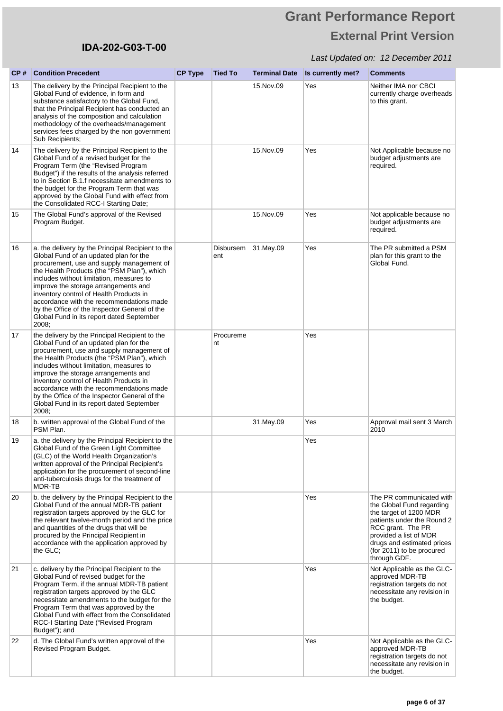# **Grant Performance Report External Print Version**

| CP# | <b>Condition Precedent</b>                                                                                                                                                                                                                                                                                                                                                                                                                                                | <b>CP Type</b> | <b>Tied To</b>          | <b>Terminal Date</b> | Is currently met? | <b>Comments</b>                                                                                                                                                                                                                         |
|-----|---------------------------------------------------------------------------------------------------------------------------------------------------------------------------------------------------------------------------------------------------------------------------------------------------------------------------------------------------------------------------------------------------------------------------------------------------------------------------|----------------|-------------------------|----------------------|-------------------|-----------------------------------------------------------------------------------------------------------------------------------------------------------------------------------------------------------------------------------------|
| 13  | The delivery by the Principal Recipient to the<br>Global Fund of evidence, in form and<br>substance satisfactory to the Global Fund,<br>that the Principal Recipient has conducted an<br>analysis of the composition and calculation<br>methodology of the overheads/management<br>services fees charged by the non government<br>Sub Recipients;                                                                                                                         |                |                         | 15. Nov. 09          | Yes               | Neither IMA nor CBCI<br>currently charge overheads<br>to this grant.                                                                                                                                                                    |
| 14  | The delivery by the Principal Recipient to the<br>Global Fund of a revised budget for the<br>Program Term (the "Revised Program<br>Budget") if the results of the analysis referred<br>to in Section B.1.f necessitate amendments to<br>the budget for the Program Term that was<br>approved by the Global Fund with effect from<br>the Consolidated RCC-I Starting Date;                                                                                                 |                |                         | 15. Nov. 09          | Yes               | Not Applicable because no<br>budget adjustments are<br>required.                                                                                                                                                                        |
| 15  | The Global Fund's approval of the Revised<br>Program Budget.                                                                                                                                                                                                                                                                                                                                                                                                              |                |                         | 15. Nov. 09          | Yes               | Not applicable because no<br>budget adjustments are<br>required.                                                                                                                                                                        |
| 16  | a. the delivery by the Principal Recipient to the<br>Global Fund of an updated plan for the<br>procurement, use and supply management of<br>the Health Products (the "PSM Plan"), which<br>includes without limitation, measures to<br>improve the storage arrangements and<br>inventory control of Health Products in<br>accordance with the recommendations made<br>by the Office of the Inspector General of the<br>Global Fund in its report dated September<br>2008; |                | <b>Disbursem</b><br>ent | 31.May.09            | Yes               | The PR submitted a PSM<br>plan for this grant to the<br>Global Fund.                                                                                                                                                                    |
| 17  | the delivery by the Principal Recipient to the<br>Global Fund of an updated plan for the<br>procurement, use and supply management of<br>the Health Products (the "PSM Plan"), which<br>includes without limitation, measures to<br>improve the storage arrangements and<br>inventory control of Health Products in<br>accordance with the recommendations made<br>by the Office of the Inspector General of the<br>Global Fund in its report dated September<br>2008;    |                | Procureme<br>nt         |                      | Yes               |                                                                                                                                                                                                                                         |
| 18  | b. written approval of the Global Fund of the<br>PSM Plan.                                                                                                                                                                                                                                                                                                                                                                                                                |                |                         | 31.May.09            | Yes               | Approval mail sent 3 March<br>2010                                                                                                                                                                                                      |
| 19  | a. the delivery by the Principal Recipient to the<br>Global Fund of the Green Light Committee<br>(GLC) of the World Health Organization's<br>written approval of the Principal Recipient's<br>application for the procurement of second-line<br>anti-tuberculosis drugs for the treatment of<br>MDR-TB                                                                                                                                                                    |                |                         |                      | Yes               |                                                                                                                                                                                                                                         |
| 20  | b. the delivery by the Principal Recipient to the<br>Global Fund of the annual MDR-TB patient<br>registration targets approved by the GLC for<br>the relevant twelve-month period and the price<br>and quantities of the drugs that will be<br>procured by the Principal Recipient in<br>accordance with the application approved by<br>the GLC;                                                                                                                          |                |                         |                      | Yes               | The PR communicated with<br>the Global Fund regarding<br>the target of 1200 MDR<br>patients under the Round 2<br>RCC grant. The PR<br>provided a list of MDR<br>drugs and estimated prices<br>(for 2011) to be procured<br>through GDF. |
| 21  | c. delivery by the Principal Recipient to the<br>Global Fund of revised budget for the<br>Program Term, if the annual MDR-TB patient<br>registration targets approved by the GLC<br>necessitate amendments to the budget for the<br>Program Term that was approved by the<br>Global Fund with effect from the Consolidated<br>RCC-I Starting Date ("Revised Program<br>Budget"); and                                                                                      |                |                         |                      | Yes               | Not Applicable as the GLC-<br>approved MDR-TB<br>registration targets do not<br>necessitate any revision in<br>the budget.                                                                                                              |
| 22  | d. The Global Fund's written approval of the<br>Revised Program Budget.                                                                                                                                                                                                                                                                                                                                                                                                   |                |                         |                      | Yes               | Not Applicable as the GLC-<br>approved MDR-TB<br>registration targets do not<br>necessitate any revision in<br>the budget.                                                                                                              |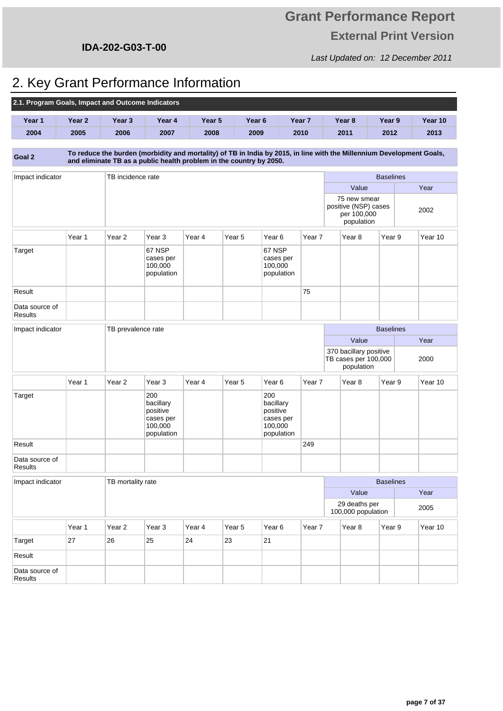**IDA-202-G03-T-00**

#### Last Updated on: 12 December 2011

# 2. Key Grant Performance Information

| 2.1. Program Goals, Impact and Outcome Indicators |        |                                                                     |                                                                    |        |                   |                                                                    |        |                                                                                                                       |                  |  |         |
|---------------------------------------------------|--------|---------------------------------------------------------------------|--------------------------------------------------------------------|--------|-------------------|--------------------------------------------------------------------|--------|-----------------------------------------------------------------------------------------------------------------------|------------------|--|---------|
| Year 1                                            | Year 2 | Year 3                                                              | Year 4                                                             | Year 5 |                   | Year <sub>6</sub>                                                  | Year 7 | Year 8                                                                                                                | Year 9           |  | Year 10 |
| 2004                                              | 2005   | 2006                                                                | 2007                                                               | 2008   |                   | 2009                                                               | 2010   | 2011                                                                                                                  | 2012             |  | 2013    |
| Goal 2                                            |        | and eliminate TB as a public health problem in the country by 2050. |                                                                    |        |                   |                                                                    |        | To reduce the burden (morbidity and mortality) of TB in India by 2015, in line with the Millennium Development Goals, |                  |  |         |
| Impact indicator                                  |        | TB incidence rate                                                   |                                                                    |        |                   |                                                                    |        |                                                                                                                       | <b>Baselines</b> |  |         |
|                                                   |        |                                                                     |                                                                    |        |                   |                                                                    |        | Value                                                                                                                 |                  |  | Year    |
|                                                   |        |                                                                     |                                                                    |        |                   |                                                                    |        | 75 new smear<br>positive (NSP) cases<br>per 100,000<br>population                                                     |                  |  | 2002    |
|                                                   | Year 1 | Year <sub>2</sub>                                                   | Year 3                                                             | Year 4 | Year <sub>5</sub> | Year <sub>6</sub>                                                  | Year 7 | Year 8                                                                                                                | Year 9           |  | Year 10 |
| Target                                            |        |                                                                     | 67 NSP<br>cases per<br>100,000<br>population                       |        |                   | 67 NSP<br>cases per<br>100,000<br>population                       |        |                                                                                                                       |                  |  |         |
| Result                                            |        |                                                                     |                                                                    |        |                   |                                                                    | 75     |                                                                                                                       |                  |  |         |
| Data source of<br>Results                         |        |                                                                     |                                                                    |        |                   |                                                                    |        |                                                                                                                       |                  |  |         |
| Impact indicator                                  |        | TB prevalence rate                                                  |                                                                    |        |                   |                                                                    |        |                                                                                                                       | <b>Baselines</b> |  |         |
|                                                   |        |                                                                     |                                                                    |        |                   |                                                                    |        | Value                                                                                                                 |                  |  | Year    |
|                                                   |        |                                                                     |                                                                    |        |                   |                                                                    |        | 370 bacillary positive<br>TB cases per 100,000<br>population                                                          |                  |  | 2000    |
|                                                   | Year 1 | Year <sub>2</sub>                                                   | Year 3                                                             | Year 4 | Year 5            | Year <sub>6</sub>                                                  | Year 7 | Year 8                                                                                                                | Year 9           |  | Year 10 |
| Target                                            |        |                                                                     | 200<br>bacillary<br>positive<br>cases per<br>100,000<br>population |        |                   | 200<br>bacillary<br>positive<br>cases per<br>100,000<br>population |        |                                                                                                                       |                  |  |         |
| Result                                            |        |                                                                     |                                                                    |        |                   |                                                                    | 249    |                                                                                                                       |                  |  |         |
| Data source of<br><b>Results</b>                  |        |                                                                     |                                                                    |        |                   |                                                                    |        |                                                                                                                       |                  |  |         |
| Impact indicator                                  |        | TB mortality rate                                                   |                                                                    |        |                   |                                                                    |        |                                                                                                                       | <b>Baselines</b> |  |         |
| Value                                             |        |                                                                     |                                                                    |        |                   | Year                                                               |        |                                                                                                                       |                  |  |         |
|                                                   |        |                                                                     |                                                                    |        |                   |                                                                    |        | 29 deaths per<br>100,000 population                                                                                   |                  |  | 2005    |
|                                                   | Year 1 | Year <sub>2</sub>                                                   | Year <sub>3</sub>                                                  | Year 4 | Year 5            | Year 6                                                             | Year 7 | Year <sub>8</sub>                                                                                                     | Year 9           |  | Year 10 |
| Target                                            | 27     | 26                                                                  | 25                                                                 | 24     | 23                | 21                                                                 |        |                                                                                                                       |                  |  |         |
| Result                                            |        |                                                                     |                                                                    |        |                   |                                                                    |        |                                                                                                                       |                  |  |         |
| Data source of<br>Results                         |        |                                                                     |                                                                    |        |                   |                                                                    |        |                                                                                                                       |                  |  |         |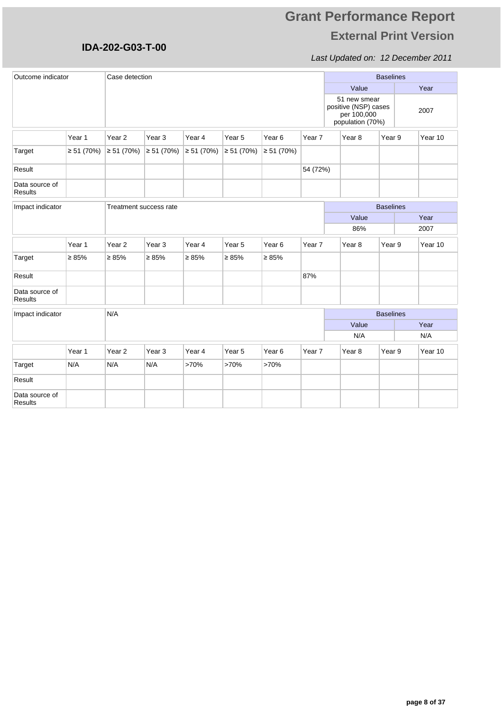### Last Updated on: 12 December 2011

| Outcome indicator         |                 |                        | Case detection    |                  |                   |                   |          |  |                                                                         |                  | <b>Baselines</b> |         |  |  |
|---------------------------|-----------------|------------------------|-------------------|------------------|-------------------|-------------------|----------|--|-------------------------------------------------------------------------|------------------|------------------|---------|--|--|
|                           |                 |                        |                   |                  |                   |                   |          |  | Value                                                                   |                  |                  | Year    |  |  |
|                           |                 |                        |                   |                  |                   |                   |          |  | 51 new smear<br>positive (NSP) cases<br>per 100,000<br>population (70%) |                  |                  | 2007    |  |  |
|                           | Year 1          | Year <sub>2</sub>      | Year <sub>3</sub> | Year 4           | Year 5            | Year <sub>6</sub> | Year 7   |  | Year <sub>8</sub>                                                       | Year 9           |                  | Year 10 |  |  |
| Target                    | $\geq 51(70\%)$ | $\geq 51(70\%)$        | ≥ 51 (70%)        | $\geq 51(70%)$   | $\geq 51$ (70%)   | $\geq 51(70\%)$   |          |  |                                                                         |                  |                  |         |  |  |
| Result                    |                 |                        |                   |                  |                   |                   | 54 (72%) |  |                                                                         |                  |                  |         |  |  |
| Data source of<br>Results |                 |                        |                   |                  |                   |                   |          |  |                                                                         |                  |                  |         |  |  |
| Impact indicator          |                 | Treatment success rate |                   | <b>Baselines</b> |                   |                   |          |  |                                                                         |                  |                  |         |  |  |
|                           |                 |                        |                   |                  |                   |                   |          |  | Value                                                                   |                  |                  | Year    |  |  |
|                           |                 |                        |                   |                  |                   |                   |          |  | 86%                                                                     |                  |                  | 2007    |  |  |
|                           | Year 1          | Year <sub>2</sub>      | Year <sub>3</sub> | Year 4           | Year <sub>5</sub> | Year <sub>6</sub> | Year 7   |  | Year 8                                                                  | Year 9           |                  | Year 10 |  |  |
| Target                    | $\geq 85\%$     | $\geq 85\%$            | $\geq 85\%$       | $\geq 85\%$      | $\geq 85\%$       | $\geq 85\%$       |          |  |                                                                         |                  |                  |         |  |  |
| Result                    |                 |                        |                   |                  |                   |                   | 87%      |  |                                                                         |                  |                  |         |  |  |
| Data source of<br>Results |                 |                        |                   |                  |                   |                   |          |  |                                                                         |                  |                  |         |  |  |
| Impact indicator          |                 | N/A                    |                   |                  |                   |                   |          |  |                                                                         | <b>Baselines</b> |                  |         |  |  |
|                           |                 |                        |                   |                  |                   |                   |          |  | Value                                                                   |                  |                  | Year    |  |  |
|                           |                 |                        |                   |                  |                   |                   |          |  | N/A                                                                     |                  |                  | N/A     |  |  |
|                           | Year 1          | Year <sub>2</sub>      | Year <sub>3</sub> | Year 4           | Year <sub>5</sub> | Year <sub>6</sub> | Year 7   |  | Year <sub>8</sub>                                                       | Year 9           |                  | Year 10 |  |  |
| Target                    | N/A             | N/A                    | N/A               | >70%             | >70%              | >70%              |          |  |                                                                         |                  |                  |         |  |  |
| Result                    |                 |                        |                   |                  |                   |                   |          |  |                                                                         |                  |                  |         |  |  |
| Data source of<br>Results |                 |                        |                   |                  |                   |                   |          |  |                                                                         |                  |                  |         |  |  |

**IDA-202-G03-T-00**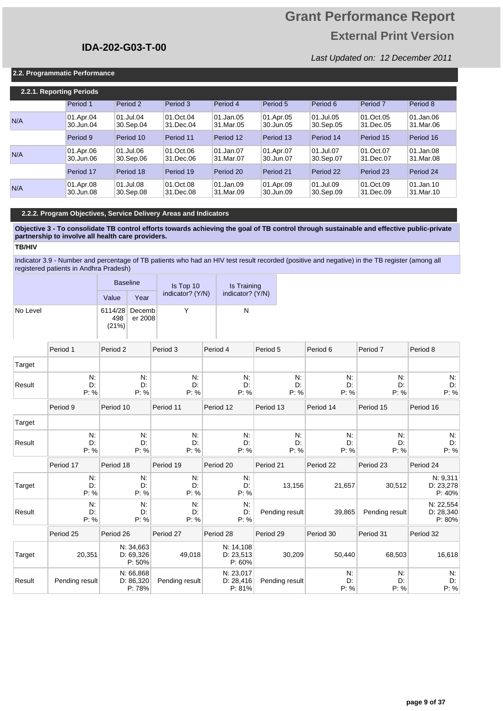## **Grant Performance Report External Print Version**

Last Updated on: 12 December 2011

#### **2.2. Programmatic Performance**

| 2.2.1. Reporting Periods |                        |                        |                        |                        |                        |                        |                        |                        |
|--------------------------|------------------------|------------------------|------------------------|------------------------|------------------------|------------------------|------------------------|------------------------|
|                          | Period 1               | Period 2               | Period 3               | Period 4               | Period 5               | Period 6               | Period <sub>7</sub>    | Period 8               |
| N/A                      | 01.Apr.04<br>30.Jun.04 | 01.Jul.04<br>30.Sep.04 | 01.Oct.04<br>31.Dec.04 | 01.Jan.05<br>31.Mar.05 | 01.Apr.05<br>30.Jun.05 | 01.Jul.05<br>30.Sep.05 | 01.Oct.05<br>31.Dec.05 | 01.Jan.06<br>31.Mar.06 |
|                          | Period 9               | Period 10              | Period 11              | Period 12              | Period 13              | Period 14              | Period 15              | Period 16              |
| N/A                      | 01.Apr.06<br>30.Jun.06 | 01.Jul.06<br>30.Sep.06 | 01.Oct.06<br>31.Dec.06 | 01.Jan.07<br>31.Mar.07 | 01.Apr.07<br>30.Jun.07 | 01.Jul.07<br>30.Sep.07 | 01.Oct.07<br>31.Dec.07 | 01.Jan.08<br>31.Mar.08 |
|                          | Period 17              | Period 18              | Period 19              | Period 20              | Period 21              | Period 22              | Period 23              | Period 24              |
| N/A                      | 01.Apr.08<br>30.Jun.08 | 01.Jul.08<br>30.Sep.08 | 01.Oct.08<br>31.Dec.08 | 01.Jan.09<br>31.Mar.09 | 01.Apr.09<br>30.Jun.09 | 01.Jul.09<br>30.Sep.09 | 01.Oct.09<br>31.Dec.09 | 01.Jan.10<br>31.Mar.10 |

#### **2.2.2. Program Objectives, Service Delivery Areas and Indicators**

**Objective 3 - To consolidate TB control efforts towards achieving the goal of TB control through sustainable and effective public-private partnership to involve all health care providers.** 

**TB/HIV**

Indicator 3.9 - Number and percentage of TB patients who had an HIV test result recorded (positive and negative) in the TB register (among all registered patients in Andhra Pradesh)

|          |                  | <b>Baseline</b>         |                                  | Is Top 10        | Is Training                      |                |                  |                  |                     |                                  |
|----------|------------------|-------------------------|----------------------------------|------------------|----------------------------------|----------------|------------------|------------------|---------------------|----------------------------------|
|          |                  | Value                   | Year                             | indicator? (Y/N) | indicator? (Y/N)                 |                |                  |                  |                     |                                  |
| No Level |                  | 6114/28<br>498<br>(21%) | Decemb<br>er 2008                | Υ                | N                                |                |                  |                  |                     |                                  |
|          | Period 1         | Period <sub>2</sub>     |                                  | Period 3         | Period 4                         | Period 5       |                  | Period 6         | Period <sub>7</sub> | Period 8                         |
| Target   |                  |                         |                                  |                  |                                  |                |                  |                  |                     |                                  |
| Result   | N.<br>D.<br>P: % |                         | N:<br>D:<br>P: %                 | N.<br>D.<br>P: % | N:<br>D:<br>P: %                 |                | N:<br>D:<br>P: % | N.<br>D:<br>P: % | N.<br>D.<br>P: %    | N.<br>D.<br>P: %                 |
|          | Period 9         | Period 10               |                                  | Period 11        | Period 12                        | Period 13      |                  | Period 14        | Period 15           | Period 16                        |
| Target   |                  |                         |                                  |                  |                                  |                |                  |                  |                     |                                  |
| Result   | N.<br>D:<br>P: % |                         | N:<br>D:<br>P: %                 | N:<br>D:<br>P: % | N:<br>D:<br>P: %                 |                | N:<br>D:<br>P: % | N:<br>D:<br>P: % | N.<br>D:<br>P: %    | N:<br>D:<br>P: %                 |
|          | Period 17        | Period 18               |                                  | Period 19        | Period 20                        | Period 21      |                  | Period 22        | Period 23           | Period 24                        |
| Target   | N.<br>D:<br>P: % |                         | N.<br>D:<br>P: %                 | N.<br>D.<br>P: % | N:<br>D:<br>P: %                 |                | 13,156           | 21,657           | 30,512              | N: 9,311<br>D: 23,278<br>P: 40%  |
| Result   | N.<br>D:<br>P: % |                         | N:<br>D:<br>P: %                 | N.<br>D:<br>P: % | N:<br>D:<br>P: %                 | Pending result |                  | 39,865           | Pending result      | N: 22,554<br>D: 28,340<br>P: 80% |
|          | Period 25        | Period 26               |                                  | Period 27        | Period 28                        | Period 29      |                  | Period 30        | Period 31           | Period 32                        |
| Target   | 20,351           |                         | N: 34,663<br>D: 69,326<br>P: 50% | 49,018           | N: 14,108<br>D: 23,513<br>P: 60% |                | 30,209           | 50,440           | 68,503              | 16,618                           |
| Result   | Pending result   |                         | N: 66,868<br>D: 86,320<br>P: 78% | Pending result   | N: 23,017<br>D: 28,416<br>P: 81% | Pending result |                  | N.<br>D:<br>P: % | N.<br>D:<br>P: %    | N.<br>D:<br>P: %                 |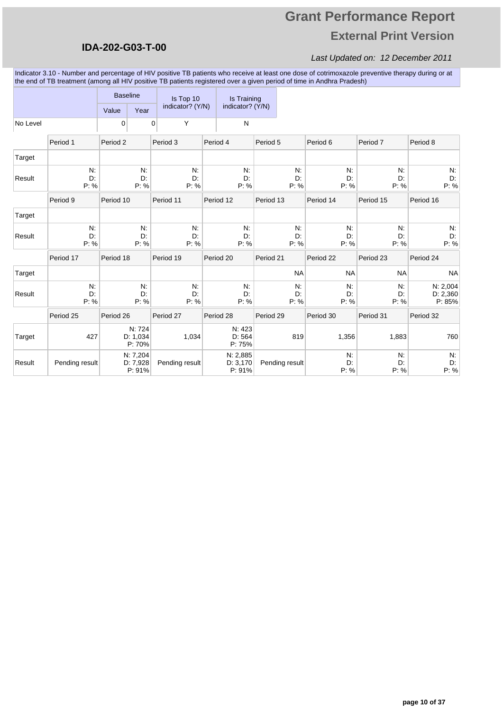### **IDA-202-G03-T-00**

#### Last Updated on: 12 December 2011

Indicator 3.10 - Number and percentage of HIV positive TB patients who receive at least one dose of cotrimoxazole preventive therapy during or at the end of TB treatment (among all HIV positive TB patients registered over a given period of time in Andhra Pradesh)

|          |                  | <b>Baseline</b> |                                | Is Top 10        |                  | Is Training                    |           |                  |                  |                  |                                |
|----------|------------------|-----------------|--------------------------------|------------------|------------------|--------------------------------|-----------|------------------|------------------|------------------|--------------------------------|
|          |                  | Value           | Year                           | indicator? (Y/N) |                  | indicator? (Y/N)               |           |                  |                  |                  |                                |
| No Level |                  | 0               |                                | Υ<br>0           |                  | ${\sf N}$                      |           |                  |                  |                  |                                |
|          | Period 1         | Period 2        |                                | Period 3         |                  | Period 4                       | Period 5  |                  | Period 6         | Period 7         | Period 8                       |
| Target   |                  |                 |                                |                  |                  |                                |           |                  |                  |                  |                                |
| Result   | N.<br>D.<br>P: % |                 | N.<br>D:<br>P: %               |                  | N:<br>D:<br>P: % | N:<br>D.<br>P: %               |           | N.<br>D:<br>P: % | N:<br>D:<br>P: % | N.<br>D:<br>P: % | N:<br>D:<br>P: %               |
|          | Period 9         | Period 10       |                                | Period 11        |                  | Period 12                      | Period 13 |                  | Period 14        | Period 15        | Period 16                      |
| Target   |                  |                 |                                |                  |                  |                                |           |                  |                  |                  |                                |
| Result   | N.<br>D:<br>P: % |                 | N.<br>D:<br>P: %               |                  | N:<br>D:<br>P: % | N:<br>D:<br>P: %               |           | N.<br>D:<br>P: % | N:<br>D:<br>P: % | N.<br>D:<br>P: % | N.<br>D:<br>P: %               |
|          | Period 17        | Period 18       |                                | Period 19        |                  | Period 20                      | Period 21 |                  | Period 22        | Period 23        | Period 24                      |
| Target   |                  |                 |                                |                  |                  |                                |           | <b>NA</b>        | <b>NA</b>        | <b>NA</b>        | <b>NA</b>                      |
| Result   | N.<br>D.<br>P: % |                 | N.<br>D:<br>P: %               |                  | N:<br>D:<br>P: % | N.<br>D:<br>P: %               |           | N:<br>D:<br>P: % | N:<br>D:<br>P: % | N.<br>D:<br>P: % | N: 2,004<br>D: 2,360<br>P: 85% |
|          | Period 25        | Period 26       |                                | Period 27        |                  | Period 28                      | Period 29 |                  | Period 30        | Period 31        | Period 32                      |
| Target   | 427              |                 | N: 724<br>D: 1,034<br>P: 70%   |                  | 1,034            | N: 423<br>D: 564<br>P: 75%     |           | 819              | 1,356            | 1,883            | 760                            |
| Result   | Pending result   |                 | N: 7,204<br>D: 7,928<br>P: 91% | Pending result   |                  | N: 2,885<br>D: 3,170<br>P: 91% |           | Pending result   | N.<br>D:<br>P: % | N.<br>D:<br>P: % | N:<br>D:<br>P: %               |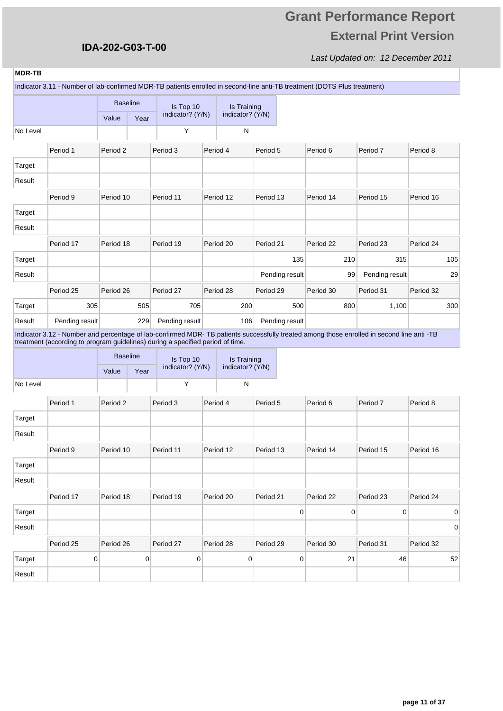# **Grant Performance Report External Print Version**

| <b>MDR-TB</b> |                                                                                                                                                                                                                             |           |                 |                  |                  |           |                |           |                |           |     |
|---------------|-----------------------------------------------------------------------------------------------------------------------------------------------------------------------------------------------------------------------------|-----------|-----------------|------------------|------------------|-----------|----------------|-----------|----------------|-----------|-----|
|               | Indicator 3.11 - Number of lab-confirmed MDR-TB patients enrolled in second-line anti-TB treatment (DOTS Plus treatment)                                                                                                    |           |                 |                  |                  |           |                |           |                |           |     |
|               |                                                                                                                                                                                                                             |           | <b>Baseline</b> | Is Top 10        | Is Training      |           |                |           |                |           |     |
|               |                                                                                                                                                                                                                             | Value     | Year            | indicator? (Y/N) | indicator? (Y/N) |           |                |           |                |           |     |
| No Level      |                                                                                                                                                                                                                             |           |                 | Υ                | ${\sf N}$        |           |                |           |                |           |     |
|               | Period 1                                                                                                                                                                                                                    | Period 2  |                 | Period 3         | Period 4         | Period 5  |                | Period 6  | Period 7       | Period 8  |     |
| Target        |                                                                                                                                                                                                                             |           |                 |                  |                  |           |                |           |                |           |     |
| Result        |                                                                                                                                                                                                                             |           |                 |                  |                  |           |                |           |                |           |     |
|               | Period 9                                                                                                                                                                                                                    | Period 10 |                 | Period 11        | Period 12        | Period 13 |                | Period 14 | Period 15      | Period 16 |     |
| Target        |                                                                                                                                                                                                                             |           |                 |                  |                  |           |                |           |                |           |     |
| Result        |                                                                                                                                                                                                                             |           |                 |                  |                  |           |                |           |                |           |     |
|               | Period 17                                                                                                                                                                                                                   | Period 18 |                 | Period 19        | Period 20        | Period 21 |                | Period 22 | Period 23      | Period 24 |     |
| Target        |                                                                                                                                                                                                                             |           |                 |                  |                  |           | 135            | 210       | 315            |           | 105 |
| Result        |                                                                                                                                                                                                                             |           |                 |                  |                  |           | Pending result | 99        | Pending result |           | 29  |
|               | Period 25                                                                                                                                                                                                                   | Period 26 |                 | Period 27        | Period 28        | Period 29 |                | Period 30 | Period 31      | Period 32 |     |
| Target        | 305                                                                                                                                                                                                                         |           | 505             | 705              | 200              |           | 500            | 800       | 1,100          |           | 300 |
| Result        | Pending result                                                                                                                                                                                                              |           | 229             | Pending result   | 106              |           | Pending result |           |                |           |     |
|               | Indicator 3.12 - Number and percentage of lab-confirmed MDR-TB patients successfully treated among those enrolled in second line anti -TB<br>treatment (according to program guidelines) during a specified period of time. |           |                 |                  |                  |           |                |           |                |           |     |
|               |                                                                                                                                                                                                                             |           | <b>Baseline</b> | Is Top 10        | Is Training      |           |                |           |                |           |     |
|               |                                                                                                                                                                                                                             | Value     | Year            | indicator? (Y/N) | indicator? (Y/N) |           |                |           |                |           |     |
| No Level      |                                                                                                                                                                                                                             |           |                 | Υ                | ${\sf N}$        |           |                |           |                |           |     |
|               | Period 1                                                                                                                                                                                                                    | Period 2  |                 | Period 3         | Period 4         | Period 5  |                | Period 6  | Period 7       | Period 8  |     |
| Target        |                                                                                                                                                                                                                             |           |                 |                  |                  |           |                |           |                |           |     |
| Result        |                                                                                                                                                                                                                             |           |                 |                  |                  |           |                |           |                |           |     |
|               | Period 9                                                                                                                                                                                                                    | Period 10 |                 | Period 11        | Period 12        | Period 13 |                | Period 14 | Period 15      | Period 16 |     |
| Target        |                                                                                                                                                                                                                             |           |                 |                  |                  |           |                |           |                |           |     |
| Result        |                                                                                                                                                                                                                             |           |                 |                  |                  |           |                |           |                |           |     |
|               | Period 17                                                                                                                                                                                                                   | Period 18 |                 | Period 19        | Period 20        | Period 21 |                | Period 22 | Period 23      | Period 24 |     |
| Target        |                                                                                                                                                                                                                             |           |                 |                  |                  |           | $\pmb{0}$      | $\pmb{0}$ | $\pmb{0}$      |           | 0   |
| Result        |                                                                                                                                                                                                                             |           |                 |                  |                  |           |                |           |                |           | 0   |
|               | Period 25                                                                                                                                                                                                                   | Period 26 |                 | Period 27        | Period 28        | Period 29 |                | Period 30 | Period 31      | Period 32 |     |
| Target        | 0                                                                                                                                                                                                                           |           | $\pmb{0}$       | 0                | 0                |           | $\pmb{0}$      | 21        | 46             |           | 52  |
| Result        |                                                                                                                                                                                                                             |           |                 |                  |                  |           |                |           |                |           |     |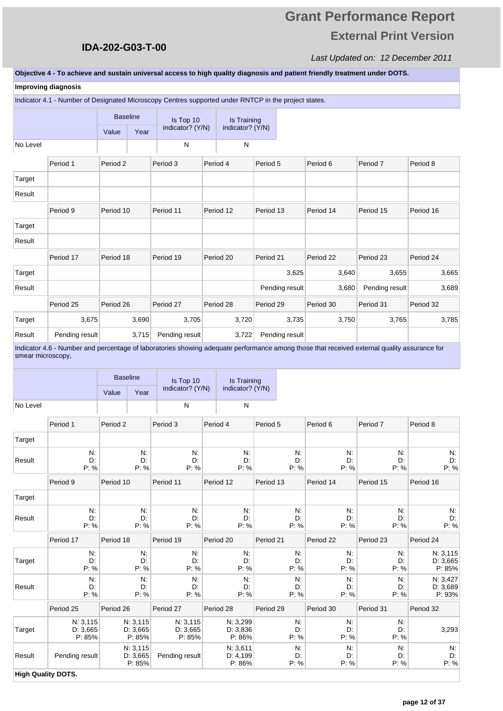# **Grant Performance Report External Print Version**

#### Last Updated on: 12 December 2011

#### **Objective 4 - To achieve and sustain universal access to high quality diagnosis and patient friendly treatment under DOTS.**

|                   | <b>Improving diagnosis</b>                                                                           |                 |                       |                               |                                 |                |                                                                                                                                             |                |                      |
|-------------------|------------------------------------------------------------------------------------------------------|-----------------|-----------------------|-------------------------------|---------------------------------|----------------|---------------------------------------------------------------------------------------------------------------------------------------------|----------------|----------------------|
|                   | Indicator 4.1 - Number of Designated Microscopy Centres supported under RNTCP in the project states. |                 |                       |                               |                                 |                |                                                                                                                                             |                |                      |
|                   |                                                                                                      | <b>Baseline</b> |                       | Is Top 10<br>indicator? (Y/N) | Is Training<br>indicator? (Y/N) |                |                                                                                                                                             |                |                      |
|                   |                                                                                                      | Value           | Year                  |                               |                                 |                |                                                                                                                                             |                |                      |
| No Level          |                                                                                                      |                 |                       | N                             | N                               |                |                                                                                                                                             |                |                      |
|                   | Period 1                                                                                             | Period 2        |                       | Period 3                      | Period 4                        | Period 5       | Period 6                                                                                                                                    | Period 7       | Period 8             |
| Target            |                                                                                                      |                 |                       |                               |                                 |                |                                                                                                                                             |                |                      |
| Result            |                                                                                                      |                 |                       |                               |                                 |                |                                                                                                                                             |                |                      |
|                   | Period 9                                                                                             | Period 10       |                       | Period 11                     | Period 12                       | Period 13      | Period 14                                                                                                                                   | Period 15      | Period 16            |
| Target            |                                                                                                      |                 |                       |                               |                                 |                |                                                                                                                                             |                |                      |
| Result            |                                                                                                      |                 |                       |                               |                                 |                |                                                                                                                                             |                |                      |
|                   | Period 17                                                                                            | Period 18       |                       | Period 19                     | Period 20                       | Period 21      | Period 22                                                                                                                                   | Period 23      | Period 24            |
| Target            |                                                                                                      |                 |                       |                               |                                 | 3,625          | 3,640                                                                                                                                       | 3,655          | 3,665                |
| Result            |                                                                                                      |                 |                       |                               |                                 | Pending result | 3,680                                                                                                                                       | Pending result | 3,689                |
|                   |                                                                                                      |                 |                       |                               |                                 |                |                                                                                                                                             |                |                      |
|                   | Period 25                                                                                            | Period 26       |                       | Period 27                     | Period 28                       | Period 29      | Period 30                                                                                                                                   | Period 31      | Period 32            |
| Target            | 3,675                                                                                                |                 | 3,690                 | 3,705                         | 3,720                           | 3,735          | 3,750                                                                                                                                       | 3,765          | 3,785                |
| Result            | Pending result                                                                                       |                 | 3,715                 | Pending result                | 3,722                           | Pending result |                                                                                                                                             |                |                      |
| smear microscopy, |                                                                                                      |                 |                       |                               |                                 |                | Indicator 4.6 - Number and percentage of laboratories showing adequate performance among those that received external quality assurance for |                |                      |
|                   |                                                                                                      |                 |                       |                               |                                 |                |                                                                                                                                             |                |                      |
|                   |                                                                                                      | <b>Baseline</b> |                       | Is Top 10<br>indicator? (Y/N) | Is Training<br>indicator? (Y/N) |                |                                                                                                                                             |                |                      |
|                   |                                                                                                      | Value           | Year                  |                               |                                 |                |                                                                                                                                             |                |                      |
| No Level          |                                                                                                      |                 |                       | N                             | N                               |                |                                                                                                                                             |                |                      |
|                   | Period 1                                                                                             | Period 2        |                       | Period 3                      | Period 4                        | Period 5       | Period 6                                                                                                                                    | Period 7       | Period 8             |
| Target            |                                                                                                      |                 |                       |                               |                                 |                |                                                                                                                                             |                |                      |
| Result            | N:<br>D:                                                                                             |                 | N.<br>D:              | N.<br>D:                      | N:<br>D:                        | N.<br>D:       | N.<br>D:                                                                                                                                    | N.<br>D:       | N.<br>D.             |
|                   | P: %                                                                                                 |                 | P: %                  | P: %                          | P: %                            | P: %           | P: %                                                                                                                                        | P: %           | P: %                 |
|                   | Period 9                                                                                             | Period 10       |                       | Period 11                     | Period 12                       | Period 13      | Period 14                                                                                                                                   | Period 15      | Period 16            |
| Target            |                                                                                                      |                 |                       |                               |                                 |                |                                                                                                                                             |                |                      |
| Result            | N:<br>D:                                                                                             |                 | N.<br>D:              | N:<br>D:                      | N.<br>D:                        | N.             | N.<br>D:<br>D:                                                                                                                              | N.<br>D:       | N.<br>D:             |
|                   | P: %                                                                                                 |                 | P: %                  | P: %                          | P: %                            | P: %           | P: %                                                                                                                                        | P: %           | P: %                 |
|                   | Period 17                                                                                            | Period 18       |                       | Period 19                     | Period 20                       | Period 21      | Period 22                                                                                                                                   | Period 23      | Period 24            |
| Target            | N:<br>D:                                                                                             |                 | N.<br>D:              | N:<br>D:                      | N.<br>D:                        | N.<br>D:       | N.<br>D:                                                                                                                                    | N.<br>D:       | N: 3,115<br>D: 3,665 |
|                   | P: %                                                                                                 |                 | P: %                  | P: %                          | P: %                            | P: %           | P: %                                                                                                                                        | P: %           | P: 85%               |
| Result            | N:<br>D:                                                                                             |                 | N.<br>D:              | N:<br>D:                      | N:<br>D:                        | N.<br>D.       | N.<br>D.                                                                                                                                    | N.<br>D:       | N: 3,427<br>D: 3,689 |
|                   | P: %                                                                                                 |                 | P: %                  | P: %                          | P: %                            | P: %           | P: %                                                                                                                                        | P: %           | P: 93%               |
|                   | Period 25                                                                                            | Period 26       |                       | Period 27                     | Period 28                       | Period 29      | Period 30                                                                                                                                   | Period 31      | Period 32            |
| Target            | N: 3, 115<br>D: 3,665                                                                                |                 | N: 3, 115<br>D: 3,665 | N: 3,115<br>D: 3,665          | N: 3,299<br>D: 3,836            | N:             | N.<br>D:<br>D.                                                                                                                              | N.<br>D:       | 3,293                |
|                   | P: 85%                                                                                               |                 | P: 85%                | P: 85%                        | P: 86%                          | P: %           | P: %                                                                                                                                        | P: %           |                      |
| Result            | Pending result                                                                                       |                 | N: 3,115<br>D: 3,665  | Pending result                | N: 3,611<br>D: 4,199            | N:<br>D:       | N.<br>D.                                                                                                                                    | N.<br>D:       | N.<br>D:             |
|                   | <b>High Quality DOTS.</b>                                                                            |                 | P: 85%                |                               | P: 86%                          | P: %           | P: %                                                                                                                                        | P: %           | P: %                 |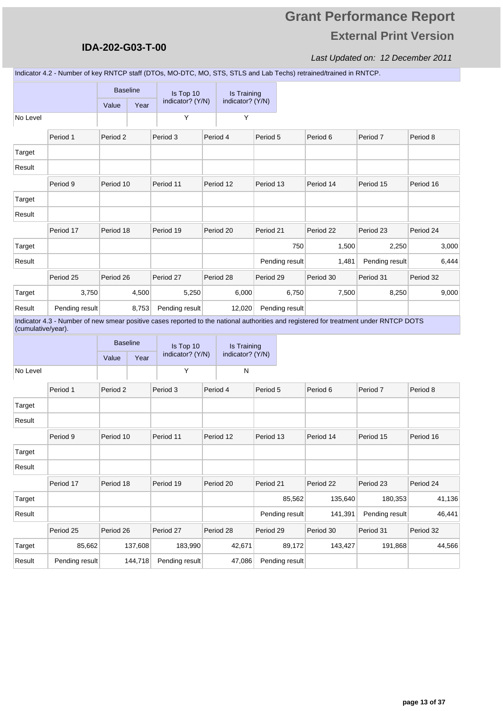### **IDA-202-G03-T-00**

|                    |                                                                                                                                       |           | <b>Baseline</b> | Is Top 10        | Is Training        |           |                |           |                |           |
|--------------------|---------------------------------------------------------------------------------------------------------------------------------------|-----------|-----------------|------------------|--------------------|-----------|----------------|-----------|----------------|-----------|
|                    |                                                                                                                                       | Value     | Year            | indicator? (Y/N) | indicator? (Y/N)   |           |                |           |                |           |
| No Level           |                                                                                                                                       |           |                 | Y                | Y                  |           |                |           |                |           |
|                    | Period 1                                                                                                                              | Period 2  |                 | Period 3         | Period 4           | Period 5  |                | Period 6  | Period 7       | Period 8  |
| Target             |                                                                                                                                       |           |                 |                  |                    |           |                |           |                |           |
| Result             |                                                                                                                                       |           |                 |                  |                    |           |                |           |                |           |
|                    | Period 9                                                                                                                              | Period 10 |                 | Period 11        | Period 12          | Period 13 |                | Period 14 | Period 15      | Period 16 |
| Target             |                                                                                                                                       |           |                 |                  |                    |           |                |           |                |           |
| Result             |                                                                                                                                       |           |                 |                  |                    |           |                |           |                |           |
|                    | Period 17                                                                                                                             | Period 18 |                 | Period 19        | Period 20          | Period 21 |                | Period 22 | Period 23      | Period 24 |
| Target             |                                                                                                                                       |           |                 |                  |                    |           | 750            | 1,500     | 2,250          | 3,000     |
| Result             |                                                                                                                                       |           |                 |                  |                    |           | Pending result | 1,481     | Pending result | 6,444     |
|                    | Period 25                                                                                                                             | Period 26 |                 | Period 27        | Period 28          | Period 29 |                | Period 30 | Period 31      | Period 32 |
| Target             | 3,750                                                                                                                                 |           | 4,500           | 5,250            | 6,000              |           | 6,750          | 7,500     | 8,250          | 9,000     |
| Result             | Pending result                                                                                                                        |           | 8,753           | Pending result   | 12,020             |           | Pending result |           |                |           |
| (cumulative/year). | Indicator 4.3 - Number of new smear positive cases reported to the national authorities and registered for treatment under RNTCP DOTS |           |                 |                  |                    |           |                |           |                |           |
|                    |                                                                                                                                       |           | <b>Baseline</b> | Is Top 10        | <b>Is Training</b> |           |                |           |                |           |
|                    |                                                                                                                                       | Value     | Year            | indicator? (Y/N) | indicator? (Y/N)   |           |                |           |                |           |
| No Level           |                                                                                                                                       |           |                 | Υ                | N                  |           |                |           |                |           |
|                    | Period 1                                                                                                                              | Period 2  |                 | Period 3         | Period 4           | Period 5  |                | Period 6  | Period 7       | Period 8  |
| Target             |                                                                                                                                       |           |                 |                  |                    |           |                |           |                |           |
| Result             |                                                                                                                                       |           |                 |                  |                    |           |                |           |                |           |
|                    | Period 9                                                                                                                              | Period 10 |                 | Period 11        | Period 12          | Period 13 |                | Period 14 | Period 15      | Period 16 |
| Target             |                                                                                                                                       |           |                 |                  |                    |           |                |           |                |           |
| Result             |                                                                                                                                       |           |                 |                  |                    |           |                |           |                |           |
|                    | Period 17                                                                                                                             | Period 18 |                 | Period 19        | Period 20          | Period 21 |                | Period 22 | Period 23      | Period 24 |
| Target             |                                                                                                                                       |           |                 |                  |                    |           | 85,562         | 135,640   | 180,353        | 41,136    |
| Result             |                                                                                                                                       |           |                 |                  |                    |           | Pending result | 141,391   | Pending result | 46,441    |
|                    | Period 25                                                                                                                             | Period 26 |                 | Period 27        | Period 28          | Period 29 |                | Period 30 | Period 31      | Period 32 |
| Target             | 85,662                                                                                                                                |           | 137,608         | 183,990          | 42,671             |           | 89,172         | 143,427   | 191,868        | 44,566    |
| Result             | Pending result                                                                                                                        |           | 144,718         | Pending result   | 47,086             |           | Pending result |           |                |           |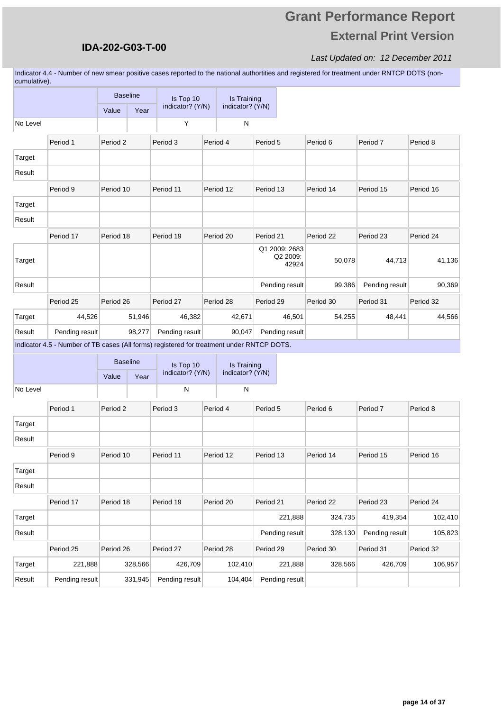## **Grant Performance Report External Print Version**

#### Last Updated on: 12 December 2011

Indicator 4.4 - Number of new smear positive cases reported to the national authortities and registered for treatment under RNTCP DOTS (noncumulative).

|          |                                                                                           | <b>Baseline</b>     |        | Is Top 10        |          | <b>Is Training</b> |           |                                    |           |                |           |
|----------|-------------------------------------------------------------------------------------------|---------------------|--------|------------------|----------|--------------------|-----------|------------------------------------|-----------|----------------|-----------|
|          |                                                                                           | Value               | Year   | indicator? (Y/N) |          | indicator? (Y/N)   |           |                                    |           |                |           |
| No Level |                                                                                           |                     |        | Υ                |          | N                  |           |                                    |           |                |           |
|          | Period 1                                                                                  | Period <sub>2</sub> |        | Period 3         | Period 4 |                    | Period 5  |                                    | Period 6  | Period 7       | Period 8  |
| Target   |                                                                                           |                     |        |                  |          |                    |           |                                    |           |                |           |
| Result   |                                                                                           |                     |        |                  |          |                    |           |                                    |           |                |           |
|          | Period 9                                                                                  | Period 10           |        | Period 11        |          | Period 12          | Period 13 |                                    | Period 14 | Period 15      | Period 16 |
| Target   |                                                                                           |                     |        |                  |          |                    |           |                                    |           |                |           |
| Result   |                                                                                           |                     |        |                  |          |                    |           |                                    |           |                |           |
|          | Period 17                                                                                 | Period 18           |        | Period 19        |          | Period 20          | Period 21 |                                    | Period 22 | Period 23      | Period 24 |
| Target   |                                                                                           |                     |        |                  |          |                    |           | Q1 2009: 2683<br>Q2 2009:<br>42924 | 50,078    | 44,713         | 41,136    |
| Result   |                                                                                           |                     |        |                  |          |                    |           | Pending result                     | 99,386    | Pending result | 90,369    |
|          | Period 25                                                                                 | Period 26           |        | Period 27        |          | Period 28          | Period 29 |                                    | Period 30 | Period 31      | Period 32 |
| Target   | 44,526                                                                                    |                     | 51,946 | 46,382           |          | 42,671             |           | 46,501                             | 54,255    | 48,441         | 44,566    |
| Result   | Pending result                                                                            |                     | 98,277 | Pending result   |          | 90,047             |           | Pending result                     |           |                |           |
|          | Indicator 4.5 - Number of TB cases (All forms) registered for treatment under RNTCP DOTS. |                     |        |                  |          |                    |           |                                    |           |                |           |
|          |                                                                                           | <b>Baseline</b>     |        | Is Top 10        |          | Is Training        |           |                                    |           |                |           |
|          |                                                                                           | Value               | Year   | indicator? (Y/N) |          | indicator? (Y/N)   |           |                                    |           |                |           |
| No Level |                                                                                           |                     |        | N                |          | N                  |           |                                    |           |                |           |
|          | Period 1                                                                                  | Period <sub>2</sub> |        | Period 3         | Period 4 |                    | Period 5  |                                    | Period 6  | Period 7       | Period 8  |
| Target   |                                                                                           |                     |        |                  |          |                    |           |                                    |           |                |           |
| Result   |                                                                                           |                     |        |                  |          |                    |           |                                    |           |                |           |
|          | Period 9                                                                                  | Period 10           |        | Period 11        |          | Period 12          | Period 13 |                                    | Period 14 | Period 15      | Period 16 |
| Target   |                                                                                           |                     |        |                  |          |                    |           |                                    |           |                |           |
| Result   |                                                                                           |                     |        |                  |          |                    |           |                                    |           |                |           |
|          | Period 17                                                                                 | Period 18           |        | Period 19        |          | Period 20          | Period 21 |                                    | Period 22 | Period 23      | Period 24 |
| Target   |                                                                                           |                     |        |                  |          |                    |           | 221,888                            | 324,735   | 419,354        | 102,410   |
| Result   |                                                                                           |                     |        |                  |          |                    |           | Pending result                     | 328,130   | Pending result | 105,823   |

Period 25 Period 26 Period 27 Period 28 Period 29 Period 30 Period 31 Period 32

Target 221,888 328,566 426,709 102,410 221,888 328,566 426,709 106,957

Result Pending result 331,945 Pending result 104,404 Pending result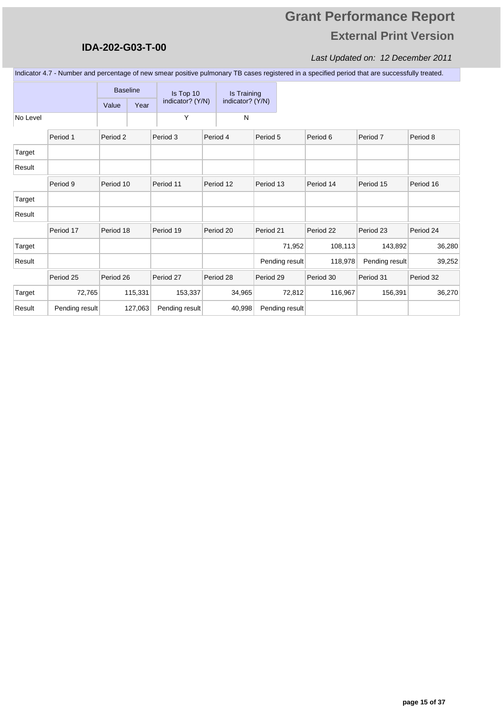### **IDA-202-G03-T-00**

#### Last Updated on: 12 December 2011

Indicator 4.7 - Number and percentage of new smear positive pulmonary TB cases registered in a specified period that are successfully treated.

|          |                | <b>Baseline</b> |         | Is Top 10        | Is Training      |                |           |                |           |
|----------|----------------|-----------------|---------|------------------|------------------|----------------|-----------|----------------|-----------|
|          |                | Value           | Year    | indicator? (Y/N) | indicator? (Y/N) |                |           |                |           |
| No Level |                |                 |         | Υ                | N                |                |           |                |           |
|          | Period 1       | Period 2        |         | Period 3         | Period 4         | Period 5       | Period 6  | Period 7       | Period 8  |
| Target   |                |                 |         |                  |                  |                |           |                |           |
| Result   |                |                 |         |                  |                  |                |           |                |           |
|          | Period 9       | Period 10       |         | Period 11        | Period 12        | Period 13      | Period 14 | Period 15      | Period 16 |
| Target   |                |                 |         |                  |                  |                |           |                |           |
| Result   |                |                 |         |                  |                  |                |           |                |           |
|          | Period 17      | Period 18       |         | Period 19        | Period 20        | Period 21      | Period 22 | Period 23      | Period 24 |
| Target   |                |                 |         |                  |                  | 71,952         | 108,113   | 143,892        | 36,280    |
| Result   |                |                 |         |                  |                  | Pending result | 118,978   | Pending result | 39,252    |
|          | Period 25      | Period 26       |         | Period 27        | Period 28        | Period 29      | Period 30 | Period 31      | Period 32 |
| Target   | 72,765         |                 | 115,331 | 153,337          | 34,965           | 72,812         | 116,967   | 156,391        | 36,270    |
| Result   | Pending result |                 | 127,063 | Pending result   | 40,998           | Pending result |           |                |           |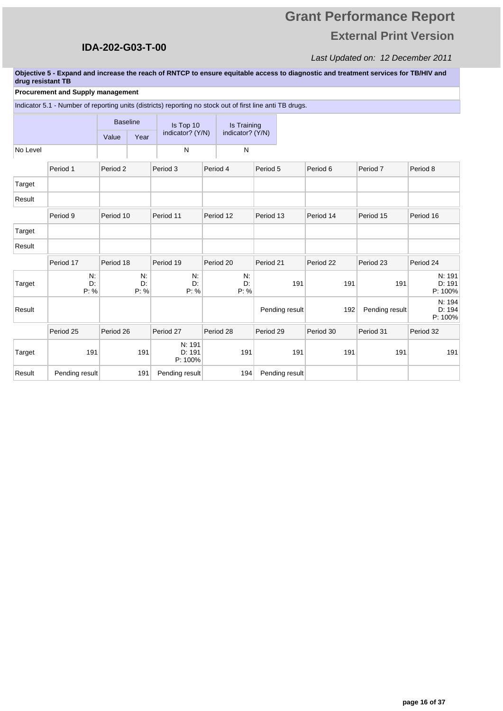# **Grant Performance Report External Print Version**

#### Last Updated on: 12 December 2011

**Objective 5 - Expand and increase the reach of RNTCP to ensure equitable access to diagnostic and treatment services for TB/HIV and drug resistant TB** 

#### **Procurement and Supply management**

|          | Indicator 5.1 - Number of reporting units (districts) reporting no stock out of first line anti TB drugs. |                 |                  |                             |           |                  |                |           |                     |                             |
|----------|-----------------------------------------------------------------------------------------------------------|-----------------|------------------|-----------------------------|-----------|------------------|----------------|-----------|---------------------|-----------------------------|
|          |                                                                                                           | <b>Baseline</b> |                  | Is Top 10                   |           | Is Training      |                |           |                     |                             |
|          |                                                                                                           | Value           | Year             | indicator? (Y/N)            |           | indicator? (Y/N) |                |           |                     |                             |
| No Level |                                                                                                           |                 |                  | N                           |           | N                |                |           |                     |                             |
|          | Period 1                                                                                                  | Period 2        |                  | Period 3                    | Period 4  |                  | Period 5       | Period 6  | Period <sub>7</sub> | Period 8                    |
| Target   |                                                                                                           |                 |                  |                             |           |                  |                |           |                     |                             |
| Result   |                                                                                                           |                 |                  |                             |           |                  |                |           |                     |                             |
|          | Period 9                                                                                                  | Period 10       |                  | Period 11                   | Period 12 |                  | Period 13      | Period 14 | Period 15           | Period 16                   |
| Target   |                                                                                                           |                 |                  |                             |           |                  |                |           |                     |                             |
| Result   |                                                                                                           |                 |                  |                             |           |                  |                |           |                     |                             |
|          | Period 17                                                                                                 | Period 18       |                  | Period 19                   | Period 20 |                  | Period 21      | Period 22 | Period 23           | Period 24                   |
| Target   | N.<br>D:<br>P: %                                                                                          |                 | N:<br>D:<br>P: % | N:<br>D:<br>P: %            |           | N:<br>D:<br>P: % | 191            | 191       | 191                 | N: 191<br>D: 191<br>P: 100% |
| Result   |                                                                                                           |                 |                  |                             |           |                  | Pending result | 192       | Pending result      | N: 194<br>D: 194<br>P: 100% |
|          | Period 25                                                                                                 | Period 26       |                  | Period 27                   | Period 28 |                  | Period 29      | Period 30 | Period 31           | Period 32                   |
| Target   | 191                                                                                                       |                 | 191              | N: 191<br>D: 191<br>P: 100% |           | 191              | 191            | 191       | 191                 | 191                         |
| Result   | Pending result                                                                                            |                 | 191              | Pending result              |           | 194              | Pending result |           |                     |                             |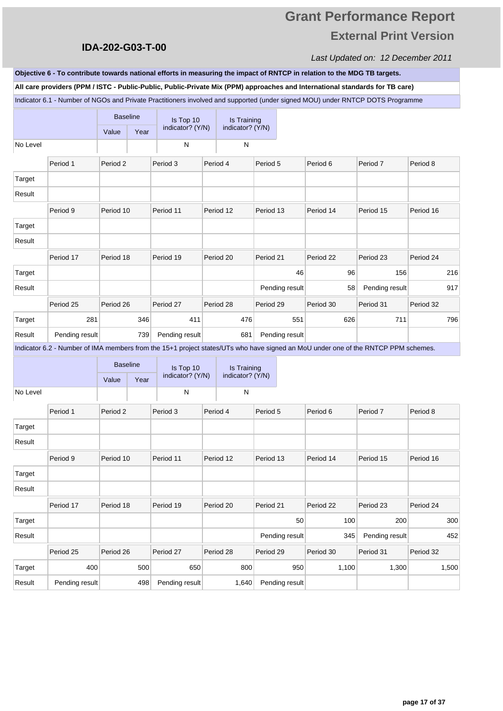### **IDA-202-G03-T-00**

#### Last Updated on: 12 December 2011

Indicator 6.1 - Number of NGOs and Private Practitioners involved and supported (under signed MOU) under RNTCP DOTS Programme **All care providers (PPM / ISTC - Public-Public, Public-Private Mix (PPM) approaches and International standards for TB care) Objective 6 - To contribute towards national efforts in measuring the impact of RNTCP in relation to the MDG TB targets.** 

|          |                                                                                                                                   | <b>Baseline</b>     |                 | Is Top 10        | Is Training      |           |                |           |                |           |       |
|----------|-----------------------------------------------------------------------------------------------------------------------------------|---------------------|-----------------|------------------|------------------|-----------|----------------|-----------|----------------|-----------|-------|
|          |                                                                                                                                   | Value               | Year            | indicator? (Y/N) | indicator? (Y/N) |           |                |           |                |           |       |
| No Level |                                                                                                                                   |                     |                 | $\mathsf{N}$     | $\mathsf{N}$     |           |                |           |                |           |       |
|          | Period 1                                                                                                                          | Period <sub>2</sub> |                 | Period 3         | Period 4         | Period 5  |                | Period 6  | Period 7       | Period 8  |       |
| Target   |                                                                                                                                   |                     |                 |                  |                  |           |                |           |                |           |       |
| Result   |                                                                                                                                   |                     |                 |                  |                  |           |                |           |                |           |       |
|          | Period 9                                                                                                                          | Period 10           |                 | Period 11        | Period 12        | Period 13 |                | Period 14 | Period 15      | Period 16 |       |
| Target   |                                                                                                                                   |                     |                 |                  |                  |           |                |           |                |           |       |
| Result   |                                                                                                                                   |                     |                 |                  |                  |           |                |           |                |           |       |
|          | Period 17                                                                                                                         | Period 18           |                 | Period 19        | Period 20        | Period 21 |                | Period 22 | Period 23      | Period 24 |       |
| Target   |                                                                                                                                   |                     |                 |                  |                  |           | 46             | 96        | 156            |           | 216   |
| Result   |                                                                                                                                   |                     |                 |                  |                  |           | Pending result | 58        | Pending result |           | 917   |
|          | Period 25                                                                                                                         | Period 26           |                 | Period 27        | Period 28        | Period 29 |                | Period 30 | Period 31      | Period 32 |       |
| Target   | 281                                                                                                                               |                     | 346             | 411              | 476              |           | 551            | 626       | 711            |           | 796   |
| Result   | Pending result                                                                                                                    |                     | 739             | Pending result   | 681              |           | Pending result |           |                |           |       |
|          | Indicator 6.2 - Number of IMA members from the 15+1 project states/UTs who have signed an MoU under one of the RNTCP PPM schemes. |                     |                 |                  |                  |           |                |           |                |           |       |
|          |                                                                                                                                   |                     | <b>Baseline</b> | Is Top 10        | Is Training      |           |                |           |                |           |       |
|          |                                                                                                                                   | Value               | Year            | indicator? (Y/N) | indicator? (Y/N) |           |                |           |                |           |       |
| No Level |                                                                                                                                   |                     |                 | ${\sf N}$        | ${\sf N}$        |           |                |           |                |           |       |
|          | Period 1                                                                                                                          | Period 2            |                 | Period 3         | Period 4         | Period 5  |                | Period 6  | Period 7       | Period 8  |       |
| Target   |                                                                                                                                   |                     |                 |                  |                  |           |                |           |                |           |       |
| Result   |                                                                                                                                   |                     |                 |                  |                  |           |                |           |                |           |       |
|          | Period 9                                                                                                                          | Period 10           |                 | Period 11        | Period 12        | Period 13 |                | Period 14 | Period 15      | Period 16 |       |
| Target   |                                                                                                                                   |                     |                 |                  |                  |           |                |           |                |           |       |
| Result   |                                                                                                                                   |                     |                 |                  |                  |           |                |           |                |           |       |
|          | Period 17                                                                                                                         | Period 18           |                 | Period 19        | Period 20        | Period 21 |                | Period 22 | Period 23      | Period 24 |       |
| Target   |                                                                                                                                   |                     |                 |                  |                  |           | 50             | 100       | 200            |           | 300   |
| Result   |                                                                                                                                   |                     |                 |                  |                  |           | Pending result | 345       | Pending result |           | 452   |
|          | Period 25                                                                                                                         | Period 26           |                 | Period 27        | Period 28        | Period 29 |                | Period 30 | Period 31      | Period 32 |       |
| Target   | 400                                                                                                                               |                     | 500             | 650              | 800              |           | 950            | 1,100     | 1,300          |           | 1,500 |
| Result   | Pending result                                                                                                                    |                     | 498             | Pending result   | 1,640            |           | Pending result |           |                |           |       |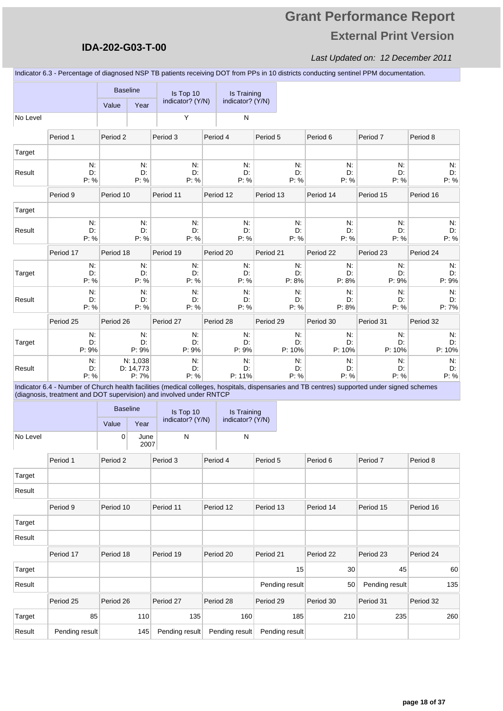### **IDA-202-G03-T-00**

#### Last Updated on: 12 December 2011

Indicator 6.3 - Percentage of diagnosed NSP TB patients receiving DOT from PPs in 10 districts conducting sentinel PPM documentation.

|          |                                                                                                                                                                                                                     |           | <b>Baseline</b>                | Is Top 10<br>indicator? (Y/N) | Is Training<br>indicator? (Y/N) |           |                      |                   |                      |                      |
|----------|---------------------------------------------------------------------------------------------------------------------------------------------------------------------------------------------------------------------|-----------|--------------------------------|-------------------------------|---------------------------------|-----------|----------------------|-------------------|----------------------|----------------------|
| No Level |                                                                                                                                                                                                                     | Value     | Year                           | Υ                             | ${\sf N}$                       |           |                      |                   |                      |                      |
|          |                                                                                                                                                                                                                     |           |                                |                               |                                 |           |                      |                   |                      |                      |
|          | Period 1                                                                                                                                                                                                            | Period 2  |                                | Period 3                      | Period 4                        | Period 5  |                      | Period 6          | Period 7             | Period 8             |
| Target   |                                                                                                                                                                                                                     |           | $N$ :                          |                               | N:                              |           | $N$ .                |                   | $N$ :                |                      |
| Result   | N:<br>D.<br>P: %                                                                                                                                                                                                    |           | D:<br>P: %                     | N:<br>D:<br>P: %              | D:<br>P: %                      |           | D:<br>P: %           | N:<br>D:<br>P: %  | D:<br>P: %           | N.<br>D:<br>P: %     |
|          | Period 9                                                                                                                                                                                                            | Period 10 |                                | Period 11                     | Period 12                       | Period 13 |                      | Period 14         | Period 15            | Period 16            |
| Target   |                                                                                                                                                                                                                     |           |                                |                               |                                 |           |                      |                   |                      |                      |
| Result   | N:<br>D:<br>P: %                                                                                                                                                                                                    |           | N:<br>D:<br>P: %               | N:<br>D:<br>P: %              | N:<br>D:<br>P: %                |           | $N$ .<br>D.<br>P: %  | N.<br>D:<br>P: %  | N.<br>D:<br>P: %     | N.<br>D:<br>P: %     |
|          | Period 17                                                                                                                                                                                                           | Period 18 |                                | Period 19                     | Period 20                       | Period 21 |                      | Period 22         | Period 23            | Period 24            |
| Target   | $N$ :<br>D:<br>P: %                                                                                                                                                                                                 |           | $N$ :<br>D:<br>P: %            | N:<br>D:<br>P: %              | N:<br>D:<br>P: %                |           | $N$ .<br>D.<br>P: 8% | N:<br>D:<br>P: 8% | $N$ :<br>D:<br>P: 9% | $N$ :<br>D:<br>P: 9% |
| Result   | N:<br>D.<br>P: %                                                                                                                                                                                                    |           | $N$ :<br>D:<br>P: %            | N:<br>D:<br>P: %              | N:<br>D:<br>P: %                |           | $N$ .<br>D:<br>P: %  | N:<br>D:<br>P: 8% | $N$ :<br>D:<br>P: %  | N.<br>D:<br>P: 7%    |
|          | Period 25                                                                                                                                                                                                           | Period 26 |                                | Period 27                     | Period 28                       | Period 29 |                      | Period 30         | Period 31            | Period 32            |
|          | N:                                                                                                                                                                                                                  |           | N:                             | N:                            | N.                              |           | N.                   | N:                | Ν.                   | N.                   |
| Target   | D:<br>P: 9%                                                                                                                                                                                                         |           | D:<br>P: 9%                    | D:<br>P: 9%                   | D:<br>P: 9%                     |           | D:<br>P: 10%         | D:<br>P: 10%      | D:<br>P: 10%         | D:<br>P: 10%         |
| Result   | N:<br>D:<br>P: %                                                                                                                                                                                                    |           | N: 1,038<br>D: 14,773<br>P: 7% | N:<br>D:<br>P: %              | N.<br>D:<br>P: 11%              |           | $N$ .<br>D:<br>P: %  | N.<br>D.<br>P: %  | N:<br>D:<br>P: %     | N:<br>D.<br>P: %     |
|          | Indicator 6.4 - Number of Church health facilities (medical colleges, hospitals, dispensaries and TB centres) supported under signed schemes<br>(diagnosis, treatment and DOT supervision) and involved under RNTCP |           |                                |                               |                                 |           |                      |                   |                      |                      |
|          |                                                                                                                                                                                                                     |           | <b>Baseline</b>                |                               | Is Training                     |           |                      |                   |                      |                      |
|          |                                                                                                                                                                                                                     | Value     | Year                           | Is Top 10<br>indicator? (Y/N) | indicator? (Y/N)                |           |                      |                   |                      |                      |
| No Level |                                                                                                                                                                                                                     | 0         | June<br>2007                   | ${\sf N}$                     | ${\sf N}$                       |           |                      |                   |                      |                      |
|          | Period 1                                                                                                                                                                                                            | Period 2  |                                | Period 3                      | Period 4                        | Period 5  |                      | Period 6          | Period 7             | Period 8             |
| Target   |                                                                                                                                                                                                                     |           |                                |                               |                                 |           |                      |                   |                      |                      |
| Result   |                                                                                                                                                                                                                     |           |                                |                               |                                 |           |                      |                   |                      |                      |
|          | Period 9                                                                                                                                                                                                            | Period 10 |                                | Period 11                     | Period 12                       | Period 13 |                      | Period 14         | Period 15            | Period 16            |
| Target   |                                                                                                                                                                                                                     |           |                                |                               |                                 |           |                      |                   |                      |                      |
| Result   |                                                                                                                                                                                                                     |           |                                |                               |                                 |           |                      |                   |                      |                      |
|          | Period 17                                                                                                                                                                                                           | Period 18 |                                | Period 19                     | Period 20                       | Period 21 |                      | Period 22         | Period 23            | Period 24            |
| Target   |                                                                                                                                                                                                                     |           |                                |                               |                                 |           | 15                   | 30                | 45                   | 60                   |
| Result   |                                                                                                                                                                                                                     |           |                                |                               |                                 |           | Pending result       | 50                | Pending result       | 135                  |
|          | Period 25                                                                                                                                                                                                           | Period 26 |                                | Period 27                     | Period 28                       | Period 29 |                      | Period 30         | Period 31            | Period 32            |
| Target   | 85                                                                                                                                                                                                                  |           | 110                            | 135                           | 160                             |           | 185                  | 210               | 235                  | 260                  |
| Result   | Pending result                                                                                                                                                                                                      |           | 145                            | Pending result                | Pending result                  |           | Pending result       |                   |                      |                      |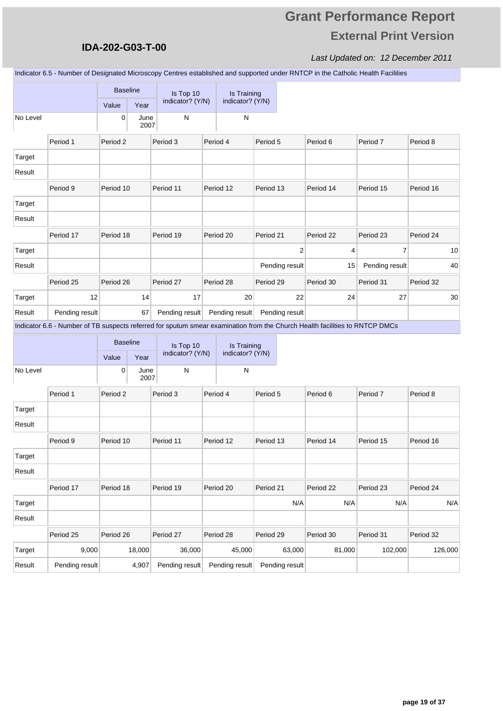### **IDA-202-G03-T-00**

Last Updated on: 12 December 2011

Indicator 6.5 - Number of Designated Microscopy Centres established and supported under RNTCP in the Catholic Health Facilities

|          |                                                                                                                             | <b>Baseline</b><br>Value | Year         | Is Top 10<br>indicator? (Y/N) | Is Training<br>indicator? (Y/N) |           |                |           |                |           |         |
|----------|-----------------------------------------------------------------------------------------------------------------------------|--------------------------|--------------|-------------------------------|---------------------------------|-----------|----------------|-----------|----------------|-----------|---------|
| No Level |                                                                                                                             | $\mathbf 0$              | June<br>2007 | N                             | N                               |           |                |           |                |           |         |
|          | Period 1                                                                                                                    | Period 2                 |              | Period 3                      | Period 4                        | Period 5  |                | Period 6  | Period 7       | Period 8  |         |
| Target   |                                                                                                                             |                          |              |                               |                                 |           |                |           |                |           |         |
| Result   |                                                                                                                             |                          |              |                               |                                 |           |                |           |                |           |         |
|          | Period 9                                                                                                                    | Period 10                |              | Period 11                     | Period 12                       | Period 13 |                | Period 14 | Period 15      | Period 16 |         |
| Target   |                                                                                                                             |                          |              |                               |                                 |           |                |           |                |           |         |
| Result   |                                                                                                                             |                          |              |                               |                                 |           |                |           |                |           |         |
|          | Period 17                                                                                                                   | Period 18                |              | Period 19                     | Period 20                       | Period 21 |                | Period 22 | Period 23      | Period 24 |         |
| Target   |                                                                                                                             |                          |              |                               |                                 |           | $\overline{2}$ | 4         | 7              |           | 10      |
| Result   |                                                                                                                             |                          |              |                               |                                 |           | Pending result | 15        | Pending result |           | 40      |
|          | Period 25                                                                                                                   | Period 26                |              | Period 27                     | Period 28                       | Period 29 |                | Period 30 | Period 31      | Period 32 |         |
| Target   | 12                                                                                                                          |                          | 14           | 17                            | 20                              |           | 22             | 24        | 27             |           | 30      |
| Result   | Pending result                                                                                                              |                          | 67           | Pending result                | Pending result                  |           | Pending result |           |                |           |         |
|          | Indicator 6.6 - Number of TB suspects referred for sputum smear examination from the Church Health facilities to RNTCP DMCs |                          |              |                               |                                 |           |                |           |                |           |         |
|          |                                                                                                                             | <b>Baseline</b>          |              | Is Top 10                     | Is Training                     |           |                |           |                |           |         |
|          |                                                                                                                             | Value                    | Year         | indicator? (Y/N)              | indicator? (Y/N)                |           |                |           |                |           |         |
| No Level |                                                                                                                             | 0                        | June<br>2007 | N                             | N                               |           |                |           |                |           |         |
|          | Period 1                                                                                                                    | Period 2                 |              | Period 3                      | Period 4                        | Period 5  |                | Period 6  | Period 7       | Period 8  |         |
| Target   |                                                                                                                             |                          |              |                               |                                 |           |                |           |                |           |         |
| Result   |                                                                                                                             |                          |              |                               |                                 |           |                |           |                |           |         |
|          | Period 9                                                                                                                    | Period 10                |              | Period 11                     | Period 12                       | Period 13 |                | Period 14 | Period 15      | Period 16 |         |
| Target   |                                                                                                                             |                          |              |                               |                                 |           |                |           |                |           |         |
| Result   |                                                                                                                             |                          |              |                               |                                 |           |                |           |                |           |         |
|          | Period 17                                                                                                                   | Period 18                |              | Period 19                     | Period 20                       | Period 21 |                | Period 22 | Period 23      | Period 24 |         |
| Target   |                                                                                                                             |                          |              |                               |                                 |           | N/A            | N/A       | N/A            |           | N/A     |
| Result   |                                                                                                                             |                          |              |                               |                                 |           |                |           |                |           |         |
|          | Period 25                                                                                                                   | Period 26                |              | Period 27                     | Period 28                       | Period 29 |                | Period 30 | Period 31      | Period 32 |         |
| Target   | 9,000                                                                                                                       |                          | 18,000       | 36,000                        | 45,000                          |           | 63,000         | 81,000    | 102,000        |           | 126,000 |
| Result   | Pending result                                                                                                              |                          | 4,907        | Pending result                | Pending result                  |           | Pending result |           |                |           |         |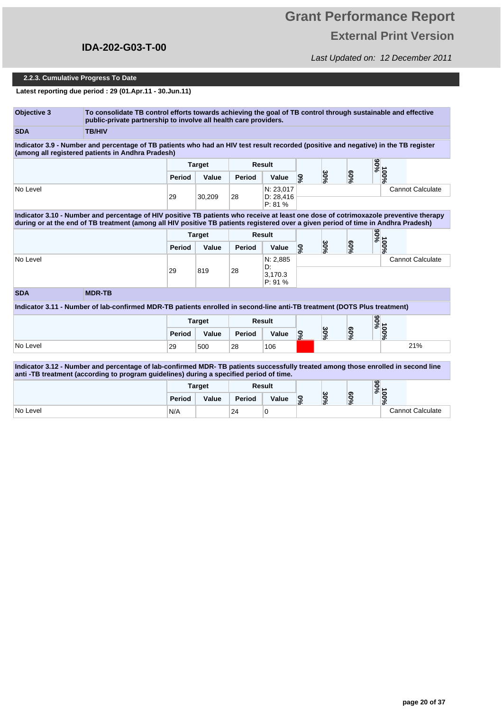# **Grant Performance Report External Print Version**

Last Updated on: 12 December 2011

#### **2.2.3. Cumulative Progress To Date**

**Latest reporting due period : 29 (01.Apr.11 - 30.Jun.11)**

| <b>Objective 3</b> | To consolidate TB control efforts towards achieving the goal of TB control through sustainable and effective<br>public-private partnership to involve all health care providers.                                                                                           |               |               |        |                                  |                 |     |        |      |                         |
|--------------------|----------------------------------------------------------------------------------------------------------------------------------------------------------------------------------------------------------------------------------------------------------------------------|---------------|---------------|--------|----------------------------------|-----------------|-----|--------|------|-------------------------|
| <b>SDA</b>         | <b>TB/HIV</b>                                                                                                                                                                                                                                                              |               |               |        |                                  |                 |     |        |      |                         |
|                    | Indicator 3.9 - Number and percentage of TB patients who had an HIV test result recorded (positive and negative) in the TB register<br>(among all registered patients in Andhra Pradesh)                                                                                   |               |               |        |                                  |                 |     |        |      |                         |
|                    |                                                                                                                                                                                                                                                                            |               | <b>Target</b> |        | Result                           |                 |     |        | %06  |                         |
|                    |                                                                                                                                                                                                                                                                            | Period        | Value         | Period | Value                            | 9%              | 30% | $60\%$ | 100% |                         |
| No Level           |                                                                                                                                                                                                                                                                            | 29            | 30,209        | 28     | N: 23,017<br>D: 28,416<br>P: 81% |                 |     |        |      | <b>Cannot Calculate</b> |
|                    | Indicator 3.10 - Number and percentage of HIV positive TB patients who receive at least one dose of cotrimoxazole preventive therapy<br>during or at the end of TB treatment (among all HIV positive TB patients registered over a given period of time in Andhra Pradesh) |               |               |        |                                  |                 |     |        |      |                         |
|                    |                                                                                                                                                                                                                                                                            |               | <b>Target</b> |        | <b>Result</b>                    |                 |     |        | %06  |                         |
|                    |                                                                                                                                                                                                                                                                            | <b>Period</b> | Value         | Period | Value                            | 9%              | 30% | $60\%$ | 100% |                         |
| No Level           |                                                                                                                                                                                                                                                                            |               |               |        | N: 2,885<br>D:                   |                 |     |        |      | <b>Cannot Calculate</b> |
|                    |                                                                                                                                                                                                                                                                            | 29            | 819           | 28     | 3.170.3<br>P: 91%                |                 |     |        |      |                         |
| <b>SDA</b>         | <b>MDR-TB</b>                                                                                                                                                                                                                                                              |               |               |        |                                  |                 |     |        |      |                         |
|                    | Indicator 3.11 - Number of lab-confirmed MDR-TB patients enrolled in second-line anti-TB treatment (DOTS Plus treatment)                                                                                                                                                   |               |               |        |                                  |                 |     |        |      |                         |
|                    |                                                                                                                                                                                                                                                                            |               | <b>Target</b> |        | Result                           |                 |     |        | %06  |                         |
|                    |                                                                                                                                                                                                                                                                            | Period        | Value         | Period | Value                            | 9%              | 30% | $60\%$ | 100% |                         |
| No Level           |                                                                                                                                                                                                                                                                            | 29            | 500           | 28     | 106                              |                 |     |        |      | 21%                     |
|                    | Indicator 3.12 - Number and percentage of lab-confirmed MDR-TB patients successfully treated among those enrolled in second line<br>anti-TB treatment (according to program guidelines) during a specified period of time.                                                 |               |               |        |                                  |                 |     |        |      |                         |
|                    |                                                                                                                                                                                                                                                                            |               | <b>Target</b> |        | <b>Result</b>                    |                 |     |        | %56  |                         |
|                    |                                                                                                                                                                                                                                                                            | Period        | Value         | Period | Value                            | $\mathcal{S}_6$ | 30% | $60\%$ | 100% |                         |
|                    |                                                                                                                                                                                                                                                                            |               |               | 24     |                                  |                 |     |        |      | <b>Cannot Calculate</b> |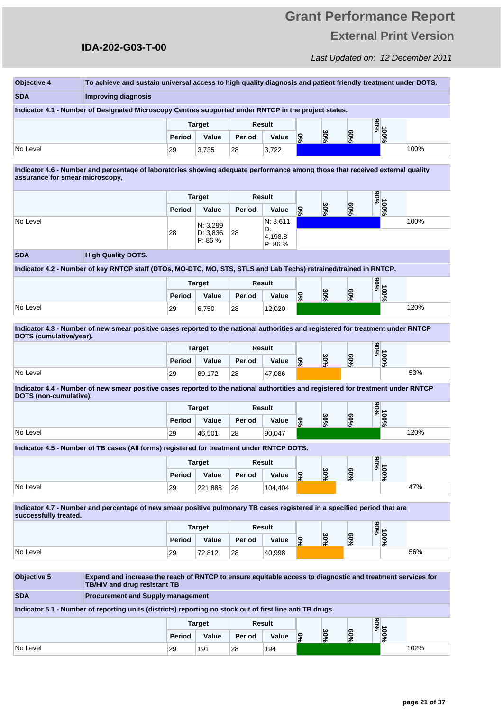#### **IDA-202-G03-T-00**

| <b>Objective 4</b>              | To achieve and sustain universal access to high quality diagnosis and patient friendly treatment under DOTS.                                      |               |                     |        |                          |                          |     |            |             |      |
|---------------------------------|---------------------------------------------------------------------------------------------------------------------------------------------------|---------------|---------------------|--------|--------------------------|--------------------------|-----|------------|-------------|------|
| <b>SDA</b>                      | <b>Improving diagnosis</b>                                                                                                                        |               |                     |        |                          |                          |     |            |             |      |
|                                 | Indicator 4.1 - Number of Designated Microscopy Centres supported under RNTCP in the project states.                                              |               |                     |        |                          |                          |     |            |             |      |
|                                 |                                                                                                                                                   |               | <b>Target</b>       |        | Result                   |                          |     |            | %06         |      |
|                                 |                                                                                                                                                   | Period        | Value               | Period | Value                    | $\mathbf{S}$             | 30% | $60\%$     | 100%        |      |
| No Level                        |                                                                                                                                                   | 29            | 3,735               | 28     | 3,722                    |                          |     |            |             | 100% |
| assurance for smear microscopy, | Indicator 4.6 - Number and percentage of laboratories showing adequate performance among those that received external quality                     |               |                     |        |                          |                          |     |            |             |      |
|                                 |                                                                                                                                                   |               | <b>Target</b>       |        | Result                   |                          |     |            | %66         |      |
|                                 |                                                                                                                                                   | <b>Period</b> | Value               | Period | Value                    | 5%                       | 30% | <b>60%</b> | 100%        |      |
| No Level                        |                                                                                                                                                   |               | N: 3,299            |        | N: 3,611                 |                          |     |            |             | 100% |
|                                 |                                                                                                                                                   | 28            | D: 3,836<br>P: 86 % | 28     | D.<br>4,198.8<br>P: 86 % |                          |     |            |             |      |
| <b>SDA</b>                      | <b>High Quality DOTS.</b>                                                                                                                         |               |                     |        |                          |                          |     |            |             |      |
|                                 | Indicator 4.2 - Number of key RNTCP staff (DTOs, MO-DTC, MO, STS, STLS and Lab Techs) retrained/trained in RNTCP.                                 |               |                     |        |                          |                          |     |            |             |      |
|                                 |                                                                                                                                                   |               | <b>Target</b>       |        | Result                   |                          |     |            | %06         |      |
|                                 |                                                                                                                                                   | Period        | Value               | Period | Value                    | $\overline{\mathcal{S}}$ | 30% | $90\%$     | 100%        |      |
| No Level                        |                                                                                                                                                   | 29            | 6,750               | 28     | 12,020                   |                          |     |            |             | 120% |
| DOTS (cumulative/year).         |                                                                                                                                                   |               | Target              |        | Result                   |                          |     |            | %06<br>100% |      |
|                                 |                                                                                                                                                   | Period        | Value               | Period | Value                    | 9%                       | 30% | $60\%$     |             |      |
| No Level                        |                                                                                                                                                   | 29            | 89,172              | 28     | 47,086                   |                          |     |            |             | 53%  |
| DOTS (non-cumulative).          | Indicator 4.4 - Number of new smear positive cases reported to the national authortities and registered for treatment under RNTCP                 |               |                     |        |                          |                          |     |            |             |      |
|                                 |                                                                                                                                                   |               | <b>Target</b>       |        | Result                   |                          |     |            | %66         |      |
|                                 |                                                                                                                                                   | Period        | Value               | Period | Value                    | $\mathbf{S}$             | 30% | $60\%$     | $100\%$     |      |
| No Level                        |                                                                                                                                                   | 29            | 46,501              | 28     | 90,047                   |                          |     |            |             | 120% |
|                                 | Indicator 4.5 - Number of TB cases (All forms) registered for treatment under RNTCP DOTS.                                                         |               |                     |        |                          |                          |     |            |             |      |
|                                 |                                                                                                                                                   |               | <b>Target</b>       |        | Result                   |                          |     |            | %06         |      |
|                                 |                                                                                                                                                   | Period        | Value               | Period | Value                    | $\mathbf{S}$             | 30% | $60\%$     | 100%        |      |
| No Level                        |                                                                                                                                                   | 29            | 221,888             | 28     | 104,404                  |                          |     |            |             | 47%  |
|                                 |                                                                                                                                                   |               |                     |        |                          |                          |     |            |             |      |
| successfully treated.           | Indicator 4.7 - Number and percentage of new smear positive pulmonary TB cases registered in a specified period that are                          |               |                     |        |                          |                          |     |            |             |      |
|                                 |                                                                                                                                                   |               | <b>Target</b>       |        | Result                   |                          |     |            | %56         |      |
|                                 |                                                                                                                                                   | Period        | Value               | Period | Value                    | 9%                       | 30% | $60\%$     | 100%        |      |
| No Level                        |                                                                                                                                                   | 29            | 72,812              | 28     | 40,998                   |                          |     |            |             | 56%  |
|                                 |                                                                                                                                                   |               |                     |        |                          |                          |     |            |             |      |
| Objective 5                     | Expand and increase the reach of RNTCP to ensure equitable access to diagnostic and treatment services for<br><b>TB/HIV and drug resistant TB</b> |               |                     |        |                          |                          |     |            |             |      |
| <b>SDA</b>                      | <b>Procurement and Supply management</b>                                                                                                          |               |                     |        |                          |                          |     |            |             |      |
|                                 | Indicator 5.1 - Number of reporting units (districts) reporting no stock out of first line anti TB drugs.                                         |               |                     |        |                          |                          |     |            |             |      |
|                                 |                                                                                                                                                   |               | <b>Target</b>       |        | Result                   |                          |     |            | <b>100%</b> |      |
|                                 |                                                                                                                                                   | Period        | Value               | Period | Value                    | 6%                       | 30% | $60\%$     |             |      |

No Level 29 191 28 194 102%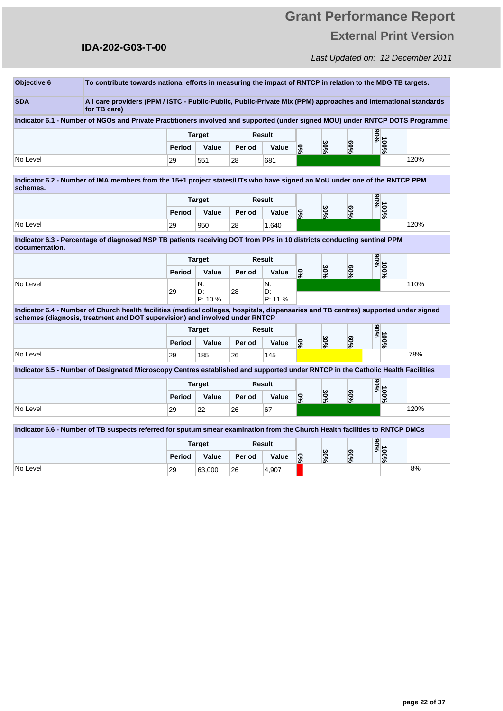### Last Updated on: 12 December 2011

# **IDA-202-G03-T-00**

| Objective 6    | To contribute towards national efforts in measuring the impact of RNTCP in relation to the MDG TB targets.                                                                                                          |        |                    |               |                    |                             |     |                  |      |      |
|----------------|---------------------------------------------------------------------------------------------------------------------------------------------------------------------------------------------------------------------|--------|--------------------|---------------|--------------------|-----------------------------|-----|------------------|------|------|
| <b>SDA</b>     | All care providers (PPM / ISTC - Public-Public, Public-Private Mix (PPM) approaches and International standards<br>for TB care)                                                                                     |        |                    |               |                    |                             |     |                  |      |      |
|                | Indicator 6.1 - Number of NGOs and Private Practitioners involved and supported (under signed MOU) under RNTCP DOTS Programme                                                                                       |        |                    |               |                    |                             |     |                  |      |      |
|                |                                                                                                                                                                                                                     |        | <b>Target</b>      |               | Result             |                             |     |                  | %06  |      |
|                |                                                                                                                                                                                                                     | Period | Value              | <b>Period</b> | Value              | 9%                          | 30% | $60\%$           | 100% |      |
| No Level       |                                                                                                                                                                                                                     | 29     | 551                | 28            | 681                |                             |     |                  |      | 120% |
| schemes.       | Indicator 6.2 - Number of IMA members from the 15+1 project states/UTs who have signed an MoU under one of the RNTCP PPM                                                                                            |        |                    |               |                    |                             |     |                  |      |      |
|                |                                                                                                                                                                                                                     |        | <b>Target</b>      |               | Result             |                             |     |                  | %56  |      |
|                |                                                                                                                                                                                                                     | Period | Value              | <b>Period</b> | Value              | °%                          | 30% | %09              | 100% |      |
| No Level       |                                                                                                                                                                                                                     | 29     | 950                | 28            | 1.640              |                             |     |                  |      | 120% |
| documentation. | Indicator 6.3 - Percentage of diagnosed NSP TB patients receiving DOT from PPs in 10 districts conducting sentinel PPM                                                                                              |        |                    |               |                    |                             |     |                  |      |      |
|                |                                                                                                                                                                                                                     |        | <b>Target</b>      |               | Result             |                             |     |                  | %56  |      |
|                |                                                                                                                                                                                                                     | Period | Value              | Period        | Value              | 56                          | 30% | 900 <sub>6</sub> | 100% |      |
| No Level       |                                                                                                                                                                                                                     | 29     | N:<br>D.<br>P: 10% | 28            | N.<br>D.<br>P: 11% |                             |     |                  |      | 110% |
|                | Indicator 6.4 - Number of Church health facilities (medical colleges, hospitals, dispensaries and TB centres) supported under signed<br>schemes (diagnosis, treatment and DOT supervision) and involved under RNTCP |        |                    |               |                    |                             |     |                  |      |      |
|                |                                                                                                                                                                                                                     |        | <b>Target</b>      |               | <b>Result</b>      |                             |     |                  | %66  |      |
|                |                                                                                                                                                                                                                     | Period | Value              | <b>Period</b> | Value              | 0%                          | 30% | %09              | 100% |      |
| No Level       |                                                                                                                                                                                                                     | 29     | 185                | 26            | 145                |                             |     |                  |      | 78%  |
|                | Indicator 6.5 - Number of Designated Microscopy Centres established and supported under RNTCP in the Catholic Health Facilities                                                                                     |        |                    |               |                    |                             |     |                  |      |      |
|                |                                                                                                                                                                                                                     |        | <b>Target</b>      |               | Result             |                             |     |                  | %56  |      |
|                |                                                                                                                                                                                                                     | Period | Value              | <b>Period</b> | Value              | $\mathcal{S}^{\mathcal{S}}$ | 30% | $60\%$           | 100% |      |
| No Level       |                                                                                                                                                                                                                     | 29     | 22                 | 26            | 67                 |                             |     |                  |      | 120% |
|                | Indicator 6.6 - Number of TB suspects referred for sputum smear examination from the Church Health facilities to RNTCP DMCs                                                                                         |        |                    |               |                    |                             |     |                  |      |      |
|                |                                                                                                                                                                                                                     |        | <b>Target</b>      |               | <b>Result</b>      |                             |     |                  | %06  |      |
|                |                                                                                                                                                                                                                     | Period | Value              | <b>Period</b> | Value              | 960                         | 30% | %50              | 100% |      |
| No Level       |                                                                                                                                                                                                                     | 29     | 63,000             | 26            | 4,907              |                             |     |                  |      | 8%   |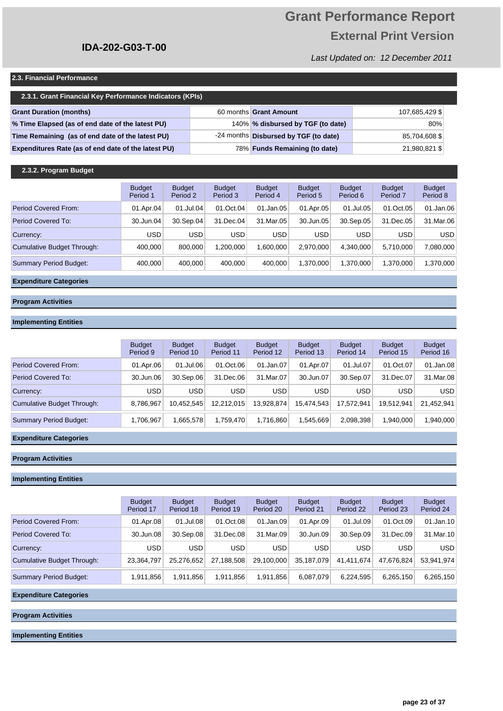# **Grant Performance Report External Print Version**

Last Updated on: 12 December 2011

#### **2.3. Financial Performance**

| 2.3.1. Grant Financial Key Performance Indicators (KPIs) |  |                                       |                |  |  |  |  |  |  |  |  |
|----------------------------------------------------------|--|---------------------------------------|----------------|--|--|--|--|--|--|--|--|
| <b>Grant Duration (months)</b>                           |  | 60 months Grant Amount                | 107,685,429 \$ |  |  |  |  |  |  |  |  |
| % Time Elapsed (as of end date of the latest PU)         |  | 140% % disbursed by TGF (to date)     | 80%            |  |  |  |  |  |  |  |  |
| Time Remaining (as of end date of the latest PU)         |  | -24 months Disbursed by TGF (to date) | 85,704,608 \$  |  |  |  |  |  |  |  |  |
| Expenditures Rate (as of end date of the latest PU)      |  | 78% Funds Remaining (to date)         | 21,980,821 \$  |  |  |  |  |  |  |  |  |

#### **2.3.2. Program Budget**

|                               | <b>Budget</b><br>Period 1 | <b>Budget</b><br>Period 2 | <b>Budget</b><br>Period 3 | <b>Budget</b><br>Period 4 | <b>Budget</b><br>Period 5 | <b>Budget</b><br>Period 6 | <b>Budget</b><br>Period 7 | <b>Budget</b><br>Period 8 |
|-------------------------------|---------------------------|---------------------------|---------------------------|---------------------------|---------------------------|---------------------------|---------------------------|---------------------------|
| <b>Period Covered From:</b>   | 01.Apr.04                 | 01.Jul.04                 | 01.Oct.04                 | 01.Jan.05                 | 01.Apr.05                 | 01.Jul.05                 | 01.Oct.05                 | 01.Jan.06                 |
| Period Covered To:            | 30.Jun.04                 | 30.Sep.04                 | 31.Dec.04                 | 31.Mar.05                 | 30.Jun.05                 | 30.Sep.05                 | 31.Dec.05                 | 31.Mar.06                 |
| Currency:                     | USD                       | <b>USD</b>                | <b>USD</b>                | <b>USD</b>                | <b>USD</b>                | <b>USD</b>                | <b>USD</b>                | <b>USD</b>                |
| Cumulative Budget Through:    | 400.000                   | 800.000                   | .200.000                  | .600.000                  | 2.970.000                 | 4.340.000                 | 5.710.000                 | 7,080,000                 |
| <b>Summary Period Budget:</b> | 400.000                   | 400.000                   | 400.000                   | 400.000                   | 1.370.000                 | 1.370.000                 | 1.370.000                 | 1,370,000                 |

#### **Expenditure Categories**

#### **Program Activities**

#### **Implementing Entities**

|                            | <b>Budget</b><br>Period 9 | <b>Budget</b><br>Period 10 | <b>Budget</b><br>Period 11 | <b>Budget</b><br>Period 12 | <b>Budget</b><br>Period 13 | <b>Budget</b><br>Period 14 | <b>Budget</b><br>Period 15 | <b>Budget</b><br>Period 16 |
|----------------------------|---------------------------|----------------------------|----------------------------|----------------------------|----------------------------|----------------------------|----------------------------|----------------------------|
| Period Covered From:       | 01.Apr.06                 | 01.Jul.06                  | 01.Oct.06                  | 01.Jan.07                  | 01.Apr.07                  | 01.Jul.07                  | 01.Oct.07                  | 01.Jan.08                  |
| Period Covered To:         | 30.Jun.06                 | 30.Sep.06                  | 31.Dec.06                  | 31.Mar.07                  | 30.Jun.07                  | 30.Sep.07                  | 31.Dec.07                  | 31.Mar.08                  |
| Currency:                  | <b>USD</b>                | <b>USD</b>                 | <b>USD</b>                 | <b>USD</b>                 | <b>USD</b>                 | <b>USD</b>                 | <b>USD</b>                 | <b>USD</b>                 |
| Cumulative Budget Through: | 8,786,967                 | 10.452.545                 | 12.212.015                 | 13.928.874                 | 15.474.543                 | 17.572.941                 | 19.512.941                 | 21,452,941                 |
| Summary Period Budget:     | 1,706,967                 | 665,578                    | 1,759,470                  | 1,716,860                  | 1,545,669                  | 2,098,398                  | 1.940.000                  | ,940,000                   |

#### **Expenditure Categories**

#### **Program Activities**

#### **Implementing Entities**

|                               | <b>Budget</b><br>Period 17 | <b>Budget</b><br>Period 18 | <b>Budget</b><br>Period 19 | <b>Budget</b><br>Period 20 | <b>Budget</b><br>Period 21 | <b>Budget</b><br>Period 22 | <b>Budget</b><br>Period 23 | <b>Budget</b><br>Period 24 |
|-------------------------------|----------------------------|----------------------------|----------------------------|----------------------------|----------------------------|----------------------------|----------------------------|----------------------------|
| Period Covered From:          | 01.Apr.08                  | 01.Jul.08                  | 01.Oct.08                  | 01.Jan.09                  | 01.Apr.09                  | 01.Jul.09                  | 01.0ct.09                  | 01.Jan.10                  |
| Period Covered To:            | 30.Jun.08                  | 30.Sep.08                  | 31.Dec.08                  | 31.Mar.09                  | 30.Jun.09                  | 30.Sep.09                  | 31.Dec.09                  | 31.Mar.10                  |
| Currency:                     | <b>USD</b>                 | <b>USD</b>                 | <b>USD</b>                 | <b>USD</b>                 | <b>USD</b>                 | <b>USD</b>                 | <b>USD</b>                 | <b>USD</b>                 |
| Cumulative Budget Through:    | 23,364,797                 | 25,276,652                 | 27,188,508                 | 29,100,000                 | 35,187,079                 | 41.411.674                 | 47,676,824                 | 53,941,974                 |
| <b>Summary Period Budget:</b> | 1,911,856                  | 1,911,856                  | 1.911.856                  | 1,911,856                  | 6,087,079                  | 6,224,595                  | 6,265,150                  | 6,265,150                  |

#### **Expenditure Categories**

**Program Activities**

**Implementing Entities**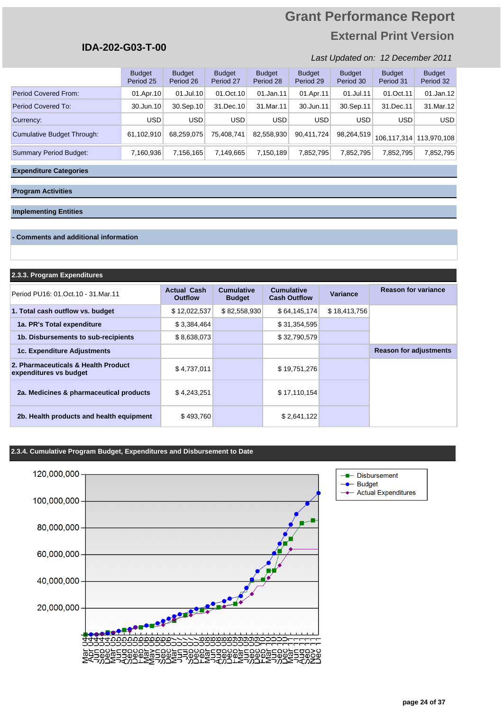### **IDA-202-G03-T-00**

#### Last Updated on: 12 December 2011

|                               | <b>Budget</b><br>Period 25 | <b>Budget</b><br>Period 26 | <b>Budget</b><br>Period 27 | <b>Budget</b><br>Period 28 | <b>Budget</b><br>Period 29 | <b>Budget</b><br>Period 30 | <b>Budget</b><br>Period 31 | <b>Budget</b><br>Period 32 |
|-------------------------------|----------------------------|----------------------------|----------------------------|----------------------------|----------------------------|----------------------------|----------------------------|----------------------------|
| <b>Period Covered From:</b>   | 01.Apr.10                  | $01$ .Jul.10               | 01.0ct.10                  | 01.Jan.11                  | 01.Apr.11                  | 01.Jul.11                  | 01.Oct.11                  | 01.Jan.12                  |
| Period Covered To:            | 30.Jun.10                  | 30.Sep.10                  | 31.Dec.10                  | 31.Mar.11                  | 30.Jun.11                  | 30.Sep.11                  | 31.Dec.11                  | 31.Mar.12                  |
| Currency:                     | USD.                       | <b>USD</b>                 | <b>USD</b>                 | <b>USD</b>                 | <b>USD</b>                 | <b>USD</b>                 | <b>USD</b>                 | <b>USD</b>                 |
| Cumulative Budget Through:    | 61,102,910                 | 68.259.075                 | 75,408,741                 | 82,558,930                 | 90,411,724                 | 98,264,519                 |                            | 106,117,314 113,970,108    |
| <b>Summary Period Budget:</b> | 7,160,936                  | 7,156,165                  | 7,149,665                  | 7,150,189                  | 7,852,795                  | 7,852,795                  | 7,852,795                  | 7,852,795                  |

#### **Expenditure Categories**

#### **Program Activities**

#### **Implementing Entities**

#### **- Comments and additional information**

| 2.3.3. Program Expenditures |  |
|-----------------------------|--|
|-----------------------------|--|

| Period PU16: 01. Oct. 10 - 31. Mar. 11                        | <b>Actual Cash</b><br><b>Outflow</b> | <b>Cumulative</b><br><b>Budget</b> | <b>Cumulative</b><br><b>Cash Outflow</b> | Variance     | <b>Reason for variance</b>    |
|---------------------------------------------------------------|--------------------------------------|------------------------------------|------------------------------------------|--------------|-------------------------------|
| 1. Total cash outflow vs. budget                              | \$12,022,537                         | \$82,558,930                       | \$64,145,174                             | \$18,413,756 |                               |
| 1a. PR's Total expenditure                                    | \$3,384,464                          |                                    | \$31,354,595                             |              |                               |
| 1b. Disbursements to sub-recipients                           | \$8,638,073                          |                                    | \$32,790,579                             |              |                               |
| <b>1c. Expenditure Adjustments</b>                            |                                      |                                    |                                          |              | <b>Reason for adjustments</b> |
| 2. Pharmaceuticals & Health Product<br>expenditures vs budget | \$4,737,011                          |                                    | \$19,751,276                             |              |                               |
| 2a. Medicines & pharmaceutical products                       | \$4,243,251                          |                                    | \$17,110,154                             |              |                               |
| 2b. Health products and health equipment                      | \$493,760                            |                                    | \$2,641,122                              |              |                               |

#### **2.3.4. Cumulative Program Budget, Expenditures and Disbursement to Date**

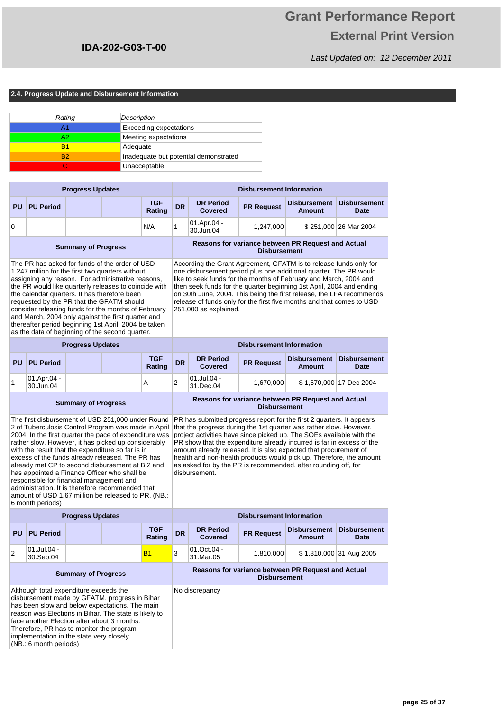Last Updated on: 12 December 2011

**2.4. Progress Update and Disbursement Information**

| Rating         | Description                           |
|----------------|---------------------------------------|
| А1             | <b>Exceeding expectations</b>         |
| A2             | Meeting expectations                  |
| B1             | Adequate                              |
| R <sub>2</sub> | Inadequate but potential demonstrated |
|                | Unacceptable                          |

| <b>Progress Updates</b>                                                                                                                                                                                                                                                                                                                                                                                                                                                                                                               |                     |  |  |                      | <b>Disbursement Information</b> |                                                                                                                                                                                                                                                                                                                                                                                                                                                               |                                                                                                 |                                                    |                       |  |  |  |
|---------------------------------------------------------------------------------------------------------------------------------------------------------------------------------------------------------------------------------------------------------------------------------------------------------------------------------------------------------------------------------------------------------------------------------------------------------------------------------------------------------------------------------------|---------------------|--|--|----------------------|---------------------------------|---------------------------------------------------------------------------------------------------------------------------------------------------------------------------------------------------------------------------------------------------------------------------------------------------------------------------------------------------------------------------------------------------------------------------------------------------------------|-------------------------------------------------------------------------------------------------|----------------------------------------------------|-----------------------|--|--|--|
|                                                                                                                                                                                                                                                                                                                                                                                                                                                                                                                                       | <b>PU PU Period</b> |  |  | <b>TGF</b><br>Rating | <b>DR</b>                       | <b>DR Period</b><br>Covered                                                                                                                                                                                                                                                                                                                                                                                                                                   | <b>Disbursement</b><br><b>Disbursement</b><br><b>PR Request</b><br><b>Amount</b><br><b>Date</b> |                                                    |                       |  |  |  |
| 0                                                                                                                                                                                                                                                                                                                                                                                                                                                                                                                                     |                     |  |  | N/A                  | 1                               | 01.Apr.04 -<br>30.Jun.04                                                                                                                                                                                                                                                                                                                                                                                                                                      | 1,247,000                                                                                       |                                                    | \$251,000 26 Mar 2004 |  |  |  |
| <b>Summary of Progress</b>                                                                                                                                                                                                                                                                                                                                                                                                                                                                                                            |                     |  |  |                      |                                 |                                                                                                                                                                                                                                                                                                                                                                                                                                                               | <b>Disbursement</b>                                                                             | Reasons for variance between PR Request and Actual |                       |  |  |  |
| The PR has asked for funds of the order of USD<br>1.247 million for the first two quarters without<br>assigning any reason. For administrative reasons,<br>the PR would like quarterly releases to coincide with<br>the calendar quarters. It has therefore been<br>requested by the PR that the GFATM should<br>consider releasing funds for the months of February<br>and March, 2004 only against the first quarter and<br>thereafter period beginning 1st April, 2004 be taken<br>as the data of beginning of the second quarter. |                     |  |  |                      |                                 | According the Grant Agreement, GFATM is to release funds only for<br>one disbursement period plus one additional quarter. The PR would<br>like to seek funds for the months of February and March, 2004 and<br>then seek funds for the quarter beginning 1st April, 2004 and ending<br>on 30th June, 2004. This being the first release, the LFA recommends<br>release of funds only for the first five months and that comes to USD<br>251,000 as explained. |                                                                                                 |                                                    |                       |  |  |  |
| <b>Progress Updates</b>                                                                                                                                                                                                                                                                                                                                                                                                                                                                                                               |                     |  |  |                      | <b>Disbursement Information</b> |                                                                                                                                                                                                                                                                                                                                                                                                                                                               |                                                                                                 |                                                    |                       |  |  |  |
|                                                                                                                                                                                                                                                                                                                                                                                                                                                                                                                                       |                     |  |  | <b>TOF</b>           |                                 | <b>DD Devised</b>                                                                                                                                                                                                                                                                                                                                                                                                                                             |                                                                                                 | Diskussement Diskussement                          |                       |  |  |  |

|                            | <b>PU PU Period</b>      |  |  | TGF<br>Rating | <b>DR</b> | <b>DR Period</b><br><b>Covered</b> | <b>PR Request</b>   | <b>Disbursement</b><br>Amount                      | <b>Disbursement</b><br>Date |
|----------------------------|--------------------------|--|--|---------------|-----------|------------------------------------|---------------------|----------------------------------------------------|-----------------------------|
|                            | 01.Apr.04 -<br>30.Jun.04 |  |  | Α             | 2         | 01.Jul.04 -<br>31.Dec.04           | 1.670.000           |                                                    | \$1,670,000 17 Dec 2004     |
| <b>Summary of Progress</b> |                          |  |  |               |           |                                    | <b>Diskupasmant</b> | Reasons for variance between PR Request and Actual |                             |

2004. In the first quarter the pace of expenditure was rather slow. However, it has picked up considerably with the result that the expenditure so far is in excess of the funds already released. The PR has already met CP to second disbursement at B.2 and has appointed a Finance Officer who shall be responsible for financial management and administration. It is therefore recommended that amount of USD 1.67 million be released to PR. (NB.: 6 month periods)

### **Disbursement**

The first disbursement of USD 251,000 under Round PR has submitted progress report for the first 2 quarters. It appears 2 of Tuberculosis Control Program was made in April | that the progress during the 1st quarter was rather slow. However, project activities have since picked up. The SOEs available with the PR show that the expenditure already incurred is far in excess of the amount already released. It is also expected that procurement of health and non-health products would pick up. Therefore, the amount as asked for by the PR is recommended, after rounding off, for disbursement.

|                                                                                                                                                                                                                                                                                                                                                                      | <b>Progress Updates</b>  |                      |  |           |                                                                           | <b>Disbursement Information</b>    |                   |                               |                             |  |  |  |  |
|----------------------------------------------------------------------------------------------------------------------------------------------------------------------------------------------------------------------------------------------------------------------------------------------------------------------------------------------------------------------|--------------------------|----------------------|--|-----------|---------------------------------------------------------------------------|------------------------------------|-------------------|-------------------------------|-----------------------------|--|--|--|--|
| <b>PU</b>                                                                                                                                                                                                                                                                                                                                                            | <b>PU Period</b>         | <b>TGF</b><br>Rating |  |           | <b>DR</b>                                                                 | <b>DR Period</b><br><b>Covered</b> | <b>PR Request</b> | <b>Disbursement</b><br>Amount | <b>Disbursement</b><br>Date |  |  |  |  |
| 2                                                                                                                                                                                                                                                                                                                                                                    | 01.Jul.04 -<br>30.Sep.04 |                      |  | <b>B1</b> | 3                                                                         | 01.Oct.04 -<br>31.Mar.05           | 1,810,000         |                               | \$1,810,000 31 Aug 2005     |  |  |  |  |
| <b>Summary of Progress</b>                                                                                                                                                                                                                                                                                                                                           |                          |                      |  |           | Reasons for variance between PR Request and Actual<br><b>Disbursement</b> |                                    |                   |                               |                             |  |  |  |  |
| Although total expenditure exceeds the<br>disbursement made by GFATM, progress in Bihar<br>has been slow and below expectations. The main<br>reason was Elections in Bihar. The state is likely to<br>face another Election after about 3 months.<br>Therefore, PR has to monitor the program<br>implementation in the state very closely.<br>(NB.: 6 month periods) |                          |                      |  |           |                                                                           | No discrepancy                     |                   |                               |                             |  |  |  |  |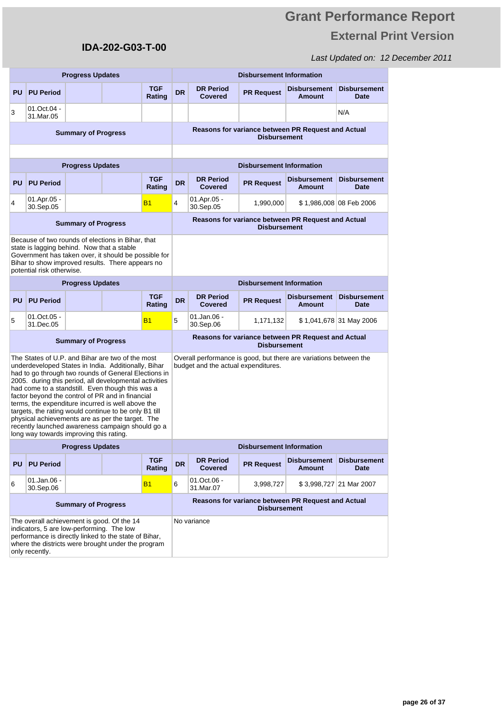### Last Updated on: 12 December 2011

|                                                                                                                                                                                                                                                                                                                                                                                                                                                                                                                                                                                                    |                                                                                                                                                                                                                                                                     | <b>Progress Updates</b>    |  |                      | <b>Disbursement Information</b> |                                                                                                          |                                 |                                                    |                                    |  |  |  |
|----------------------------------------------------------------------------------------------------------------------------------------------------------------------------------------------------------------------------------------------------------------------------------------------------------------------------------------------------------------------------------------------------------------------------------------------------------------------------------------------------------------------------------------------------------------------------------------------------|---------------------------------------------------------------------------------------------------------------------------------------------------------------------------------------------------------------------------------------------------------------------|----------------------------|--|----------------------|---------------------------------|----------------------------------------------------------------------------------------------------------|---------------------------------|----------------------------------------------------|------------------------------------|--|--|--|
| <b>PU</b>                                                                                                                                                                                                                                                                                                                                                                                                                                                                                                                                                                                          | <b>PU Period</b>                                                                                                                                                                                                                                                    |                            |  | <b>TGF</b><br>Rating | <b>DR</b>                       | <b>DR Period</b><br>Covered                                                                              | <b>PR Request</b>               | <b>Disbursement</b><br><b>Amount</b>               | <b>Disbursement</b><br><b>Date</b> |  |  |  |
| 3                                                                                                                                                                                                                                                                                                                                                                                                                                                                                                                                                                                                  | 01.Oct.04 -<br>31.Mar.05                                                                                                                                                                                                                                            |                            |  |                      |                                 |                                                                                                          |                                 |                                                    | N/A                                |  |  |  |
|                                                                                                                                                                                                                                                                                                                                                                                                                                                                                                                                                                                                    |                                                                                                                                                                                                                                                                     | <b>Summary of Progress</b> |  |                      |                                 | Reasons for variance between PR Request and Actual<br><b>Disbursement</b>                                |                                 |                                                    |                                    |  |  |  |
|                                                                                                                                                                                                                                                                                                                                                                                                                                                                                                                                                                                                    |                                                                                                                                                                                                                                                                     |                            |  |                      |                                 |                                                                                                          |                                 |                                                    |                                    |  |  |  |
|                                                                                                                                                                                                                                                                                                                                                                                                                                                                                                                                                                                                    |                                                                                                                                                                                                                                                                     | <b>Progress Updates</b>    |  |                      |                                 | <b>Disbursement Information</b>                                                                          |                                 |                                                    |                                    |  |  |  |
| <b>PU</b>                                                                                                                                                                                                                                                                                                                                                                                                                                                                                                                                                                                          | <b>PU Period</b>                                                                                                                                                                                                                                                    |                            |  | <b>TGF</b><br>Rating | <b>DR</b>                       | <b>DR Period</b><br>Covered                                                                              | <b>PR Request</b>               | <b>Disbursement</b><br><b>Amount</b>               | <b>Disbursement</b><br><b>Date</b> |  |  |  |
| 4                                                                                                                                                                                                                                                                                                                                                                                                                                                                                                                                                                                                  | 01.Apr.05 -<br>30.Sep.05                                                                                                                                                                                                                                            |                            |  | <b>B1</b>            | 4                               | 01.Apr.05 -<br>30.Sep.05                                                                                 | 1,990,000                       |                                                    | \$1,986,008 08 Feb 2006            |  |  |  |
|                                                                                                                                                                                                                                                                                                                                                                                                                                                                                                                                                                                                    |                                                                                                                                                                                                                                                                     | <b>Summary of Progress</b> |  |                      |                                 |                                                                                                          | <b>Disbursement</b>             | Reasons for variance between PR Request and Actual |                                    |  |  |  |
|                                                                                                                                                                                                                                                                                                                                                                                                                                                                                                                                                                                                    | Because of two rounds of elections in Bihar, that<br>state is lagging behind. Now that a stable<br>Government has taken over, it should be possible for<br>Bihar to show improved results. There appears no<br>potential risk otherwise.<br><b>Progress Updates</b> |                            |  |                      |                                 |                                                                                                          |                                 |                                                    |                                    |  |  |  |
|                                                                                                                                                                                                                                                                                                                                                                                                                                                                                                                                                                                                    |                                                                                                                                                                                                                                                                     |                            |  |                      |                                 |                                                                                                          | <b>Disbursement Information</b> |                                                    |                                    |  |  |  |
| <b>PU</b>                                                                                                                                                                                                                                                                                                                                                                                                                                                                                                                                                                                          | <b>PU Period</b>                                                                                                                                                                                                                                                    |                            |  | <b>TGF</b><br>Rating | <b>DR</b>                       | <b>DR Period</b><br>Covered                                                                              | <b>PR Request</b>               | <b>Disbursement</b><br><b>Amount</b>               | <b>Disbursement</b><br><b>Date</b> |  |  |  |
| 5                                                                                                                                                                                                                                                                                                                                                                                                                                                                                                                                                                                                  | 01.Oct.05 -<br>31.Dec.05                                                                                                                                                                                                                                            |                            |  | <b>B1</b>            | 5                               | 01.Jan.06 -<br>30.Sep.06                                                                                 | 1,171,132                       |                                                    | \$1,041,678 31 May 2006            |  |  |  |
|                                                                                                                                                                                                                                                                                                                                                                                                                                                                                                                                                                                                    |                                                                                                                                                                                                                                                                     | <b>Summary of Progress</b> |  |                      |                                 |                                                                                                          | <b>Disbursement</b>             | Reasons for variance between PR Request and Actual |                                    |  |  |  |
| The States of U.P. and Bihar are two of the most<br>underdeveloped States in India. Additionally, Bihar<br>had to go through two rounds of General Elections in<br>2005. during this period, all developmental activities<br>had come to a standstill. Even though this was a<br>factor beyond the control of PR and in financial<br>terms, the expenditure incurred is well above the<br>targets, the rating would continue to be only B1 till<br>physical achievements are as per the target. The<br>recently launched awareness campaign should go a<br>long way towards improving this rating. |                                                                                                                                                                                                                                                                     |                            |  |                      |                                 | Overall performance is good, but there are variations between the<br>budget and the actual expenditures. |                                 |                                                    |                                    |  |  |  |
|                                                                                                                                                                                                                                                                                                                                                                                                                                                                                                                                                                                                    |                                                                                                                                                                                                                                                                     | <b>Progress Updates</b>    |  |                      |                                 |                                                                                                          | <b>Disbursement Information</b> |                                                    |                                    |  |  |  |
| <b>PU</b>                                                                                                                                                                                                                                                                                                                                                                                                                                                                                                                                                                                          | <b>PU Period</b>                                                                                                                                                                                                                                                    |                            |  | <b>TGF</b><br>Rating | <b>DR</b>                       | <b>DR Period</b><br><b>Covered</b>                                                                       | <b>PR Request</b>               | <b>Disbursement</b><br><b>Amount</b>               | <b>Disbursement</b><br><b>Date</b> |  |  |  |
| 01.Jan.06 -<br><b>B1</b><br>6<br>30.Sep.06                                                                                                                                                                                                                                                                                                                                                                                                                                                                                                                                                         |                                                                                                                                                                                                                                                                     |                            |  |                      |                                 | 01.Oct.06 -<br>31.Mar.07                                                                                 | 3,998,727                       |                                                    | \$3,998,727 21 Mar 2007            |  |  |  |
|                                                                                                                                                                                                                                                                                                                                                                                                                                                                                                                                                                                                    | <b>Summary of Progress</b>                                                                                                                                                                                                                                          |                            |  |                      |                                 |                                                                                                          | <b>Disbursement</b>             | Reasons for variance between PR Request and Actual |                                    |  |  |  |
| The overall achievement is good. Of the 14<br>indicators, 5 are low-performing. The low<br>performance is directly linked to the state of Bihar,<br>where the districts were brought under the program<br>only recently.                                                                                                                                                                                                                                                                                                                                                                           |                                                                                                                                                                                                                                                                     |                            |  |                      |                                 | No variance                                                                                              |                                 |                                                    |                                    |  |  |  |

**IDA-202-G03-T-00**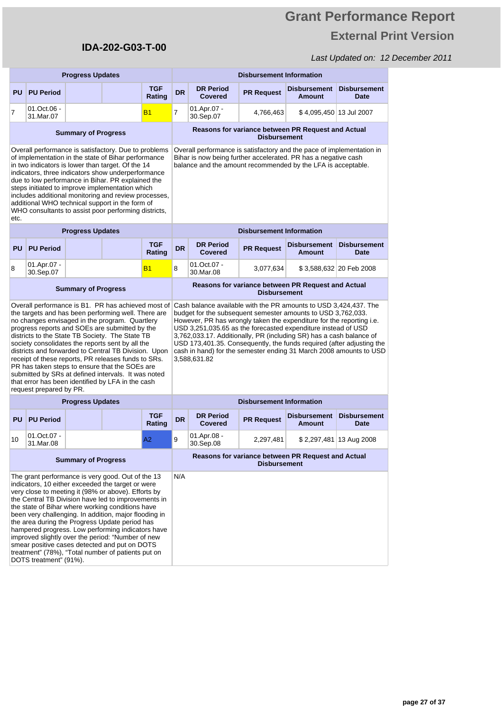# **Grant Performance Report External Print Version**

|                                                                                                                                                                                                                                                                                                                                                                                                                                                                                                                                                                                                                                |                                                                                                                                                                                                                                                                                                                                                                                                                                                                                                                                                                                                   | <b>Progress Updates</b>    |  |                      | <b>Disbursement Information</b> |                                                                                                                                                                                                                                                                                                                                                                                                                                                                                                                 |                                 |                                                    |                                    |  |  |  |
|--------------------------------------------------------------------------------------------------------------------------------------------------------------------------------------------------------------------------------------------------------------------------------------------------------------------------------------------------------------------------------------------------------------------------------------------------------------------------------------------------------------------------------------------------------------------------------------------------------------------------------|---------------------------------------------------------------------------------------------------------------------------------------------------------------------------------------------------------------------------------------------------------------------------------------------------------------------------------------------------------------------------------------------------------------------------------------------------------------------------------------------------------------------------------------------------------------------------------------------------|----------------------------|--|----------------------|---------------------------------|-----------------------------------------------------------------------------------------------------------------------------------------------------------------------------------------------------------------------------------------------------------------------------------------------------------------------------------------------------------------------------------------------------------------------------------------------------------------------------------------------------------------|---------------------------------|----------------------------------------------------|------------------------------------|--|--|--|
| <b>PU</b>                                                                                                                                                                                                                                                                                                                                                                                                                                                                                                                                                                                                                      | <b>PU Period</b>                                                                                                                                                                                                                                                                                                                                                                                                                                                                                                                                                                                  |                            |  | <b>TGF</b><br>Rating | <b>DR</b>                       | <b>DR Period</b><br><b>Covered</b>                                                                                                                                                                                                                                                                                                                                                                                                                                                                              | <b>PR Request</b>               | <b>Disbursement</b><br><b>Amount</b>               | <b>Disbursement</b><br>Date        |  |  |  |
| 7                                                                                                                                                                                                                                                                                                                                                                                                                                                                                                                                                                                                                              | 01.Oct.06 -<br>31.Mar.07                                                                                                                                                                                                                                                                                                                                                                                                                                                                                                                                                                          |                            |  | <b>B1</b>            | $\overline{7}$                  | 01.Apr.07 -<br>30.Sep.07                                                                                                                                                                                                                                                                                                                                                                                                                                                                                        | 4,766,463                       |                                                    | \$ 4,095,450∣13 Jul 2007           |  |  |  |
|                                                                                                                                                                                                                                                                                                                                                                                                                                                                                                                                                                                                                                |                                                                                                                                                                                                                                                                                                                                                                                                                                                                                                                                                                                                   | <b>Summary of Progress</b> |  |                      |                                 | Reasons for variance between PR Request and Actual<br><b>Disbursement</b>                                                                                                                                                                                                                                                                                                                                                                                                                                       |                                 |                                                    |                                    |  |  |  |
| etc.                                                                                                                                                                                                                                                                                                                                                                                                                                                                                                                                                                                                                           | Overall performance is satisfactory. Due to problems<br>of implementation in the state of Bihar performance<br>in two indicators is lower than target. Of the 14<br>indicators, three indicators show underperformance<br>due to low performance in Bihar. PR explained the<br>steps initiated to improve implementation which<br>includes additional monitoring and review processes,<br>additional WHO technical support in the form of<br>WHO consultants to assist poor performing districts,<br><b>Progress Updates</b>                                                                      |                            |  |                      |                                 | Overall performance is satisfactory and the pace of implementation in<br>Bihar is now being further accelerated. PR has a negative cash<br>balance and the amount recommended by the LFA is acceptable.                                                                                                                                                                                                                                                                                                         |                                 |                                                    |                                    |  |  |  |
|                                                                                                                                                                                                                                                                                                                                                                                                                                                                                                                                                                                                                                |                                                                                                                                                                                                                                                                                                                                                                                                                                                                                                                                                                                                   |                            |  |                      |                                 |                                                                                                                                                                                                                                                                                                                                                                                                                                                                                                                 | <b>Disbursement Information</b> |                                                    |                                    |  |  |  |
| <b>PU</b>                                                                                                                                                                                                                                                                                                                                                                                                                                                                                                                                                                                                                      | <b>PU Period</b>                                                                                                                                                                                                                                                                                                                                                                                                                                                                                                                                                                                  |                            |  | <b>TGF</b><br>Rating | <b>DR</b>                       | <b>Disbursement</b><br><b>Date</b>                                                                                                                                                                                                                                                                                                                                                                                                                                                                              |                                 |                                                    |                                    |  |  |  |
| 8                                                                                                                                                                                                                                                                                                                                                                                                                                                                                                                                                                                                                              | 01.Apr.07 -<br>30.Sep.07                                                                                                                                                                                                                                                                                                                                                                                                                                                                                                                                                                          |                            |  | <b>B1</b>            | 8                               | \$3,588,632 20 Feb 2008                                                                                                                                                                                                                                                                                                                                                                                                                                                                                         |                                 |                                                    |                                    |  |  |  |
| <b>Summary of Progress</b>                                                                                                                                                                                                                                                                                                                                                                                                                                                                                                                                                                                                     |                                                                                                                                                                                                                                                                                                                                                                                                                                                                                                                                                                                                   |                            |  |                      |                                 | Reasons for variance between PR Request and Actual<br><b>Disbursement</b>                                                                                                                                                                                                                                                                                                                                                                                                                                       |                                 |                                                    |                                    |  |  |  |
| request prepared by PR.                                                                                                                                                                                                                                                                                                                                                                                                                                                                                                                                                                                                        | Overall performance is B1. PR has achieved most of<br>the targets and has been performing well. There are<br>no changes envisaged in the program. Quartlery<br>progress reports and SOEs are submitted by the<br>districts to the State TB Society. The State TB<br>society consolidates the reports sent by all the<br>districts and forwarded to Central TB Division. Upon<br>receipt of these reports, PR releases funds to SRs.<br>PR has taken steps to ensure that the SOEs are<br>submitted by SRs at defined intervals. It was noted<br>that error has been identified by LFA in the cash |                            |  |                      |                                 | Cash balance available with the PR amounts to USD 3,424,437. The<br>budget for the subsequent semester amounts to USD 3,762,033.<br>However, PR has wrongly taken the expenditure for the reporting i.e.<br>USD 3,251,035.65 as the forecasted expenditure instead of USD<br>3,762,033.17. Additionally, PR (including SR) has a cash balance of<br>USD 173,401.35. Consequently, the funds required (after adjusting the<br>cash in hand) for the semester ending 31 March 2008 amounts to USD<br>3,588,631.82 |                                 |                                                    |                                    |  |  |  |
|                                                                                                                                                                                                                                                                                                                                                                                                                                                                                                                                                                                                                                |                                                                                                                                                                                                                                                                                                                                                                                                                                                                                                                                                                                                   | <b>Progress Updates</b>    |  |                      |                                 |                                                                                                                                                                                                                                                                                                                                                                                                                                                                                                                 | <b>Disbursement Information</b> |                                                    |                                    |  |  |  |
| <b>PU</b>                                                                                                                                                                                                                                                                                                                                                                                                                                                                                                                                                                                                                      | <b>PU Period</b>                                                                                                                                                                                                                                                                                                                                                                                                                                                                                                                                                                                  |                            |  | <b>TGF</b><br>Rating | <b>DR</b>                       | <b>DR Period</b><br><b>Covered</b>                                                                                                                                                                                                                                                                                                                                                                                                                                                                              | <b>PR Request</b>               | <b>Disbursement</b><br>Amount                      | <b>Disbursement</b><br><b>Date</b> |  |  |  |
| 10                                                                                                                                                                                                                                                                                                                                                                                                                                                                                                                                                                                                                             | 01.Oct.07 -<br>31.Mar.08                                                                                                                                                                                                                                                                                                                                                                                                                                                                                                                                                                          |                            |  | A2                   | 9                               | 01.Apr.08 -<br>30.Sep.08                                                                                                                                                                                                                                                                                                                                                                                                                                                                                        | 2,297,481                       |                                                    | \$2,297,481 13 Aug 2008            |  |  |  |
|                                                                                                                                                                                                                                                                                                                                                                                                                                                                                                                                                                                                                                |                                                                                                                                                                                                                                                                                                                                                                                                                                                                                                                                                                                                   | <b>Summary of Progress</b> |  |                      |                                 |                                                                                                                                                                                                                                                                                                                                                                                                                                                                                                                 | <b>Disbursement</b>             | Reasons for variance between PR Request and Actual |                                    |  |  |  |
| The grant performance is very good. Out of the 13<br>indicators, 10 either exceeded the target or were<br>very close to meeting it (98% or above). Efforts by<br>the Central TB Division have led to improvements in<br>the state of Bihar where working conditions have<br>been very challenging. In addition, major flooding in<br>the area during the Progress Update period has<br>hampered progress. Low performing indicators have<br>improved slightly over the period: "Number of new<br>smear positive cases detected and put on DOTS<br>treatment" (78%), "Total number of patients put on<br>DOTS treatment" (91%). |                                                                                                                                                                                                                                                                                                                                                                                                                                                                                                                                                                                                   |                            |  |                      | N/A                             |                                                                                                                                                                                                                                                                                                                                                                                                                                                                                                                 |                                 |                                                    |                                    |  |  |  |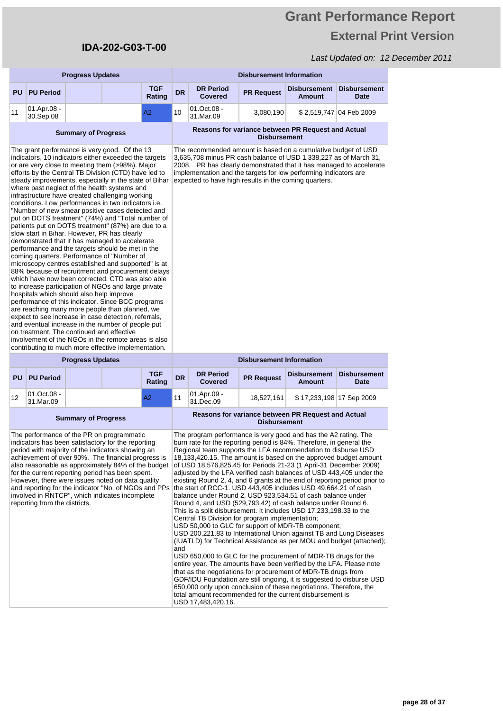# **Grant Performance Report External Print Version**

| <b>Progress Updates</b>                                                                                                                                                                                                                                                                                                                                                                                                                                                                                                                                                                                                                                                                                                                                                                                                                                                                                                                                                                                                                                                                                                                                                                                                                                                                                                                                                                                                                                   |                          |                            |                      |           | <b>Disbursement Information</b>                                                                                                                                                                                                                                                                                                                                                                                                                                                                                                                                                                                                                                                                                                                                                                                                                                                                                                                                                                                                                                                                                                                                                                                                                                                                                                                                                                                                                                                      |                     |                                                    |                             |  |
|-----------------------------------------------------------------------------------------------------------------------------------------------------------------------------------------------------------------------------------------------------------------------------------------------------------------------------------------------------------------------------------------------------------------------------------------------------------------------------------------------------------------------------------------------------------------------------------------------------------------------------------------------------------------------------------------------------------------------------------------------------------------------------------------------------------------------------------------------------------------------------------------------------------------------------------------------------------------------------------------------------------------------------------------------------------------------------------------------------------------------------------------------------------------------------------------------------------------------------------------------------------------------------------------------------------------------------------------------------------------------------------------------------------------------------------------------------------|--------------------------|----------------------------|----------------------|-----------|--------------------------------------------------------------------------------------------------------------------------------------------------------------------------------------------------------------------------------------------------------------------------------------------------------------------------------------------------------------------------------------------------------------------------------------------------------------------------------------------------------------------------------------------------------------------------------------------------------------------------------------------------------------------------------------------------------------------------------------------------------------------------------------------------------------------------------------------------------------------------------------------------------------------------------------------------------------------------------------------------------------------------------------------------------------------------------------------------------------------------------------------------------------------------------------------------------------------------------------------------------------------------------------------------------------------------------------------------------------------------------------------------------------------------------------------------------------------------------------|---------------------|----------------------------------------------------|-----------------------------|--|
| PU                                                                                                                                                                                                                                                                                                                                                                                                                                                                                                                                                                                                                                                                                                                                                                                                                                                                                                                                                                                                                                                                                                                                                                                                                                                                                                                                                                                                                                                        | <b>PU Period</b>         |                            | <b>TGF</b><br>Rating | <b>DR</b> | <b>DR Period</b><br><b>Covered</b>                                                                                                                                                                                                                                                                                                                                                                                                                                                                                                                                                                                                                                                                                                                                                                                                                                                                                                                                                                                                                                                                                                                                                                                                                                                                                                                                                                                                                                                   | <b>PR Request</b>   | <b>Disbursement</b><br><b>Amount</b>               | <b>Disbursement</b><br>Date |  |
| 11                                                                                                                                                                                                                                                                                                                                                                                                                                                                                                                                                                                                                                                                                                                                                                                                                                                                                                                                                                                                                                                                                                                                                                                                                                                                                                                                                                                                                                                        | 01.Apr.08 -<br>30.Sep.08 |                            | А2                   | 10        | 01.Oct.08 -<br>31.Mar.09                                                                                                                                                                                                                                                                                                                                                                                                                                                                                                                                                                                                                                                                                                                                                                                                                                                                                                                                                                                                                                                                                                                                                                                                                                                                                                                                                                                                                                                             | 3,080,190           |                                                    | \$2,519,747 04 Feb 2009     |  |
|                                                                                                                                                                                                                                                                                                                                                                                                                                                                                                                                                                                                                                                                                                                                                                                                                                                                                                                                                                                                                                                                                                                                                                                                                                                                                                                                                                                                                                                           |                          | <b>Summary of Progress</b> |                      |           |                                                                                                                                                                                                                                                                                                                                                                                                                                                                                                                                                                                                                                                                                                                                                                                                                                                                                                                                                                                                                                                                                                                                                                                                                                                                                                                                                                                                                                                                                      | <b>Disbursement</b> | Reasons for variance between PR Request and Actual |                             |  |
| The grant performance is very good. Of the 13<br>indicators, 10 indicators either exceeded the targets<br>or are very close to meeting them (>98%). Major<br>efforts by the Central TB Division (CTD) have led to<br>steady improvements, especially in the state of Bihar<br>where past neglect of the health systems and<br>infrastructure have created challenging working<br>conditions. Low performances in two indicators i.e.<br>"Number of new smear positive cases detected and<br>put on DOTS treatment" (74%) and "Total number of<br>patients put on DOTS treatment" (87%) are due to a<br>slow start in Bihar. However, PR has clearly<br>demonstrated that it has managed to accelerate<br>performance and the targets should be met in the<br>coming quarters. Performance of "Number of<br>microscopy centres established and supported" is at<br>88% because of recruitment and procurement delays<br>which have now been corrected. CTD was also able<br>to increase participation of NGOs and large private<br>hospitals which should also help improve<br>performance of this indicator. Since BCC programs<br>are reaching many more people than planned, we<br>expect to see increase in case detection, referrals,<br>and eventual increase in the number of people put<br>on treatment. The continued and effective<br>involvement of the NGOs in the remote areas is also<br>contributing to much more effective implementation. |                          |                            |                      |           | The recommended amount is based on a cumulative budget of USD<br>3,635,708 minus PR cash balance of USD 1,338,227 as of March 31,<br>2008. PR has clearly demonstrated that it has managed to accelerate<br>implementation and the targets for low performing indicators are<br>expected to have high results in the coming quarters.                                                                                                                                                                                                                                                                                                                                                                                                                                                                                                                                                                                                                                                                                                                                                                                                                                                                                                                                                                                                                                                                                                                                                |                     |                                                    |                             |  |
|                                                                                                                                                                                                                                                                                                                                                                                                                                                                                                                                                                                                                                                                                                                                                                                                                                                                                                                                                                                                                                                                                                                                                                                                                                                                                                                                                                                                                                                           |                          | <b>Progress Updates</b>    |                      |           | <b>Disbursement Information</b>                                                                                                                                                                                                                                                                                                                                                                                                                                                                                                                                                                                                                                                                                                                                                                                                                                                                                                                                                                                                                                                                                                                                                                                                                                                                                                                                                                                                                                                      |                     |                                                    |                             |  |
| <b>PU</b>                                                                                                                                                                                                                                                                                                                                                                                                                                                                                                                                                                                                                                                                                                                                                                                                                                                                                                                                                                                                                                                                                                                                                                                                                                                                                                                                                                                                                                                 | <b>PU Period</b>         |                            | <b>TGF</b><br>Rating | <b>DR</b> | <b>DR Period</b><br><b>Covered</b>                                                                                                                                                                                                                                                                                                                                                                                                                                                                                                                                                                                                                                                                                                                                                                                                                                                                                                                                                                                                                                                                                                                                                                                                                                                                                                                                                                                                                                                   | <b>PR Request</b>   | <b>Disbursement</b><br><b>Amount</b>               | <b>Disbursement</b><br>Date |  |
| 12                                                                                                                                                                                                                                                                                                                                                                                                                                                                                                                                                                                                                                                                                                                                                                                                                                                                                                                                                                                                                                                                                                                                                                                                                                                                                                                                                                                                                                                        | 01.Oct.08 -<br>31.Mar.09 |                            | A2                   | 11        | 01.Apr.09 -<br>31.Dec.09                                                                                                                                                                                                                                                                                                                                                                                                                                                                                                                                                                                                                                                                                                                                                                                                                                                                                                                                                                                                                                                                                                                                                                                                                                                                                                                                                                                                                                                             | 18,527,161          | \$17,233,198 17 Sep 2009                           |                             |  |
|                                                                                                                                                                                                                                                                                                                                                                                                                                                                                                                                                                                                                                                                                                                                                                                                                                                                                                                                                                                                                                                                                                                                                                                                                                                                                                                                                                                                                                                           |                          | <b>Summary of Progress</b> |                      |           | Reasons for variance between PR Request and Actual<br><b>Disbursement</b>                                                                                                                                                                                                                                                                                                                                                                                                                                                                                                                                                                                                                                                                                                                                                                                                                                                                                                                                                                                                                                                                                                                                                                                                                                                                                                                                                                                                            |                     |                                                    |                             |  |
| The performance of the PR on programmatic<br>indicators has been satisfactory for the reporting<br>period with majority of the indicators showing an<br>achievement of over 90%. The financial progress is<br>also reasonable as approximately 84% of the budget<br>for the current reporting period has been spent.<br>However, there were issues noted on data quality<br>and reporting for the indicator "No. of NGOs and PPs<br>involved in RNTCP", which indicates incomplete<br>reporting from the districts.                                                                                                                                                                                                                                                                                                                                                                                                                                                                                                                                                                                                                                                                                                                                                                                                                                                                                                                                       |                          |                            |                      |           | The program performance is very good and has the A2 rating. The<br>burn rate for the reporting period is 84%. Therefore, in general the<br>Regional team supports the LFA recommendation to disburse USD<br>18,133,420.15. The amount is based on the approved budget amount<br>of USD 18,576,825.45 for Periods 21-23 (1 April-31 December 2009)<br>adjusted by the LFA verified cash balances of USD 443,405 under the<br>existing Round 2, 4, and 6 grants at the end of reporting period prior to<br>the start of RCC-1. USD 443,405 includes USD 49,664.21 of cash<br>balance under Round 2, USD 923,534.51 of cash balance under<br>Round 4, and USD (529,793.42) of cash balance under Round 6.<br>This is a split disbursement. It includes USD 17,233,198.33 to the<br>Central TB Division for program implementation;<br>USD 50,000 to GLC for support of MDR-TB component;<br>USD 200,221.83 to International Union against TB and Lung Diseases<br>(IUATLD) for Technical Assistance as per MOU and budget (attached);<br>and<br>USD 650,000 to GLC for the procurement of MDR-TB drugs for the<br>entire year. The amounts have been verified by the LFA. Please note<br>that as the negotiations for procurement of MDR-TB drugs from<br>GDF/IDU Foundation are still ongoing, it is suggested to disburse USD<br>650,000 only upon conclusion of these negotiations. Therefore, the<br>total amount recommended for the current disbursement is<br>USD 17,483,420.16. |                     |                                                    |                             |  |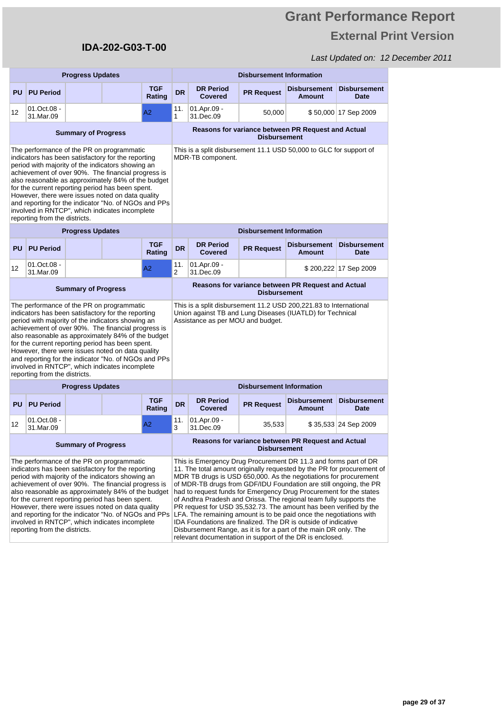# **Grant Performance Report External Print Version**

|                                                                                                                                                                                                                                                                                                                                                                                                                                                                                                                     | <b>Progress Updates</b>    |                            |  |                                                                                                                                                                                                                                                                                                                                                                                                                                                                                                                                                                                                                                                                                                                                                                             |                                                                           | <b>Disbursement Information</b>    |                                 |                                                    |                                    |  |
|---------------------------------------------------------------------------------------------------------------------------------------------------------------------------------------------------------------------------------------------------------------------------------------------------------------------------------------------------------------------------------------------------------------------------------------------------------------------------------------------------------------------|----------------------------|----------------------------|--|-----------------------------------------------------------------------------------------------------------------------------------------------------------------------------------------------------------------------------------------------------------------------------------------------------------------------------------------------------------------------------------------------------------------------------------------------------------------------------------------------------------------------------------------------------------------------------------------------------------------------------------------------------------------------------------------------------------------------------------------------------------------------------|---------------------------------------------------------------------------|------------------------------------|---------------------------------|----------------------------------------------------|------------------------------------|--|
| <b>PU</b>                                                                                                                                                                                                                                                                                                                                                                                                                                                                                                           | <b>PU Period</b>           |                            |  | <b>TGF</b><br>Rating                                                                                                                                                                                                                                                                                                                                                                                                                                                                                                                                                                                                                                                                                                                                                        | <b>DR</b>                                                                 | <b>DR Period</b><br>Covered        | <b>PR Request</b>               | <b>Disbursement</b><br><b>Amount</b>               | <b>Disbursement</b><br>Date        |  |
| 12                                                                                                                                                                                                                                                                                                                                                                                                                                                                                                                  | 01.Oct.08 -<br>31.Mar.09   |                            |  | A2                                                                                                                                                                                                                                                                                                                                                                                                                                                                                                                                                                                                                                                                                                                                                                          | 11.<br>1                                                                  | 01.Apr.09 -<br>31.Dec.09           | 50,000                          |                                                    | \$50,000 17 Sep 2009               |  |
| <b>Summary of Progress</b>                                                                                                                                                                                                                                                                                                                                                                                                                                                                                          |                            |                            |  |                                                                                                                                                                                                                                                                                                                                                                                                                                                                                                                                                                                                                                                                                                                                                                             |                                                                           |                                    | <b>Disbursement</b>             | Reasons for variance between PR Request and Actual |                                    |  |
| The performance of the PR on programmatic<br>indicators has been satisfactory for the reporting<br>period with majority of the indicators showing an<br>achievement of over 90%. The financial progress is<br>also reasonable as approximately 84% of the budget<br>for the current reporting period has been spent.<br>However, there were issues noted on data quality<br>and reporting for the indicator "No. of NGOs and PPs<br>involved in RNTCP", which indicates incomplete<br>reporting from the districts. |                            |                            |  | This is a split disbursement 11.1 USD 50,000 to GLC for support of<br>MDR-TB component.                                                                                                                                                                                                                                                                                                                                                                                                                                                                                                                                                                                                                                                                                     |                                                                           |                                    |                                 |                                                    |                                    |  |
|                                                                                                                                                                                                                                                                                                                                                                                                                                                                                                                     |                            | <b>Progress Updates</b>    |  |                                                                                                                                                                                                                                                                                                                                                                                                                                                                                                                                                                                                                                                                                                                                                                             |                                                                           |                                    | <b>Disbursement Information</b> |                                                    |                                    |  |
| <b>PU</b>                                                                                                                                                                                                                                                                                                                                                                                                                                                                                                           | <b>PU Period</b>           |                            |  | <b>TGF</b><br>Rating                                                                                                                                                                                                                                                                                                                                                                                                                                                                                                                                                                                                                                                                                                                                                        | <b>DR</b>                                                                 | <b>DR Period</b><br><b>Covered</b> | <b>PR Request</b>               | <b>Disbursement</b><br><b>Amount</b>               | <b>Disbursement</b><br>Date        |  |
| $12 \overline{ }$                                                                                                                                                                                                                                                                                                                                                                                                                                                                                                   | 01.Oct.08 -<br>31.Mar.09   |                            |  | A2                                                                                                                                                                                                                                                                                                                                                                                                                                                                                                                                                                                                                                                                                                                                                                          | 11.<br>2                                                                  | 01.Apr.09 -<br>31.Dec.09           |                                 |                                                    | \$200,222 17 Sep 2009              |  |
|                                                                                                                                                                                                                                                                                                                                                                                                                                                                                                                     |                            | <b>Summary of Progress</b> |  |                                                                                                                                                                                                                                                                                                                                                                                                                                                                                                                                                                                                                                                                                                                                                                             | Reasons for variance between PR Request and Actual<br><b>Disbursement</b> |                                    |                                 |                                                    |                                    |  |
| The performance of the PR on programmatic<br>indicators has been satisfactory for the reporting<br>period with majority of the indicators showing an<br>achievement of over 90%. The financial progress is<br>also reasonable as approximately 84% of the budget<br>for the current reporting period has been spent.<br>However, there were issues noted on data quality<br>and reporting for the indicator "No. of NGOs and PPs<br>involved in RNTCP", which indicates incomplete<br>reporting from the districts. |                            |                            |  | This is a split disbursement 11.2 USD 200,221.83 to International<br>Union against TB and Lung Diseases (IUATLD) for Technical<br>Assistance as per MOU and budget.                                                                                                                                                                                                                                                                                                                                                                                                                                                                                                                                                                                                         |                                                                           |                                    |                                 |                                                    |                                    |  |
|                                                                                                                                                                                                                                                                                                                                                                                                                                                                                                                     |                            | <b>Progress Updates</b>    |  |                                                                                                                                                                                                                                                                                                                                                                                                                                                                                                                                                                                                                                                                                                                                                                             | <b>Disbursement Information</b>                                           |                                    |                                 |                                                    |                                    |  |
| <b>PU</b>                                                                                                                                                                                                                                                                                                                                                                                                                                                                                                           | <b>PU Period</b>           |                            |  | <b>TGF</b><br>Rating                                                                                                                                                                                                                                                                                                                                                                                                                                                                                                                                                                                                                                                                                                                                                        | <b>DR</b>                                                                 | <b>DR Period</b><br><b>Covered</b> | <b>PR Request</b>               | <b>Disbursement</b><br><b>Amount</b>               | <b>Disbursement</b><br><b>Date</b> |  |
| $12 \overline{ }$                                                                                                                                                                                                                                                                                                                                                                                                                                                                                                   | $01.0ct.08 -$<br>31.Mar.09 |                            |  | A2                                                                                                                                                                                                                                                                                                                                                                                                                                                                                                                                                                                                                                                                                                                                                                          | 11.<br>3                                                                  | 01.Apr.09 -<br>31.Dec.09           | 35,533                          |                                                    | \$35,533 24 Sep 2009               |  |
| <b>Summary of Progress</b>                                                                                                                                                                                                                                                                                                                                                                                                                                                                                          |                            |                            |  |                                                                                                                                                                                                                                                                                                                                                                                                                                                                                                                                                                                                                                                                                                                                                                             | Reasons for variance between PR Request and Actual<br><b>Disbursement</b> |                                    |                                 |                                                    |                                    |  |
| The performance of the PR on programmatic<br>indicators has been satisfactory for the reporting<br>period with majority of the indicators showing an<br>achievement of over 90%. The financial progress is<br>also reasonable as approximately 84% of the budget<br>for the current reporting period has been spent.<br>However, there were issues noted on data quality<br>and reporting for the indicator "No. of NGOs and PPs<br>involved in RNTCP", which indicates incomplete<br>reporting from the districts. |                            |                            |  | This is Emergency Drug Procurement DR 11.3 and forms part of DR<br>11. The total amount originally requested by the PR for procurement of<br>MDR TB drugs is USD 650,000. As the negotiations for procurement<br>of MDR-TB drugs from GDF/IDU Foundation are still ongoing, the PR<br>had to request funds for Emergency Drug Procurement for the states<br>of Andhra Pradesh and Orissa. The regional team fully supports the<br>PR request for USD 35,532.73. The amount has been verified by the<br>LFA. The remaining amount is to be paid once the negotiations with<br>IDA Foundations are finalized. The DR is outside of indicative<br>Disbursement Range, as it is for a part of the main DR only. The<br>relevant documentation in support of the DR is enclosed. |                                                                           |                                    |                                 |                                                    |                                    |  |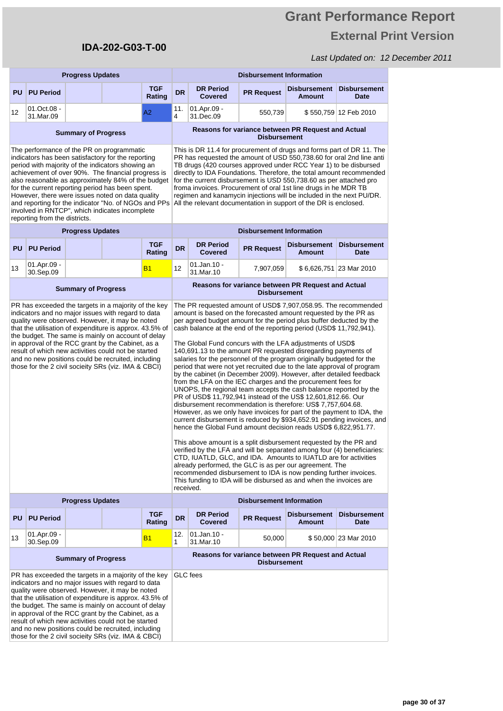# **Grant Performance Report External Print Version**

| <b>Progress Updates</b>                                                                                                                                                                                                                                                                                                                                                                                                                                                                                             |                            |                            |  | <b>Disbursement Information</b>                                                                                                                                                                                                                                                                                                                                                                                                                                                                                                                                                |                                                                                                                                                                                                                                                                                                                                                                                                                                                                                                                                                                                                                                                                                                                                                                                                                                                                                                                                                                                                                                                                                                                                                                                                                                                                                                                                                                                                                                                                                                                                                             |                                    |                                 |                                                    |                                    |
|---------------------------------------------------------------------------------------------------------------------------------------------------------------------------------------------------------------------------------------------------------------------------------------------------------------------------------------------------------------------------------------------------------------------------------------------------------------------------------------------------------------------|----------------------------|----------------------------|--|--------------------------------------------------------------------------------------------------------------------------------------------------------------------------------------------------------------------------------------------------------------------------------------------------------------------------------------------------------------------------------------------------------------------------------------------------------------------------------------------------------------------------------------------------------------------------------|-------------------------------------------------------------------------------------------------------------------------------------------------------------------------------------------------------------------------------------------------------------------------------------------------------------------------------------------------------------------------------------------------------------------------------------------------------------------------------------------------------------------------------------------------------------------------------------------------------------------------------------------------------------------------------------------------------------------------------------------------------------------------------------------------------------------------------------------------------------------------------------------------------------------------------------------------------------------------------------------------------------------------------------------------------------------------------------------------------------------------------------------------------------------------------------------------------------------------------------------------------------------------------------------------------------------------------------------------------------------------------------------------------------------------------------------------------------------------------------------------------------------------------------------------------------|------------------------------------|---------------------------------|----------------------------------------------------|------------------------------------|
| PU                                                                                                                                                                                                                                                                                                                                                                                                                                                                                                                  | <b>PU Period</b>           |                            |  | <b>TGF</b><br>Rating                                                                                                                                                                                                                                                                                                                                                                                                                                                                                                                                                           | <b>DR</b>                                                                                                                                                                                                                                                                                                                                                                                                                                                                                                                                                                                                                                                                                                                                                                                                                                                                                                                                                                                                                                                                                                                                                                                                                                                                                                                                                                                                                                                                                                                                                   | <b>DR Period</b><br><b>Covered</b> | <b>PR Request</b>               | <b>Disbursement</b><br><b>Amount</b>               | <b>Disbursement</b><br><b>Date</b> |
| 12                                                                                                                                                                                                                                                                                                                                                                                                                                                                                                                  | 01.Oct.08 -<br>31.Mar.09   |                            |  | A2                                                                                                                                                                                                                                                                                                                                                                                                                                                                                                                                                                             | 11.<br>4                                                                                                                                                                                                                                                                                                                                                                                                                                                                                                                                                                                                                                                                                                                                                                                                                                                                                                                                                                                                                                                                                                                                                                                                                                                                                                                                                                                                                                                                                                                                                    | 01.Apr.09 -<br>31.Dec.09           | 550,739                         |                                                    | \$550,759 12 Feb 2010              |
|                                                                                                                                                                                                                                                                                                                                                                                                                                                                                                                     |                            | <b>Summary of Progress</b> |  |                                                                                                                                                                                                                                                                                                                                                                                                                                                                                                                                                                                |                                                                                                                                                                                                                                                                                                                                                                                                                                                                                                                                                                                                                                                                                                                                                                                                                                                                                                                                                                                                                                                                                                                                                                                                                                                                                                                                                                                                                                                                                                                                                             |                                    | <b>Disbursement</b>             | Reasons for variance between PR Request and Actual |                                    |
| The performance of the PR on programmatic<br>indicators has been satisfactory for the reporting<br>period with majority of the indicators showing an<br>achievement of over 90%. The financial progress is<br>also reasonable as approximately 84% of the budget<br>for the current reporting period has been spent.<br>However, there were issues noted on data quality<br>and reporting for the indicator "No. of NGOs and PPs<br>involved in RNTCP", which indicates incomplete<br>reporting from the districts. |                            |                            |  | This is DR 11.4 for procurement of drugs and forms part of DR 11. The<br>PR has requested the amount of USD 550,738.60 for oral 2nd line anti<br>TB drugs (420 courses approved under RCC Year 1) to be disbursed<br>directly to IDA Foundations. Therefore, the total amount recommended<br>for the current disbursement is USD 550,738.60 as per attached pro<br>froma invoices. Procurement of oral 1st line drugs in he MDR TB<br>regimen and kanamycin injections will be included in the next PU/DR.<br>All the relevant documentation in support of the DR is enclosed. |                                                                                                                                                                                                                                                                                                                                                                                                                                                                                                                                                                                                                                                                                                                                                                                                                                                                                                                                                                                                                                                                                                                                                                                                                                                                                                                                                                                                                                                                                                                                                             |                                    |                                 |                                                    |                                    |
|                                                                                                                                                                                                                                                                                                                                                                                                                                                                                                                     |                            | <b>Progress Updates</b>    |  |                                                                                                                                                                                                                                                                                                                                                                                                                                                                                                                                                                                |                                                                                                                                                                                                                                                                                                                                                                                                                                                                                                                                                                                                                                                                                                                                                                                                                                                                                                                                                                                                                                                                                                                                                                                                                                                                                                                                                                                                                                                                                                                                                             |                                    | <b>Disbursement Information</b> |                                                    |                                    |
| PU                                                                                                                                                                                                                                                                                                                                                                                                                                                                                                                  | <b>PU Period</b>           |                            |  | <b>TGF</b><br>Rating                                                                                                                                                                                                                                                                                                                                                                                                                                                                                                                                                           | <b>DR</b>                                                                                                                                                                                                                                                                                                                                                                                                                                                                                                                                                                                                                                                                                                                                                                                                                                                                                                                                                                                                                                                                                                                                                                                                                                                                                                                                                                                                                                                                                                                                                   | <b>DR Period</b><br><b>Covered</b> | <b>PR Request</b>               | <b>Disbursement</b><br><b>Amount</b>               | <b>Disbursement</b><br><b>Date</b> |
| 13                                                                                                                                                                                                                                                                                                                                                                                                                                                                                                                  | 01.Apr.09 -<br>30.Sep.09   |                            |  | <b>B1</b>                                                                                                                                                                                                                                                                                                                                                                                                                                                                                                                                                                      | 12                                                                                                                                                                                                                                                                                                                                                                                                                                                                                                                                                                                                                                                                                                                                                                                                                                                                                                                                                                                                                                                                                                                                                                                                                                                                                                                                                                                                                                                                                                                                                          | $01$ .Jan.10 -<br>31.Mar.10        | 7,907,059                       |                                                    | \$6,626,751 23 Mar 2010            |
| <b>Summary of Progress</b>                                                                                                                                                                                                                                                                                                                                                                                                                                                                                          |                            |                            |  |                                                                                                                                                                                                                                                                                                                                                                                                                                                                                                                                                                                |                                                                                                                                                                                                                                                                                                                                                                                                                                                                                                                                                                                                                                                                                                                                                                                                                                                                                                                                                                                                                                                                                                                                                                                                                                                                                                                                                                                                                                                                                                                                                             |                                    | <b>Disbursement</b>             | Reasons for variance between PR Request and Actual |                                    |
| PR has exceeded the targets in a majority of the key<br>indicators and no major issues with regard to data<br>quality were observed. However, it may be noted<br>that the utilisation of expenditure is approx. 43.5% of<br>the budget. The same is mainly on account of delay<br>in approval of the RCC grant by the Cabinet, as a<br>result of which new activities could not be started<br>and no new positions could be recruited, including<br>those for the 2 civil socieity SRs (viz. IMA & CBCI)            |                            |                            |  | received.                                                                                                                                                                                                                                                                                                                                                                                                                                                                                                                                                                      | The PR requested amount of USD\$ 7,907,058.95. The recommended<br>amount is based on the forecasted amount requested by the PR as<br>per agreed budget amount for the period plus buffer deducted by the<br>cash balance at the end of the reporting period (USD\$ 11,792,941).<br>The Global Fund concurs with the LFA adjustments of USD\$<br>140,691.13 to the amount PR requested disregarding payments of<br>salaries for the personnel of the program originally budgeted for the<br>period that were not yet recruited due to the late approval of program<br>by the cabinet (in December 2009). However, after detailed feedback<br>from the LFA on the IEC charges and the procurement fees for<br>UNOPS, the regional team accepts the cash balance reported by the<br>PR of USD\$ 11,792,941 instead of the US\$ 12,601,812.66. Our<br>disbursement recommendation is therefore: US\$ 7,757,604.68.<br>However, as we only have invoices for part of the payment to IDA, the<br>current disbursement is reduced by \$934,652.91 pending invoices, and<br>hence the Global Fund amount decision reads USD\$ 6,822,951.77.<br>This above amount is a split disbursement requested by the PR and<br>verified by the LFA and will be separated among four (4) beneficiaries:<br>CTD, IUATLD, GLC, and IDA. Amounts to IUATLD are for activities<br>already performed, the GLC is as per our agreement. The<br>recommended disbursement to IDA is now pending further invoices.<br>This funding to IDA will be disbursed as and when the invoices are |                                    |                                 |                                                    |                                    |
| <b>Progress Updates</b>                                                                                                                                                                                                                                                                                                                                                                                                                                                                                             |                            |                            |  | <b>Disbursement Information</b>                                                                                                                                                                                                                                                                                                                                                                                                                                                                                                                                                |                                                                                                                                                                                                                                                                                                                                                                                                                                                                                                                                                                                                                                                                                                                                                                                                                                                                                                                                                                                                                                                                                                                                                                                                                                                                                                                                                                                                                                                                                                                                                             |                                    |                                 |                                                    |                                    |
| PU                                                                                                                                                                                                                                                                                                                                                                                                                                                                                                                  | <b>PU Period</b>           |                            |  | <b>TGF</b><br>Rating                                                                                                                                                                                                                                                                                                                                                                                                                                                                                                                                                           | <b>DR</b>                                                                                                                                                                                                                                                                                                                                                                                                                                                                                                                                                                                                                                                                                                                                                                                                                                                                                                                                                                                                                                                                                                                                                                                                                                                                                                                                                                                                                                                                                                                                                   | <b>DR Period</b><br><b>Covered</b> | <b>PR Request</b>               | <b>Disbursement</b><br><b>Amount</b>               | <b>Disbursement</b><br>Date        |
| 13                                                                                                                                                                                                                                                                                                                                                                                                                                                                                                                  | 01.Apr.09 -<br>30.Sep.09   |                            |  | <b>B1</b>                                                                                                                                                                                                                                                                                                                                                                                                                                                                                                                                                                      | 12.<br>1                                                                                                                                                                                                                                                                                                                                                                                                                                                                                                                                                                                                                                                                                                                                                                                                                                                                                                                                                                                                                                                                                                                                                                                                                                                                                                                                                                                                                                                                                                                                                    | $01$ .Jan.10 -<br>31.Mar.10        | 50,000                          |                                                    | \$50,000 23 Mar 2010               |
|                                                                                                                                                                                                                                                                                                                                                                                                                                                                                                                     | <b>Summary of Progress</b> |                            |  |                                                                                                                                                                                                                                                                                                                                                                                                                                                                                                                                                                                | Reasons for variance between PR Request and Actual<br><b>Disbursement</b>                                                                                                                                                                                                                                                                                                                                                                                                                                                                                                                                                                                                                                                                                                                                                                                                                                                                                                                                                                                                                                                                                                                                                                                                                                                                                                                                                                                                                                                                                   |                                    |                                 |                                                    |                                    |
| PR has exceeded the targets in a majority of the key<br>indicators and no major issues with regard to data<br>quality were observed. However, it may be noted<br>that the utilisation of expenditure is approx. 43.5% of<br>the budget. The same is mainly on account of delay<br>in approval of the RCC grant by the Cabinet, as a<br>result of which new activities could not be started<br>and no new positions could be recruited, including<br>those for the 2 civil socieity SRs (viz. IMA & CBCI)            |                            |                            |  |                                                                                                                                                                                                                                                                                                                                                                                                                                                                                                                                                                                |                                                                                                                                                                                                                                                                                                                                                                                                                                                                                                                                                                                                                                                                                                                                                                                                                                                                                                                                                                                                                                                                                                                                                                                                                                                                                                                                                                                                                                                                                                                                                             | GLC fees                           |                                 |                                                    |                                    |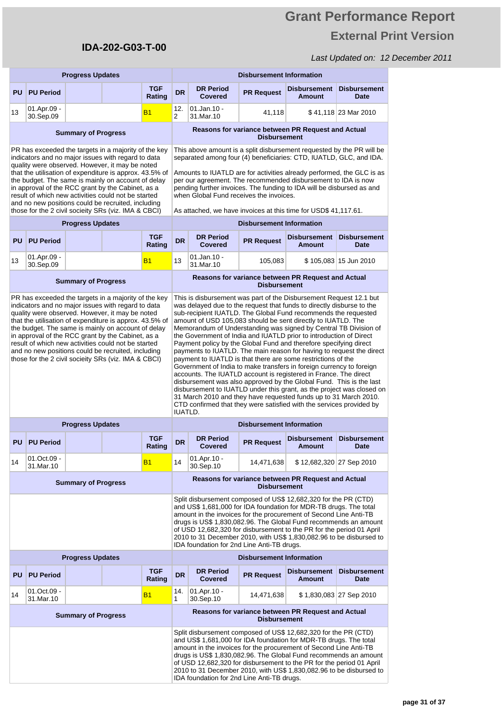# **Grant Performance Report External Print Version**

| <b>Progress Updates</b>                                                                                                                                                                                                                                                                                                                                                                                                                                                                                  |                            |                            |  |                                                                                                                                                                                                                                                                                                                                                                                                                                                                                                                                                                                                                                                                                                                                                                                                                                                                                                                                                                                                                                                                                                | <b>Disbursement Information</b>                                                                                                                                                                                                                                                                                                                                                                                                                                            |                                                                                                                                                                                                                                                                                                                                                                                                           |                                 |                                                                                                                                                                                                                                                                                                                                                                                                                              |                                    |  |  |
|----------------------------------------------------------------------------------------------------------------------------------------------------------------------------------------------------------------------------------------------------------------------------------------------------------------------------------------------------------------------------------------------------------------------------------------------------------------------------------------------------------|----------------------------|----------------------------|--|------------------------------------------------------------------------------------------------------------------------------------------------------------------------------------------------------------------------------------------------------------------------------------------------------------------------------------------------------------------------------------------------------------------------------------------------------------------------------------------------------------------------------------------------------------------------------------------------------------------------------------------------------------------------------------------------------------------------------------------------------------------------------------------------------------------------------------------------------------------------------------------------------------------------------------------------------------------------------------------------------------------------------------------------------------------------------------------------|----------------------------------------------------------------------------------------------------------------------------------------------------------------------------------------------------------------------------------------------------------------------------------------------------------------------------------------------------------------------------------------------------------------------------------------------------------------------------|-----------------------------------------------------------------------------------------------------------------------------------------------------------------------------------------------------------------------------------------------------------------------------------------------------------------------------------------------------------------------------------------------------------|---------------------------------|------------------------------------------------------------------------------------------------------------------------------------------------------------------------------------------------------------------------------------------------------------------------------------------------------------------------------------------------------------------------------------------------------------------------------|------------------------------------|--|--|
| <b>PU</b>                                                                                                                                                                                                                                                                                                                                                                                                                                                                                                | <b>PU Period</b>           |                            |  | <b>TGF</b><br>Rating                                                                                                                                                                                                                                                                                                                                                                                                                                                                                                                                                                                                                                                                                                                                                                                                                                                                                                                                                                                                                                                                           | <b>DR</b>                                                                                                                                                                                                                                                                                                                                                                                                                                                                  | <b>DR Period</b><br><b>Covered</b>                                                                                                                                                                                                                                                                                                                                                                        | <b>PR Request</b>               | <b>Disbursement</b><br><b>Amount</b>                                                                                                                                                                                                                                                                                                                                                                                         | <b>Disbursement</b><br>Date        |  |  |
| 13                                                                                                                                                                                                                                                                                                                                                                                                                                                                                                       | 01.Apr.09 -<br>30.Sep.09   |                            |  | <b>B1</b>                                                                                                                                                                                                                                                                                                                                                                                                                                                                                                                                                                                                                                                                                                                                                                                                                                                                                                                                                                                                                                                                                      | 12.<br>$\overline{2}$                                                                                                                                                                                                                                                                                                                                                                                                                                                      | 01.Jan.10 -<br>31.Mar.10                                                                                                                                                                                                                                                                                                                                                                                  | 41,118                          |                                                                                                                                                                                                                                                                                                                                                                                                                              | \$41.118 23 Mar 2010               |  |  |
|                                                                                                                                                                                                                                                                                                                                                                                                                                                                                                          | <b>Summary of Progress</b> |                            |  |                                                                                                                                                                                                                                                                                                                                                                                                                                                                                                                                                                                                                                                                                                                                                                                                                                                                                                                                                                                                                                                                                                |                                                                                                                                                                                                                                                                                                                                                                                                                                                                            |                                                                                                                                                                                                                                                                                                                                                                                                           | <b>Disbursement</b>             | Reasons for variance between PR Request and Actual                                                                                                                                                                                                                                                                                                                                                                           |                                    |  |  |
| PR has exceeded the targets in a majority of the key<br>indicators and no major issues with regard to data<br>quality were observed. However, it may be noted<br>that the utilisation of expenditure is approx. 43.5% of<br>the budget. The same is mainly on account of delay<br>in approval of the RCC grant by the Cabinet, as a<br>result of which new activities could not be started<br>and no new positions could be recruited, including<br>those for the 2 civil socieity SRs (viz. IMA & CBCI) |                            |                            |  |                                                                                                                                                                                                                                                                                                                                                                                                                                                                                                                                                                                                                                                                                                                                                                                                                                                                                                                                                                                                                                                                                                |                                                                                                                                                                                                                                                                                                                                                                                                                                                                            | This above amount is a split disbursement requested by the PR will be<br>separated among four (4) beneficiaries: CTD, IUATLD, GLC, and IDA.<br>Amounts to IUATLD are for activities already performed, the GLC is as<br>per our agreement. The recommended disbursement to IDA is now<br>pending further invoices. The funding to IDA will be disbursed as and<br>when Global Fund receives the invoices. |                                 |                                                                                                                                                                                                                                                                                                                                                                                                                              |                                    |  |  |
|                                                                                                                                                                                                                                                                                                                                                                                                                                                                                                          |                            | <b>Progress Updates</b>    |  |                                                                                                                                                                                                                                                                                                                                                                                                                                                                                                                                                                                                                                                                                                                                                                                                                                                                                                                                                                                                                                                                                                |                                                                                                                                                                                                                                                                                                                                                                                                                                                                            |                                                                                                                                                                                                                                                                                                                                                                                                           | <b>Disbursement Information</b> | As attached, we have invoices at this time for USD\$ 41,117.61.                                                                                                                                                                                                                                                                                                                                                              |                                    |  |  |
| <b>PU</b>                                                                                                                                                                                                                                                                                                                                                                                                                                                                                                | <b>PU Period</b>           |                            |  | <b>TGF</b><br>Rating                                                                                                                                                                                                                                                                                                                                                                                                                                                                                                                                                                                                                                                                                                                                                                                                                                                                                                                                                                                                                                                                           | <b>DR</b>                                                                                                                                                                                                                                                                                                                                                                                                                                                                  | <b>DR Period</b><br><b>Covered</b>                                                                                                                                                                                                                                                                                                                                                                        | <b>PR Request</b>               | <b>Disbursement</b><br><b>Amount</b>                                                                                                                                                                                                                                                                                                                                                                                         | <b>Disbursement</b><br><b>Date</b> |  |  |
| 13                                                                                                                                                                                                                                                                                                                                                                                                                                                                                                       | 01.Apr.09 -<br>30.Sep.09   |                            |  | <b>B1</b>                                                                                                                                                                                                                                                                                                                                                                                                                                                                                                                                                                                                                                                                                                                                                                                                                                                                                                                                                                                                                                                                                      | 13                                                                                                                                                                                                                                                                                                                                                                                                                                                                         | 01.Jan.10 -<br>31.Mar.10                                                                                                                                                                                                                                                                                                                                                                                  | 105.083                         |                                                                                                                                                                                                                                                                                                                                                                                                                              | \$105,083 15 Jun 2010              |  |  |
| <b>Summary of Progress</b>                                                                                                                                                                                                                                                                                                                                                                                                                                                                               |                            |                            |  |                                                                                                                                                                                                                                                                                                                                                                                                                                                                                                                                                                                                                                                                                                                                                                                                                                                                                                                                                                                                                                                                                                |                                                                                                                                                                                                                                                                                                                                                                                                                                                                            |                                                                                                                                                                                                                                                                                                                                                                                                           | <b>Disbursement</b>             | Reasons for variance between PR Request and Actual                                                                                                                                                                                                                                                                                                                                                                           |                                    |  |  |
| PR has exceeded the targets in a majority of the key<br>indicators and no major issues with regard to data<br>quality were observed. However, it may be noted<br>that the utilisation of expenditure is approx. 43.5% of<br>the budget. The same is mainly on account of delay<br>in approval of the RCC grant by the Cabinet, as a<br>result of which new activities could not be started<br>and no new positions could be recruited, including<br>those for the 2 civil socieity SRs (viz. IMA & CBCI) |                            |                            |  | This is disbursement was part of the Disbursement Request 12.1 but<br>was delayed due to the request that funds to directly disburse to the<br>sub-recipient IUATLD. The Global Fund recommends the requested<br>amount of USD 105,083 should be sent directly to IUATLD. The<br>Memorandum of Understanding was signed by Central TB Division of<br>the Government of India and IUATLD prior to introduction of Direct<br>Payment policy by the Global Fund and therefore specifying direct<br>payments to IUATLD. The main reason for having to request the direct<br>payment to IUATLD is that there are some restrictions of the<br>Government of India to make transfers in foreign currency to foreign<br>accounts. The IUATLD account is registered in France. The direct<br>disbursement was also approved by the Global Fund. This is the last<br>disbursement to IUATLD under this grant, as the project was closed on<br>31 March 2010 and they have requested funds up to 31 March 2010.<br>CTD confirmed that they were satisfied with the services provided by<br><b>IUATLD.</b> |                                                                                                                                                                                                                                                                                                                                                                                                                                                                            |                                                                                                                                                                                                                                                                                                                                                                                                           |                                 |                                                                                                                                                                                                                                                                                                                                                                                                                              |                                    |  |  |
|                                                                                                                                                                                                                                                                                                                                                                                                                                                                                                          |                            | <b>Progress Updates</b>    |  |                                                                                                                                                                                                                                                                                                                                                                                                                                                                                                                                                                                                                                                                                                                                                                                                                                                                                                                                                                                                                                                                                                | <b>Disbursement Information</b>                                                                                                                                                                                                                                                                                                                                                                                                                                            |                                                                                                                                                                                                                                                                                                                                                                                                           |                                 |                                                                                                                                                                                                                                                                                                                                                                                                                              |                                    |  |  |
| <b>PU</b>                                                                                                                                                                                                                                                                                                                                                                                                                                                                                                | <b>PU Period</b>           |                            |  | TGF<br>Rating                                                                                                                                                                                                                                                                                                                                                                                                                                                                                                                                                                                                                                                                                                                                                                                                                                                                                                                                                                                                                                                                                  | <b>DR</b>                                                                                                                                                                                                                                                                                                                                                                                                                                                                  | <b>DR Period</b><br>Covered                                                                                                                                                                                                                                                                                                                                                                               | <b>PR Request</b>               | <b>Disbursement</b><br><b>Amount</b>                                                                                                                                                                                                                                                                                                                                                                                         | <b>Disbursement</b><br><b>Date</b> |  |  |
| 14                                                                                                                                                                                                                                                                                                                                                                                                                                                                                                       | 01.Oct.09 -<br>31.Mar.10   |                            |  | <b>B1</b>                                                                                                                                                                                                                                                                                                                                                                                                                                                                                                                                                                                                                                                                                                                                                                                                                                                                                                                                                                                                                                                                                      | 14                                                                                                                                                                                                                                                                                                                                                                                                                                                                         | 01.Apr.10 -<br>30.Sep.10                                                                                                                                                                                                                                                                                                                                                                                  | 14,471,638                      | \$12,682,320 27 Sep 2010                                                                                                                                                                                                                                                                                                                                                                                                     |                                    |  |  |
|                                                                                                                                                                                                                                                                                                                                                                                                                                                                                                          |                            | <b>Summary of Progress</b> |  |                                                                                                                                                                                                                                                                                                                                                                                                                                                                                                                                                                                                                                                                                                                                                                                                                                                                                                                                                                                                                                                                                                | Reasons for variance between PR Request and Actual<br><b>Disbursement</b>                                                                                                                                                                                                                                                                                                                                                                                                  |                                                                                                                                                                                                                                                                                                                                                                                                           |                                 |                                                                                                                                                                                                                                                                                                                                                                                                                              |                                    |  |  |
|                                                                                                                                                                                                                                                                                                                                                                                                                                                                                                          |                            |                            |  |                                                                                                                                                                                                                                                                                                                                                                                                                                                                                                                                                                                                                                                                                                                                                                                                                                                                                                                                                                                                                                                                                                | Split disbursement composed of US\$ 12,682,320 for the PR (CTD)<br>and US\$ 1,681,000 for IDA foundation for MDR-TB drugs. The total<br>amount in the invoices for the procurement of Second Line Anti-TB<br>drugs is US\$ 1,830,082.96. The Global Fund recommends an amount<br>of USD 12,682,320 for disbursement to the PR for the period 01 April<br>2010 to 31 December 2010, with US\$ 1,830,082.96 to be disbursed to<br>IDA foundation for 2nd Line Anti-TB drugs. |                                                                                                                                                                                                                                                                                                                                                                                                           |                                 |                                                                                                                                                                                                                                                                                                                                                                                                                              |                                    |  |  |
| <b>Progress Updates</b>                                                                                                                                                                                                                                                                                                                                                                                                                                                                                  |                            |                            |  |                                                                                                                                                                                                                                                                                                                                                                                                                                                                                                                                                                                                                                                                                                                                                                                                                                                                                                                                                                                                                                                                                                |                                                                                                                                                                                                                                                                                                                                                                                                                                                                            |                                                                                                                                                                                                                                                                                                                                                                                                           | <b>Disbursement Information</b> |                                                                                                                                                                                                                                                                                                                                                                                                                              |                                    |  |  |
| <b>PU</b>                                                                                                                                                                                                                                                                                                                                                                                                                                                                                                | <b>PU Period</b>           |                            |  | <b>TGF</b><br>Rating                                                                                                                                                                                                                                                                                                                                                                                                                                                                                                                                                                                                                                                                                                                                                                                                                                                                                                                                                                                                                                                                           | <b>DR</b>                                                                                                                                                                                                                                                                                                                                                                                                                                                                  | <b>DR Period</b><br><b>Covered</b>                                                                                                                                                                                                                                                                                                                                                                        | <b>PR Request</b>               | <b>Disbursement</b><br><b>Amount</b>                                                                                                                                                                                                                                                                                                                                                                                         | <b>Disbursement</b><br>Date        |  |  |
| 14                                                                                                                                                                                                                                                                                                                                                                                                                                                                                                       | 01.Oct.09 -<br>31.Mar.10   |                            |  | <b>B1</b>                                                                                                                                                                                                                                                                                                                                                                                                                                                                                                                                                                                                                                                                                                                                                                                                                                                                                                                                                                                                                                                                                      | 14.<br>1                                                                                                                                                                                                                                                                                                                                                                                                                                                                   | 01.Apr.10 -<br>30.Sep.10                                                                                                                                                                                                                                                                                                                                                                                  | 14,471,638                      |                                                                                                                                                                                                                                                                                                                                                                                                                              | \$1,830,083 27 Sep 2010            |  |  |
|                                                                                                                                                                                                                                                                                                                                                                                                                                                                                                          |                            | <b>Summary of Progress</b> |  |                                                                                                                                                                                                                                                                                                                                                                                                                                                                                                                                                                                                                                                                                                                                                                                                                                                                                                                                                                                                                                                                                                | Reasons for variance between PR Request and Actual<br><b>Disbursement</b>                                                                                                                                                                                                                                                                                                                                                                                                  |                                                                                                                                                                                                                                                                                                                                                                                                           |                                 |                                                                                                                                                                                                                                                                                                                                                                                                                              |                                    |  |  |
|                                                                                                                                                                                                                                                                                                                                                                                                                                                                                                          |                            |                            |  |                                                                                                                                                                                                                                                                                                                                                                                                                                                                                                                                                                                                                                                                                                                                                                                                                                                                                                                                                                                                                                                                                                |                                                                                                                                                                                                                                                                                                                                                                                                                                                                            | IDA foundation for 2nd Line Anti-TB drugs.                                                                                                                                                                                                                                                                                                                                                                |                                 | Split disbursement composed of US\$ 12,682,320 for the PR (CTD)<br>and US\$ 1,681,000 for IDA foundation for MDR-TB drugs. The total<br>amount in the invoices for the procurement of Second Line Anti-TB<br>drugs is US\$ 1,830,082.96. The Global Fund recommends an amount<br>of USD 12,682,320 for disbursement to the PR for the period 01 April<br>2010 to 31 December 2010, with US\$ 1,830,082.96 to be disbursed to |                                    |  |  |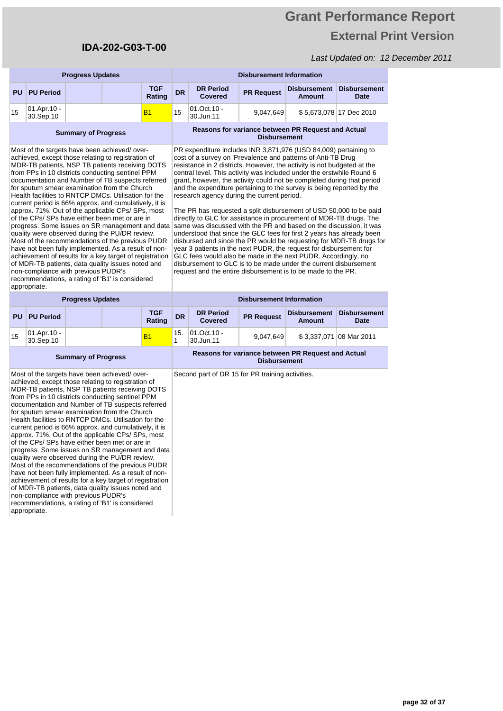# **Grant Performance Report External Print Version**

|                                                                                                                                                                                                                                                                                                                                                                                                                                                                                                                                                                                                                                                                                                                                                                                                                                                                                                                                                                                  | <b>Progress Updates</b>                  |                            |  |                                                                                                                                                                                                                                                                                                                                                                                                                                                                                                                                                                                                                                                                                                                                                                                                                                                                                                                                                                                                                                                                                                                                    | <b>Disbursement Information</b>                                           |                                                  |                               |                                                    |                             |
|----------------------------------------------------------------------------------------------------------------------------------------------------------------------------------------------------------------------------------------------------------------------------------------------------------------------------------------------------------------------------------------------------------------------------------------------------------------------------------------------------------------------------------------------------------------------------------------------------------------------------------------------------------------------------------------------------------------------------------------------------------------------------------------------------------------------------------------------------------------------------------------------------------------------------------------------------------------------------------|------------------------------------------|----------------------------|--|------------------------------------------------------------------------------------------------------------------------------------------------------------------------------------------------------------------------------------------------------------------------------------------------------------------------------------------------------------------------------------------------------------------------------------------------------------------------------------------------------------------------------------------------------------------------------------------------------------------------------------------------------------------------------------------------------------------------------------------------------------------------------------------------------------------------------------------------------------------------------------------------------------------------------------------------------------------------------------------------------------------------------------------------------------------------------------------------------------------------------------|---------------------------------------------------------------------------|--------------------------------------------------|-------------------------------|----------------------------------------------------|-----------------------------|
| <b>PU</b>                                                                                                                                                                                                                                                                                                                                                                                                                                                                                                                                                                                                                                                                                                                                                                                                                                                                                                                                                                        | <b>PU Period</b>                         |                            |  | <b>TGF</b><br>Rating                                                                                                                                                                                                                                                                                                                                                                                                                                                                                                                                                                                                                                                                                                                                                                                                                                                                                                                                                                                                                                                                                                               | <b>DR</b>                                                                 | <b>DR Period</b><br><b>Covered</b>               | <b>PR Request</b>             | Disbursement<br><b>Amount</b>                      | <b>Disbursement</b><br>Date |
| 15                                                                                                                                                                                                                                                                                                                                                                                                                                                                                                                                                                                                                                                                                                                                                                                                                                                                                                                                                                               | 01.Apr.10 -<br>30.Sep.10                 |                            |  | <b>B1</b>                                                                                                                                                                                                                                                                                                                                                                                                                                                                                                                                                                                                                                                                                                                                                                                                                                                                                                                                                                                                                                                                                                                          | 15                                                                        | 01.Oct.10 -<br>30.Jun.11                         | 9,047,649                     |                                                    | \$5,673,078 17 Dec 2010     |
| <b>Summary of Progress</b>                                                                                                                                                                                                                                                                                                                                                                                                                                                                                                                                                                                                                                                                                                                                                                                                                                                                                                                                                       |                                          |                            |  |                                                                                                                                                                                                                                                                                                                                                                                                                                                                                                                                                                                                                                                                                                                                                                                                                                                                                                                                                                                                                                                                                                                                    |                                                                           |                                                  | <b>Disbursement</b>           | Reasons for variance between PR Request and Actual |                             |
| Most of the targets have been achieved/over-<br>achieved, except those relating to registration of<br>MDR-TB patients, NSP TB patients receiving DOTS<br>from PPs in 10 districts conducting sentinel PPM<br>documentation and Number of TB suspects referred<br>for sputum smear examination from the Church<br>Health facilities to RNTCP DMCs. Utilisation for the<br>current period is 66% approx. and cumulatively, it is<br>approx. 71%. Out of the applicable CPs/ SPs, most<br>of the CPs/ SPs have either been met or are in<br>progress. Some issues on SR management and data<br>quality were observed during the PU/DR review.<br>Most of the recommendations of the previous PUDR<br>have not been fully implemented. As a result of non-<br>achievement of results for a key target of registration<br>of MDR-TB patients, data quality issues noted and<br>non-compliance with previous PUDR's<br>recommendations, a rating of 'B1' is considered<br>appropriate. |                                          |                            |  | PR expenditure includes INR 3,871,976 (USD 84,009) pertaining to<br>cost of a survey on 'Prevalence and patterns of Anti-TB Drug<br>resistance in 2 districts. However, the activity is not budgeted at the<br>central level. This activity was included under the erstwhile Round 6<br>grant, however, the activity could not be completed during that period<br>and the expenditure pertaining to the survey is being reported by the<br>research agency during the current period.<br>The PR has requested a split disbursement of USD 50,000 to be paid<br>directly to GLC for assistance in procurement of MDR-TB drugs. The<br>same was discussed with the PR and based on the discussion, it was<br>understood that since the GLC fees for first 2 years has already been<br>disbursed and since the PR would be requesting for MDR-TB drugs for<br>year 3 patients in the next PUDR, the request for disbursement for<br>GLC fees would also be made in the next PUDR. Accordingly, no<br>disbursement to GLC is to be made under the current disbursement<br>request and the entire disbursement is to be made to the PR. |                                                                           |                                                  |                               |                                                    |                             |
|                                                                                                                                                                                                                                                                                                                                                                                                                                                                                                                                                                                                                                                                                                                                                                                                                                                                                                                                                                                  |                                          | <b>Progress Updates</b>    |  |                                                                                                                                                                                                                                                                                                                                                                                                                                                                                                                                                                                                                                                                                                                                                                                                                                                                                                                                                                                                                                                                                                                                    | <b>Disbursement Information</b>                                           |                                                  |                               |                                                    |                             |
| <b>PU</b>                                                                                                                                                                                                                                                                                                                                                                                                                                                                                                                                                                                                                                                                                                                                                                                                                                                                                                                                                                        | <b>TGF</b><br><b>PU Period</b><br>Rating |                            |  | <b>DR</b>                                                                                                                                                                                                                                                                                                                                                                                                                                                                                                                                                                                                                                                                                                                                                                                                                                                                                                                                                                                                                                                                                                                          | <b>DR Period</b><br><b>Covered</b>                                        | <b>PR Request</b>                                | Disbursement<br><b>Amount</b> | <b>Disbursement</b><br>Date                        |                             |
| 15                                                                                                                                                                                                                                                                                                                                                                                                                                                                                                                                                                                                                                                                                                                                                                                                                                                                                                                                                                               | 01.Apr.10 -<br>30.Sep.10                 |                            |  | <b>B1</b>                                                                                                                                                                                                                                                                                                                                                                                                                                                                                                                                                                                                                                                                                                                                                                                                                                                                                                                                                                                                                                                                                                                          | 15.<br>1                                                                  | $01.0ct.10 -$<br>30.Jun.11                       | 9,047,649                     |                                                    | \$3,337,071 08 Mar 2011     |
|                                                                                                                                                                                                                                                                                                                                                                                                                                                                                                                                                                                                                                                                                                                                                                                                                                                                                                                                                                                  |                                          | <b>Summary of Progress</b> |  |                                                                                                                                                                                                                                                                                                                                                                                                                                                                                                                                                                                                                                                                                                                                                                                                                                                                                                                                                                                                                                                                                                                                    | Reasons for variance between PR Request and Actual<br><b>Disbursement</b> |                                                  |                               |                                                    |                             |
| Most of the targets have been achieved/over-<br>achieved, except those relating to registration of<br>MDR-TB patients, NSP TB patients receiving DOTS<br>from PPs in 10 districts conducting sentinel PPM<br>documentation and Number of TB suspects referred<br>for sputum smear examination from the Church<br>Health facilities to RNTCP DMCs. Utilisation for the<br>current period is 66% approx. and cumulatively, it is<br>approx. 71%. Out of the applicable CPs/ SPs, most<br>of the CPs/ SPs have either been met or are in<br>progress. Some issues on SR management and data<br>quality were observed during the PU/DR review.<br>Most of the recommendations of the previous PUDR<br>have not been fully implemented. As a result of non-<br>achievement of results for a key target of registration<br>of MDR-TB patients, data quality issues noted and<br>non-compliance with previous PUDR's<br>recommendations, a rating of 'B1' is considered<br>appropriate. |                                          |                            |  |                                                                                                                                                                                                                                                                                                                                                                                                                                                                                                                                                                                                                                                                                                                                                                                                                                                                                                                                                                                                                                                                                                                                    |                                                                           | Second part of DR 15 for PR training activities. |                               |                                                    |                             |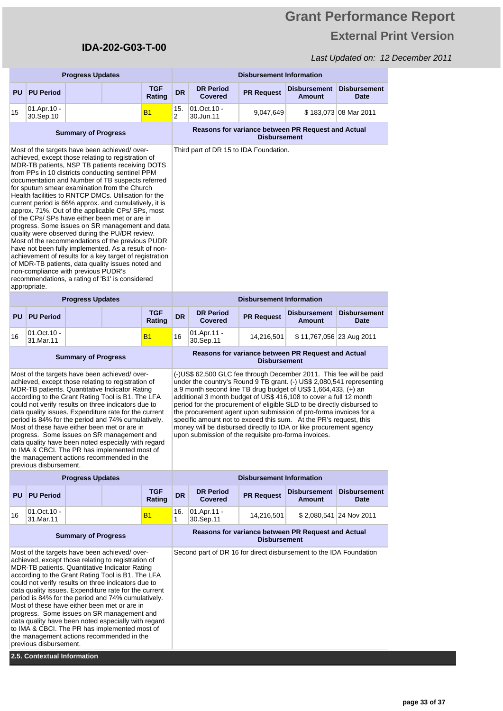# **Grant Performance Report External Print Version**

|                                                                                                                                                                                                                                                                                                                                                                                                                                                                                                                                                                                                                                                                                                                                                                                                                                                                                                                                                                                  | <b>Progress Updates</b>    |                            |                                                                                                                                                                                                                                                                                                                                                                                                                                                                                                                                                                                                                                    |                      |                                                                           | <b>Disbursement Information</b>                                                                                                                                                                                                                                                                                                                                                                                                                                                                                                                                                                                                        |                                 |                                                    |                                    |  |
|----------------------------------------------------------------------------------------------------------------------------------------------------------------------------------------------------------------------------------------------------------------------------------------------------------------------------------------------------------------------------------------------------------------------------------------------------------------------------------------------------------------------------------------------------------------------------------------------------------------------------------------------------------------------------------------------------------------------------------------------------------------------------------------------------------------------------------------------------------------------------------------------------------------------------------------------------------------------------------|----------------------------|----------------------------|------------------------------------------------------------------------------------------------------------------------------------------------------------------------------------------------------------------------------------------------------------------------------------------------------------------------------------------------------------------------------------------------------------------------------------------------------------------------------------------------------------------------------------------------------------------------------------------------------------------------------------|----------------------|---------------------------------------------------------------------------|----------------------------------------------------------------------------------------------------------------------------------------------------------------------------------------------------------------------------------------------------------------------------------------------------------------------------------------------------------------------------------------------------------------------------------------------------------------------------------------------------------------------------------------------------------------------------------------------------------------------------------------|---------------------------------|----------------------------------------------------|------------------------------------|--|
| PU                                                                                                                                                                                                                                                                                                                                                                                                                                                                                                                                                                                                                                                                                                                                                                                                                                                                                                                                                                               | <b>PU Period</b>           |                            |                                                                                                                                                                                                                                                                                                                                                                                                                                                                                                                                                                                                                                    | <b>TGF</b><br>Rating | <b>DR</b>                                                                 | <b>DR Period</b><br><b>Covered</b>                                                                                                                                                                                                                                                                                                                                                                                                                                                                                                                                                                                                     | <b>PR Request</b>               | <b>Disbursement</b><br><b>Amount</b>               | <b>Disbursement</b><br><b>Date</b> |  |
| 15                                                                                                                                                                                                                                                                                                                                                                                                                                                                                                                                                                                                                                                                                                                                                                                                                                                                                                                                                                               | 01.Apr.10 -<br>30.Sep.10   |                            |                                                                                                                                                                                                                                                                                                                                                                                                                                                                                                                                                                                                                                    | <b>B1</b>            | 15.<br>2                                                                  | 01.Oct.10 -<br>30.Jun.11                                                                                                                                                                                                                                                                                                                                                                                                                                                                                                                                                                                                               | 9,047,649                       |                                                    | \$183,073 08 Mar 2011              |  |
|                                                                                                                                                                                                                                                                                                                                                                                                                                                                                                                                                                                                                                                                                                                                                                                                                                                                                                                                                                                  | <b>Summary of Progress</b> |                            |                                                                                                                                                                                                                                                                                                                                                                                                                                                                                                                                                                                                                                    |                      |                                                                           |                                                                                                                                                                                                                                                                                                                                                                                                                                                                                                                                                                                                                                        | <b>Disbursement</b>             | Reasons for variance between PR Request and Actual |                                    |  |
| Most of the targets have been achieved/over-<br>achieved, except those relating to registration of<br>MDR-TB patients, NSP TB patients receiving DOTS<br>from PPs in 10 districts conducting sentinel PPM<br>documentation and Number of TB suspects referred<br>for sputum smear examination from the Church<br>Health facilities to RNTCP DMCs. Utilisation for the<br>current period is 66% approx. and cumulatively, it is<br>approx. 71%. Out of the applicable CPs/ SPs, most<br>of the CPs/ SPs have either been met or are in<br>progress. Some issues on SR management and data<br>quality were observed during the PU/DR review.<br>Most of the recommendations of the previous PUDR<br>have not been fully implemented. As a result of non-<br>achievement of results for a key target of registration<br>of MDR-TB patients, data quality issues noted and<br>non-compliance with previous PUDR's<br>recommendations, a rating of 'B1' is considered<br>appropriate. |                            |                            |                                                                                                                                                                                                                                                                                                                                                                                                                                                                                                                                                                                                                                    |                      |                                                                           | Third part of DR 15 to IDA Foundation.                                                                                                                                                                                                                                                                                                                                                                                                                                                                                                                                                                                                 |                                 |                                                    |                                    |  |
|                                                                                                                                                                                                                                                                                                                                                                                                                                                                                                                                                                                                                                                                                                                                                                                                                                                                                                                                                                                  |                            | <b>Progress Updates</b>    |                                                                                                                                                                                                                                                                                                                                                                                                                                                                                                                                                                                                                                    |                      |                                                                           |                                                                                                                                                                                                                                                                                                                                                                                                                                                                                                                                                                                                                                        | <b>Disbursement Information</b> |                                                    |                                    |  |
| PU                                                                                                                                                                                                                                                                                                                                                                                                                                                                                                                                                                                                                                                                                                                                                                                                                                                                                                                                                                               | <b>PU Period</b>           |                            |                                                                                                                                                                                                                                                                                                                                                                                                                                                                                                                                                                                                                                    | <b>TGF</b><br>Rating | <b>DR</b>                                                                 | <b>DR Period</b><br><b>Covered</b>                                                                                                                                                                                                                                                                                                                                                                                                                                                                                                                                                                                                     | <b>PR Request</b>               | <b>Disbursement</b><br><b>Amount</b>               | <b>Disbursement</b><br>Date        |  |
| 16                                                                                                                                                                                                                                                                                                                                                                                                                                                                                                                                                                                                                                                                                                                                                                                                                                                                                                                                                                               | 01.Oct.10 -<br>31.Mar.11   |                            |                                                                                                                                                                                                                                                                                                                                                                                                                                                                                                                                                                                                                                    | <b>B1</b>            | 16                                                                        | 01.Apr.11 -<br>30.Sep.11                                                                                                                                                                                                                                                                                                                                                                                                                                                                                                                                                                                                               | 14,216,501                      | \$11,767,056 23 Aug 2011                           |                                    |  |
|                                                                                                                                                                                                                                                                                                                                                                                                                                                                                                                                                                                                                                                                                                                                                                                                                                                                                                                                                                                  |                            | <b>Summary of Progress</b> |                                                                                                                                                                                                                                                                                                                                                                                                                                                                                                                                                                                                                                    |                      | Reasons for variance between PR Request and Actual<br><b>Disbursement</b> |                                                                                                                                                                                                                                                                                                                                                                                                                                                                                                                                                                                                                                        |                                 |                                                    |                                    |  |
|                                                                                                                                                                                                                                                                                                                                                                                                                                                                                                                                                                                                                                                                                                                                                                                                                                                                                                                                                                                  | previous disbursement.     |                            | Most of the targets have been achieved/over-<br>achieved, except those relating to registration of<br>MDR-TB patients. Quantitative Indicator Rating<br>according to the Grant Rating Tool is B1. The LFA<br>could not verify results on three indicators due to<br>data quality issues. Expenditure rate for the current<br>period is 84% for the period and 74% cumulatively.<br>Most of these have either been met or are in<br>progress. Some issues on SR management and<br>data quality have been noted especially with regard<br>to IMA & CBCI. The PR has implemented most of<br>the management actions recommended in the |                      |                                                                           | (-)US\$ 62,500 GLC fee through December 2011. This fee will be paid<br>under the country's Round 9 TB grant. (-) US\$ 2,080,541 representing<br>a 9 month second line TB drug budget of US\$ 1,664,433, (+) an<br>additional 3 month budget of US\$ 416,108 to cover a full 12 month<br>period for the procurement of eligible SLD to be directly disbursed to<br>the procurement agent upon submission of pro-forma invoices for a<br>specific amount not to exceed this sum. At the PR's request, this<br>money will be disbursed directly to IDA or like procurement agency<br>upon submission of the requisite pro-forma invoices. |                                 |                                                    |                                    |  |
|                                                                                                                                                                                                                                                                                                                                                                                                                                                                                                                                                                                                                                                                                                                                                                                                                                                                                                                                                                                  |                            | <b>Progress Updates</b>    |                                                                                                                                                                                                                                                                                                                                                                                                                                                                                                                                                                                                                                    |                      | <b>Disbursement Information</b>                                           |                                                                                                                                                                                                                                                                                                                                                                                                                                                                                                                                                                                                                                        |                                 |                                                    |                                    |  |
|                                                                                                                                                                                                                                                                                                                                                                                                                                                                                                                                                                                                                                                                                                                                                                                                                                                                                                                                                                                  | <b>PU PU Period</b>        |                            |                                                                                                                                                                                                                                                                                                                                                                                                                                                                                                                                                                                                                                    | <b>TGF</b><br>Rating | <b>DR</b>                                                                 | <b>DR Period</b><br><b>Covered</b>                                                                                                                                                                                                                                                                                                                                                                                                                                                                                                                                                                                                     | <b>PR Request</b>               | <b>Disbursement</b><br><b>Amount</b>               | <b>Disbursement</b><br>Date        |  |
| 16                                                                                                                                                                                                                                                                                                                                                                                                                                                                                                                                                                                                                                                                                                                                                                                                                                                                                                                                                                               | 01.Oct.10 -<br>31.Mar.11   |                            |                                                                                                                                                                                                                                                                                                                                                                                                                                                                                                                                                                                                                                    | <b>B1</b>            | 16.<br>1                                                                  | 01.Apr.11 -<br>30.Sep.11                                                                                                                                                                                                                                                                                                                                                                                                                                                                                                                                                                                                               | 14,216,501                      |                                                    | \$2,080,541 24 Nov 2011            |  |
| <b>Summary of Progress</b>                                                                                                                                                                                                                                                                                                                                                                                                                                                                                                                                                                                                                                                                                                                                                                                                                                                                                                                                                       |                            |                            |                                                                                                                                                                                                                                                                                                                                                                                                                                                                                                                                                                                                                                    |                      | Reasons for variance between PR Request and Actual<br><b>Disbursement</b> |                                                                                                                                                                                                                                                                                                                                                                                                                                                                                                                                                                                                                                        |                                 |                                                    |                                    |  |
| Most of the targets have been achieved/over-<br>achieved, except those relating to registration of<br>MDR-TB patients. Quantitative Indicator Rating<br>according to the Grant Rating Tool is B1. The LFA<br>could not verify results on three indicators due to<br>data quality issues. Expenditure rate for the current<br>period is 84% for the period and 74% cumulatively.<br>Most of these have either been met or are in<br>progress. Some issues on SR management and<br>data quality have been noted especially with regard<br>to IMA & CBCI. The PR has implemented most of<br>the management actions recommended in the<br>previous disbursement.                                                                                                                                                                                                                                                                                                                     |                            |                            |                                                                                                                                                                                                                                                                                                                                                                                                                                                                                                                                                                                                                                    |                      |                                                                           | Second part of DR 16 for direct disbursement to the IDA Foundation                                                                                                                                                                                                                                                                                                                                                                                                                                                                                                                                                                     |                                 |                                                    |                                    |  |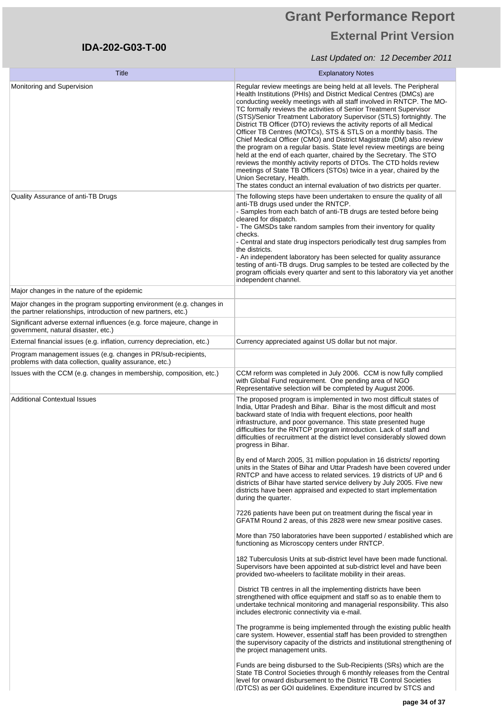# **Grant Performance Report External Print Version**

| Title                                                                                                                                    | <b>Explanatory Notes</b>                                                                                                                                                                                                                                                                                                                                                                                                                                                                                                                                                                                                                                                                                                                                                                                                                                                                                                                                                               |
|------------------------------------------------------------------------------------------------------------------------------------------|----------------------------------------------------------------------------------------------------------------------------------------------------------------------------------------------------------------------------------------------------------------------------------------------------------------------------------------------------------------------------------------------------------------------------------------------------------------------------------------------------------------------------------------------------------------------------------------------------------------------------------------------------------------------------------------------------------------------------------------------------------------------------------------------------------------------------------------------------------------------------------------------------------------------------------------------------------------------------------------|
| Monitoring and Supervision                                                                                                               | Regular review meetings are being held at all levels. The Peripheral<br>Health Institutions (PHIs) and District Medical Centres (DMCs) are<br>conducting weekly meetings with all staff involved in RNTCP. The MO-<br>TC formally reviews the activities of Senior Treatment Supervisor<br>(STS)/Senior Treatment Laboratory Supervisor (STLS) fortnightly. The<br>District TB Officer (DTO) reviews the activity reports of all Medical<br>Officer TB Centres (MOTCs), STS & STLS on a monthly basis. The<br>Chief Medical Officer (CMO) and District Magistrate (DM) also review<br>the program on a regular basis. State level review meetings are being<br>held at the end of each quarter, chaired by the Secretary. The STO<br>reviews the monthly activity reports of DTOs. The CTD holds review<br>meetings of State TB Officers (STOs) twice in a year, chaired by the<br>Union Secretary, Health.<br>The states conduct an internal evaluation of two districts per quarter. |
| Quality Assurance of anti-TB Drugs                                                                                                       | The following steps have been undertaken to ensure the quality of all<br>anti-TB drugs used under the RNTCP.<br>- Samples from each batch of anti-TB drugs are tested before being<br>cleared for dispatch.<br>- The GMSDs take random samples from their inventory for quality<br>checks.<br>- Central and state drug inspectors periodically test drug samples from<br>the districts.<br>- An independent laboratory has been selected for quality assurance<br>testing of anti-TB drugs. Drug samples to be tested are collected by the<br>program officials every quarter and sent to this laboratory via yet another<br>independent channel.                                                                                                                                                                                                                                                                                                                                      |
| Major changes in the nature of the epidemic<br>Major changes in the program supporting environment (e.g. changes in                      |                                                                                                                                                                                                                                                                                                                                                                                                                                                                                                                                                                                                                                                                                                                                                                                                                                                                                                                                                                                        |
| the partner relationships, introduction of new partners, etc.)<br>Significant adverse external influences (e.g. force majeure, change in |                                                                                                                                                                                                                                                                                                                                                                                                                                                                                                                                                                                                                                                                                                                                                                                                                                                                                                                                                                                        |
| government, natural disaster, etc.)                                                                                                      |                                                                                                                                                                                                                                                                                                                                                                                                                                                                                                                                                                                                                                                                                                                                                                                                                                                                                                                                                                                        |
| External financial issues (e.g. inflation, currency depreciation, etc.)                                                                  | Currency appreciated against US dollar but not major.                                                                                                                                                                                                                                                                                                                                                                                                                                                                                                                                                                                                                                                                                                                                                                                                                                                                                                                                  |
| Program management issues (e.g. changes in PR/sub-recipients,<br>problems with data collection, quality assurance, etc.)                 |                                                                                                                                                                                                                                                                                                                                                                                                                                                                                                                                                                                                                                                                                                                                                                                                                                                                                                                                                                                        |
| Issues with the CCM (e.g. changes in membership, composition, etc.)                                                                      | CCM reform was completed in July 2006. CCM is now fully complied<br>with Global Fund requirement. One pending area of NGO<br>Representative selection will be completed by August 2006.                                                                                                                                                                                                                                                                                                                                                                                                                                                                                                                                                                                                                                                                                                                                                                                                |
| <b>Additional Contextual Issues</b>                                                                                                      | The proposed program is implemented in two most difficult states of<br>India, Uttar Pradesh and Bihar. Bihar is the most difficult and most<br>backward state of India with frequent elections, poor health<br>infrastructure, and poor governance. This state presented huge<br>difficulties for the RNTCP program introduction. Lack of staff and<br>difficulties of recruitment at the district level considerably slowed down<br>progress in Bihar.                                                                                                                                                                                                                                                                                                                                                                                                                                                                                                                                |
|                                                                                                                                          | By end of March 2005, 31 million population in 16 districts/ reporting<br>units in the States of Bihar and Uttar Pradesh have been covered under<br>RNTCP and have access to related services. 19 districts of UP and 6<br>districts of Bihar have started service delivery by July 2005. Five new<br>districts have been appraised and expected to start implementation<br>during the quarter.                                                                                                                                                                                                                                                                                                                                                                                                                                                                                                                                                                                        |
|                                                                                                                                          | 7226 patients have been put on treatment during the fiscal year in<br>GFATM Round 2 areas, of this 2828 were new smear positive cases.                                                                                                                                                                                                                                                                                                                                                                                                                                                                                                                                                                                                                                                                                                                                                                                                                                                 |
|                                                                                                                                          | More than 750 laboratories have been supported / established which are<br>functioning as Microscopy centers under RNTCP.                                                                                                                                                                                                                                                                                                                                                                                                                                                                                                                                                                                                                                                                                                                                                                                                                                                               |
|                                                                                                                                          | 182 Tuberculosis Units at sub-district level have been made functional.<br>Supervisors have been appointed at sub-district level and have been<br>provided two-wheelers to facilitate mobility in their areas.                                                                                                                                                                                                                                                                                                                                                                                                                                                                                                                                                                                                                                                                                                                                                                         |
|                                                                                                                                          | District TB centres in all the implementing districts have been<br>strengthened with office equipment and staff so as to enable them to<br>undertake technical monitoring and managerial responsibility. This also<br>includes electronic connectivity via e-mail.                                                                                                                                                                                                                                                                                                                                                                                                                                                                                                                                                                                                                                                                                                                     |
|                                                                                                                                          | The programme is being implemented through the existing public health<br>care system. However, essential staff has been provided to strengthen<br>the supervisory capacity of the districts and institutional strengthening of<br>the project management units.                                                                                                                                                                                                                                                                                                                                                                                                                                                                                                                                                                                                                                                                                                                        |
|                                                                                                                                          | Funds are being disbursed to the Sub-Recipients (SRs) which are the<br>State TB Control Societies through 6 monthly releases from the Central<br>level for onward disbursement to the District TB Control Societies<br>(DTCS) as per GOI quidelines. Expenditure incurred by STCS and                                                                                                                                                                                                                                                                                                                                                                                                                                                                                                                                                                                                                                                                                                  |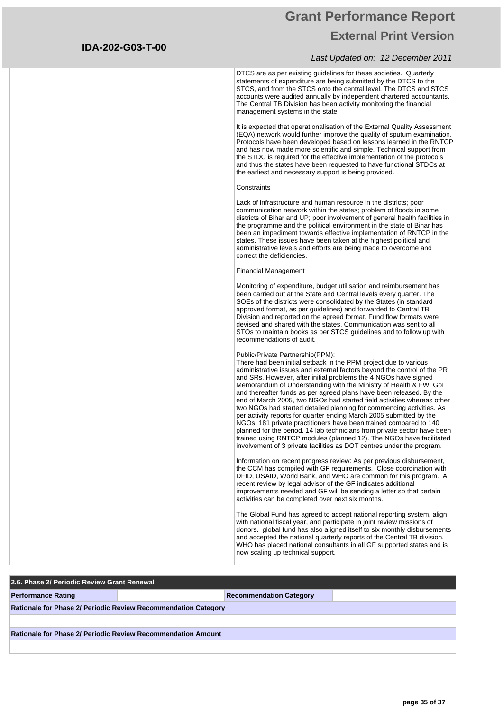### **Grant Performance Report External Print Version**

#### Last Updated on: 12 December 2011

DTCS are as per existing guidelines for these societies. Quarterly statements of expenditure are being submitted by the DTCS to the STCS, and from the STCS onto the central level. The DTCS and STCS accounts were audited annually by independent chartered accountants. The Central TB Division has been activity monitoring the financial management systems in the state.

It is expected that operationalisation of the External Quality Assessment (EQA) network would further improve the quality of sputum examination. Protocols have been developed based on lessons learned in the RNTCP and has now made more scientific and simple. Technical support from the STDC is required for the effective implementation of the protocols and thus the states have been requested to have functional STDCs at the earliest and necessary support is being provided.

#### **Constraints**

Lack of infrastructure and human resource in the districts; poor communication network within the states; problem of floods in some districts of Bihar and UP; poor involvement of general health facilities in the programme and the political environment in the state of Bihar has been an impediment towards effective implementation of RNTCP in the states. These issues have been taken at the highest political and administrative levels and efforts are being made to overcome and correct the deficiencies.

#### Financial Management

Monitoring of expenditure, budget utilisation and reimbursement has been carried out at the State and Central levels every quarter. The SOEs of the districts were consolidated by the States (in standard approved format, as per guidelines) and forwarded to Central TB Division and reported on the agreed format. Fund flow formats were devised and shared with the states. Communication was sent to all STOs to maintain books as per STCS guidelines and to follow up with recommendations of audit.

#### Public/Private Partnership(PPM):

There had been initial setback in the PPM project due to various administrative issues and external factors beyond the control of the PR and SRs. However, after initial problems the 4 NGOs have signed Memorandum of Understanding with the Ministry of Health & FW, GoI and thereafter funds as per agreed plans have been released. By the end of March 2005, two NGOs had started field activities whereas other two NGOs had started detailed planning for commencing activities. As per activity reports for quarter ending March 2005 submitted by the NGOs, 181 private practitioners have been trained compared to 140 planned for the period. 14 lab technicians from private sector have been trained using RNTCP modules (planned 12). The NGOs have facilitated involvement of 3 private facilities as DOT centres under the program.

Information on recent progress review: As per previous disbursement, the CCM has compiled with GF requirements. Close coordination with DFID, USAID, World Bank, and WHO are common for this program. A recent review by legal advisor of the GF indicates additional improvements needed and GF will be sending a letter so that certain activities can be completed over next six months.

The Global Fund has agreed to accept national reporting system, align with national fiscal year, and participate in joint review missions of donors. global fund has also aligned itself to six monthly disbursements and accepted the national quarterly reports of the Central TB division. WHO has placed national consultants in all GF supported states and is now scaling up technical support.

# **2.6. Phase 2/ Periodic Review Grant Renewal Performance Rating Recommendation Category Recommendation Category Rationale for Phase 2/ Periodic Review Recommendation Category Rationale for Phase 2/ Periodic Review Recommendation Amount**